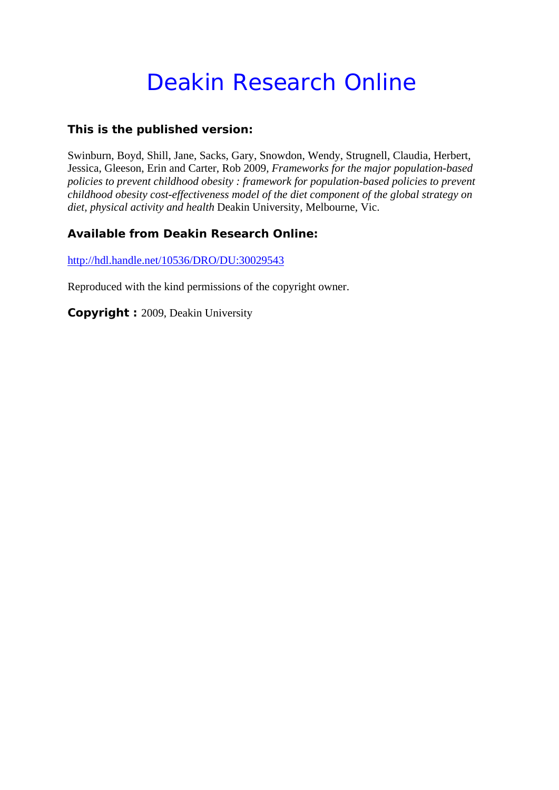# Deakin Research Online

#### **This is the published version:**

Swinburn, Boyd, Shill, Jane, Sacks, Gary, Snowdon, Wendy, Strugnell, Claudia, Herbert, Jessica, Gleeson, Erin and Carter, Rob 2009*, Frameworks for the major population-based policies to prevent childhood obesity : framework for population-based policies to prevent childhood obesity cost-effectiveness model of the diet component of the global strategy on diet, physical activity and health* Deakin University, Melbourne, Vic.

#### **Available from Deakin Research Online:**

http://hdl.handle.net/10536/DRO/DU:30029543

Reproduced with the kind permissions of the copyright owner.

**Copyright :** 2009, Deakin University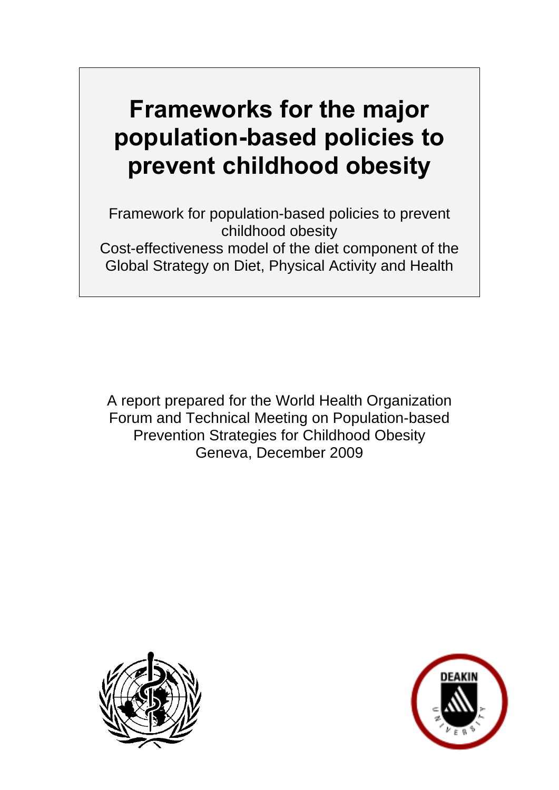# **Frameworks for the major population-based policies to prevent childhood obesity**

Framework for population-based policies to prevent childhood obesity Cost-effectiveness model of the diet component of the Global Strategy on Diet, Physical Activity and Health

A report prepared for the World Health Organization Forum and Technical Meeting on Population-based Prevention Strategies for Childhood Obesity Geneva, December 2009



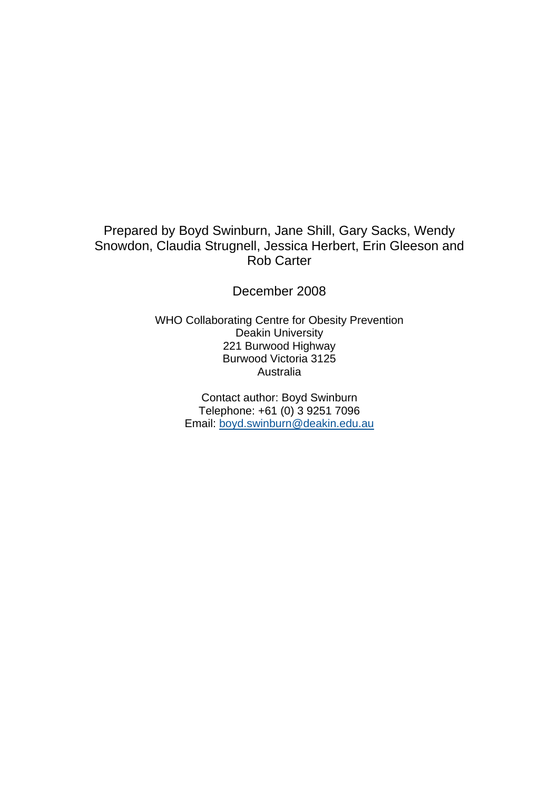#### Prepared by Boyd Swinburn, Jane Shill, Gary Sacks, Wendy Snowdon, Claudia Strugnell, Jessica Herbert, Erin Gleeson and Rob Carter

December 2008

WHO Collaborating Centre for Obesity Prevention Deakin University 221 Burwood Highway Burwood Victoria 3125 Australia

> Contact author: Boyd Swinburn Telephone: +61 (0) 3 9251 7096 Email: boyd.swinburn@deakin.edu.au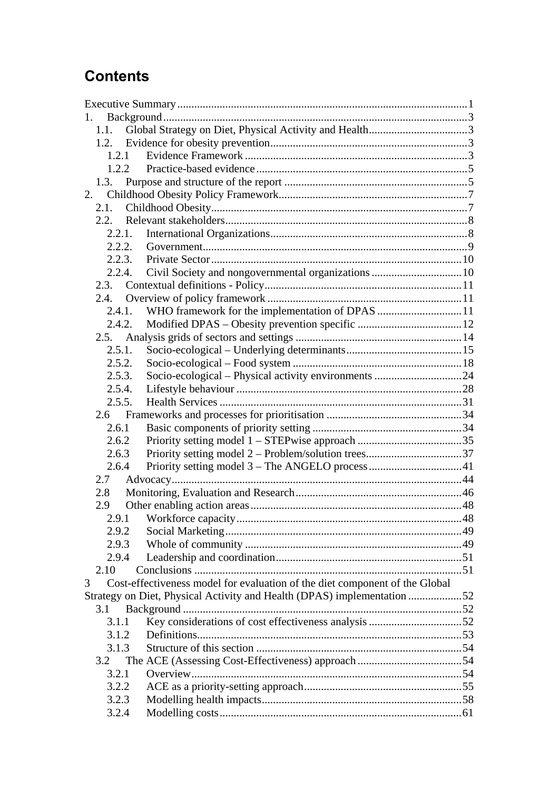## **Contents**

| 1.                                                                               |  |
|----------------------------------------------------------------------------------|--|
| 1.1.                                                                             |  |
|                                                                                  |  |
| 1.2.1                                                                            |  |
| 1.2.2                                                                            |  |
|                                                                                  |  |
| 2.                                                                               |  |
| 2.1.                                                                             |  |
| 2.2.                                                                             |  |
| 2.2.1.                                                                           |  |
| 2.2.2.                                                                           |  |
| 2.2.3.                                                                           |  |
| 2.2.4.                                                                           |  |
| 2.3.                                                                             |  |
| 2.4.                                                                             |  |
| WHO framework for the implementation of DPAS 11<br>2.4.1.                        |  |
| 2.4.2.                                                                           |  |
|                                                                                  |  |
| 2.5.1.                                                                           |  |
| 2.5.2.                                                                           |  |
| 2.5.3.                                                                           |  |
| 2.5.4.                                                                           |  |
| 2.5.5.                                                                           |  |
|                                                                                  |  |
| 2.6.1                                                                            |  |
| 2.6.2                                                                            |  |
| 2.6.3                                                                            |  |
| 2.6.4                                                                            |  |
| 2.7                                                                              |  |
| 2.8                                                                              |  |
| 2.9                                                                              |  |
|                                                                                  |  |
| 2.9.2                                                                            |  |
| 2.9.3                                                                            |  |
| 2.9.4                                                                            |  |
| 2.10                                                                             |  |
| Cost-effectiveness model for evaluation of the diet component of the Global<br>3 |  |
| Strategy on Diet, Physical Activity and Health (DPAS) implementation 52          |  |
| 3.1                                                                              |  |
| 3.1.1                                                                            |  |
| 3.1.2                                                                            |  |
| 3.1.3                                                                            |  |
| 3.2                                                                              |  |
| 3.2.1                                                                            |  |
| 3.2.2                                                                            |  |
| 3.2.3                                                                            |  |
| 3.2.4                                                                            |  |
|                                                                                  |  |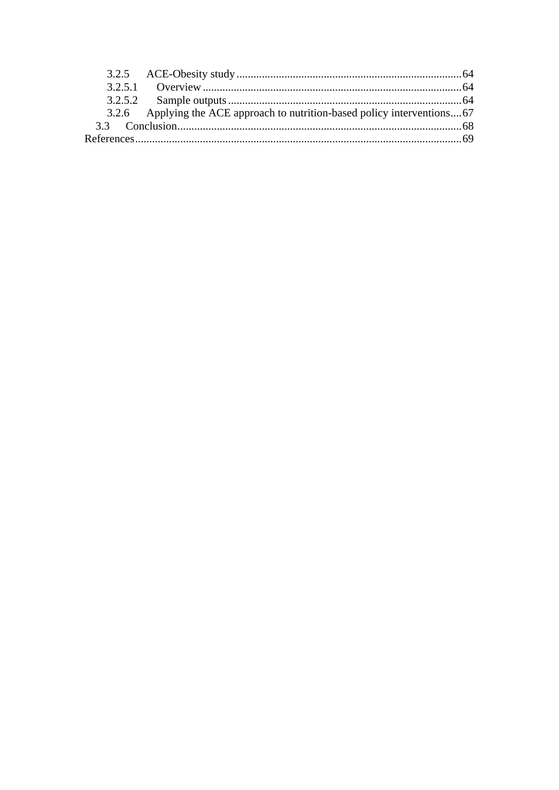|  | 3.2.6 Applying the ACE approach to nutrition-based policy interventions67 |  |
|--|---------------------------------------------------------------------------|--|
|  |                                                                           |  |
|  |                                                                           |  |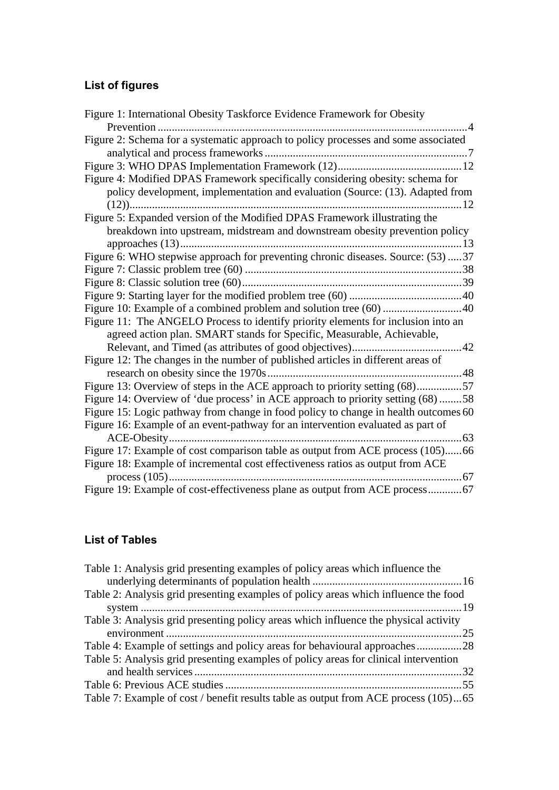## **List of figures**

| Figure 1: International Obesity Taskforce Evidence Framework for Obesity                                                                                        |
|-----------------------------------------------------------------------------------------------------------------------------------------------------------------|
|                                                                                                                                                                 |
| Figure 2: Schema for a systematic approach to policy processes and some associated                                                                              |
|                                                                                                                                                                 |
| Figure 4: Modified DPAS Framework specifically considering obesity: schema for<br>policy development, implementation and evaluation (Source: (13). Adapted from |
| Figure 5: Expanded version of the Modified DPAS Framework illustrating the                                                                                      |
| breakdown into upstream, midstream and downstream obesity prevention policy                                                                                     |
| Figure 6: WHO stepwise approach for preventing chronic diseases. Source: (53) 37                                                                                |
|                                                                                                                                                                 |
|                                                                                                                                                                 |
|                                                                                                                                                                 |
| Figure 10: Example of a combined problem and solution tree (60) 40                                                                                              |
| Figure 11: The ANGELO Process to identify priority elements for inclusion into an                                                                               |
| agreed action plan. SMART stands for Specific, Measurable, Achievable,                                                                                          |
|                                                                                                                                                                 |
| Figure 12: The changes in the number of published articles in different areas of                                                                                |
|                                                                                                                                                                 |
| Figure 13: Overview of steps in the ACE approach to priority setting (68)57                                                                                     |
| Figure 14: Overview of 'due process' in ACE approach to priority setting (68) 58                                                                                |
| Figure 15: Logic pathway from change in food policy to change in health outcomes 60                                                                             |
| Figure 16: Example of an event-pathway for an intervention evaluated as part of                                                                                 |
|                                                                                                                                                                 |
| Figure 17: Example of cost comparison table as output from ACE process (105)66                                                                                  |
| Figure 18: Example of incremental cost effectiveness ratios as output from ACE                                                                                  |
|                                                                                                                                                                 |
| Figure 19: Example of cost-effectiveness plane as output from ACE process67                                                                                     |

### **List of Tables**

| Table 1: Analysis grid presenting examples of policy areas which influence the       |
|--------------------------------------------------------------------------------------|
|                                                                                      |
| Table 2: Analysis grid presenting examples of policy areas which influence the food  |
|                                                                                      |
| Table 3: Analysis grid presenting policy areas which influence the physical activity |
|                                                                                      |
| Table 4: Example of settings and policy areas for behavioural approaches28           |
| Table 5: Analysis grid presenting examples of policy areas for clinical intervention |
|                                                                                      |
|                                                                                      |
| Table 7: Example of cost / benefit results table as output from ACE process (105)65  |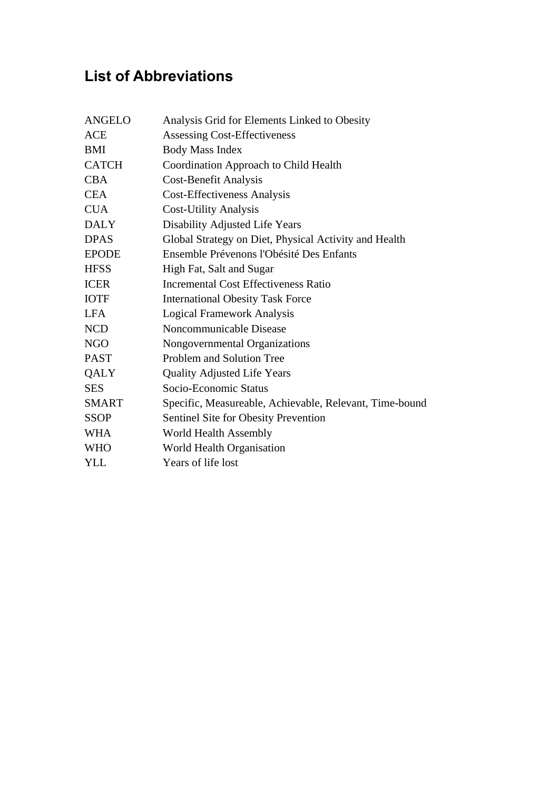# **List of Abbreviations**

| <b>ANGELO</b> | Analysis Grid for Elements Linked to Obesity            |
|---------------|---------------------------------------------------------|
| <b>ACE</b>    | <b>Assessing Cost-Effectiveness</b>                     |
| <b>BMI</b>    | <b>Body Mass Index</b>                                  |
| <b>CATCH</b>  | Coordination Approach to Child Health                   |
| <b>CBA</b>    | <b>Cost-Benefit Analysis</b>                            |
| <b>CEA</b>    | <b>Cost-Effectiveness Analysis</b>                      |
| <b>CUA</b>    | <b>Cost-Utility Analysis</b>                            |
| <b>DALY</b>   | Disability Adjusted Life Years                          |
| <b>DPAS</b>   | Global Strategy on Diet, Physical Activity and Health   |
| <b>EPODE</b>  | Ensemble Prévenons l'Obésité Des Enfants                |
| <b>HFSS</b>   | High Fat, Salt and Sugar                                |
| <b>ICER</b>   | <b>Incremental Cost Effectiveness Ratio</b>             |
| <b>IOTF</b>   | <b>International Obesity Task Force</b>                 |
| <b>LFA</b>    | <b>Logical Framework Analysis</b>                       |
| <b>NCD</b>    | Noncommunicable Disease                                 |
| <b>NGO</b>    | Nongovernmental Organizations                           |
| <b>PAST</b>   | Problem and Solution Tree                               |
| QALY          | <b>Quality Adjusted Life Years</b>                      |
| <b>SES</b>    | Socio-Economic Status                                   |
| <b>SMART</b>  | Specific, Measureable, Achievable, Relevant, Time-bound |
| <b>SSOP</b>   | Sentinel Site for Obesity Prevention                    |
| <b>WHA</b>    | World Health Assembly                                   |
| <b>WHO</b>    | World Health Organisation                               |
| <b>YLL</b>    | Years of life lost                                      |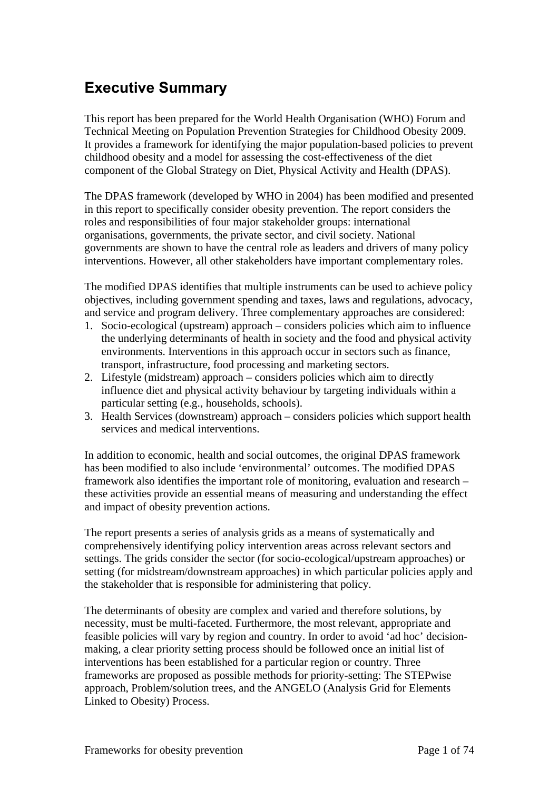# **Executive Summary**

This report has been prepared for the World Health Organisation (WHO) Forum and Technical Meeting on Population Prevention Strategies for Childhood Obesity 2009. It provides a framework for identifying the major population-based policies to prevent childhood obesity and a model for assessing the cost-effectiveness of the diet component of the Global Strategy on Diet, Physical Activity and Health (DPAS).

The DPAS framework (developed by WHO in 2004) has been modified and presented in this report to specifically consider obesity prevention. The report considers the roles and responsibilities of four major stakeholder groups: international organisations, governments, the private sector, and civil society. National governments are shown to have the central role as leaders and drivers of many policy interventions. However, all other stakeholders have important complementary roles.

The modified DPAS identifies that multiple instruments can be used to achieve policy objectives, including government spending and taxes, laws and regulations, advocacy, and service and program delivery. Three complementary approaches are considered:

- 1. Socio-ecological (upstream) approach considers policies which aim to influence the underlying determinants of health in society and the food and physical activity environments. Interventions in this approach occur in sectors such as finance, transport, infrastructure, food processing and marketing sectors.
- 2. Lifestyle (midstream) approach considers policies which aim to directly influence diet and physical activity behaviour by targeting individuals within a particular setting (e.g., households, schools).
- 3. Health Services (downstream) approach considers policies which support health services and medical interventions.

In addition to economic, health and social outcomes, the original DPAS framework has been modified to also include 'environmental' outcomes. The modified DPAS framework also identifies the important role of monitoring, evaluation and research – these activities provide an essential means of measuring and understanding the effect and impact of obesity prevention actions.

The report presents a series of analysis grids as a means of systematically and comprehensively identifying policy intervention areas across relevant sectors and settings. The grids consider the sector (for socio-ecological/upstream approaches) or setting (for midstream/downstream approaches) in which particular policies apply and the stakeholder that is responsible for administering that policy.

The determinants of obesity are complex and varied and therefore solutions, by necessity, must be multi-faceted. Furthermore, the most relevant, appropriate and feasible policies will vary by region and country. In order to avoid 'ad hoc' decisionmaking, a clear priority setting process should be followed once an initial list of interventions has been established for a particular region or country. Three frameworks are proposed as possible methods for priority-setting: The STEPwise approach, Problem/solution trees, and the ANGELO (Analysis Grid for Elements Linked to Obesity) Process.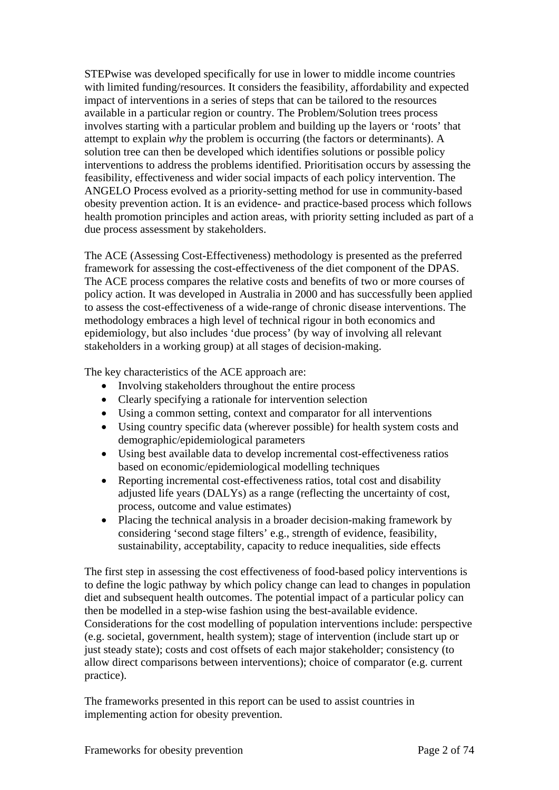STEPwise was developed specifically for use in lower to middle income countries with limited funding/resources. It considers the feasibility, affordability and expected impact of interventions in a series of steps that can be tailored to the resources available in a particular region or country. The Problem/Solution trees process involves starting with a particular problem and building up the layers or 'roots' that attempt to explain *why* the problem is occurring (the factors or determinants). A solution tree can then be developed which identifies solutions or possible policy interventions to address the problems identified. Prioritisation occurs by assessing the feasibility, effectiveness and wider social impacts of each policy intervention. The ANGELO Process evolved as a priority-setting method for use in community-based obesity prevention action. It is an evidence- and practice-based process which follows health promotion principles and action areas, with priority setting included as part of a due process assessment by stakeholders.

The ACE (Assessing Cost-Effectiveness) methodology is presented as the preferred framework for assessing the cost-effectiveness of the diet component of the DPAS. The ACE process compares the relative costs and benefits of two or more courses of policy action. It was developed in Australia in 2000 and has successfully been applied to assess the cost-effectiveness of a wide-range of chronic disease interventions. The methodology embraces a high level of technical rigour in both economics and epidemiology, but also includes 'due process' (by way of involving all relevant stakeholders in a working group) at all stages of decision-making.

The key characteristics of the ACE approach are:

- Involving stakeholders throughout the entire process
- Clearly specifying a rationale for intervention selection
- Using a common setting, context and comparator for all interventions
- Using country specific data (wherever possible) for health system costs and demographic/epidemiological parameters
- Using best available data to develop incremental cost-effectiveness ratios based on economic/epidemiological modelling techniques
- Reporting incremental cost-effectiveness ratios, total cost and disability adjusted life years (DALYs) as a range (reflecting the uncertainty of cost, process, outcome and value estimates)
- Placing the technical analysis in a broader decision-making framework by considering 'second stage filters' e.g., strength of evidence, feasibility, sustainability, acceptability, capacity to reduce inequalities, side effects

The first step in assessing the cost effectiveness of food-based policy interventions is to define the logic pathway by which policy change can lead to changes in population diet and subsequent health outcomes. The potential impact of a particular policy can then be modelled in a step-wise fashion using the best-available evidence. Considerations for the cost modelling of population interventions include: perspective (e.g. societal, government, health system); stage of intervention (include start up or just steady state); costs and cost offsets of each major stakeholder; consistency (to allow direct comparisons between interventions); choice of comparator (e.g. current practice).

The frameworks presented in this report can be used to assist countries in implementing action for obesity prevention.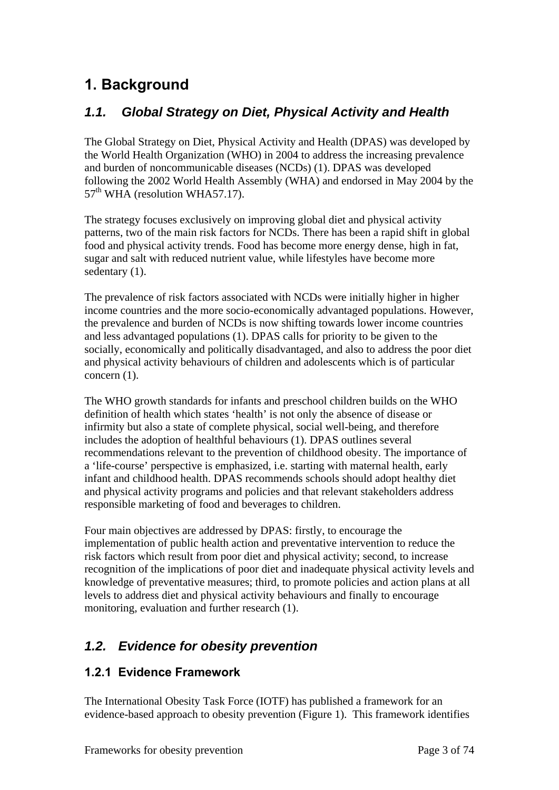# **1. Background**

## *1.1. Global Strategy on Diet, Physical Activity and Health*

The Global Strategy on Diet, Physical Activity and Health (DPAS) was developed by the World Health Organization (WHO) in 2004 to address the increasing prevalence and burden of noncommunicable diseases (NCDs) (1). DPAS was developed following the 2002 World Health Assembly (WHA) and endorsed in May 2004 by the  $57<sup>th</sup>$  WHA (resolution WHA57.17).

The strategy focuses exclusively on improving global diet and physical activity patterns, two of the main risk factors for NCDs. There has been a rapid shift in global food and physical activity trends. Food has become more energy dense, high in fat, sugar and salt with reduced nutrient value, while lifestyles have become more sedentary  $(1)$ .

The prevalence of risk factors associated with NCDs were initially higher in higher income countries and the more socio-economically advantaged populations. However, the prevalence and burden of NCDs is now shifting towards lower income countries and less advantaged populations (1). DPAS calls for priority to be given to the socially, economically and politically disadvantaged, and also to address the poor diet and physical activity behaviours of children and adolescents which is of particular concern (1).

The WHO growth standards for infants and preschool children builds on the WHO definition of health which states 'health' is not only the absence of disease or infirmity but also a state of complete physical, social well-being, and therefore includes the adoption of healthful behaviours (1). DPAS outlines several recommendations relevant to the prevention of childhood obesity. The importance of a 'life-course' perspective is emphasized, i.e. starting with maternal health, early infant and childhood health. DPAS recommends schools should adopt healthy diet and physical activity programs and policies and that relevant stakeholders address responsible marketing of food and beverages to children.

Four main objectives are addressed by DPAS: firstly, to encourage the implementation of public health action and preventative intervention to reduce the risk factors which result from poor diet and physical activity; second, to increase recognition of the implications of poor diet and inadequate physical activity levels and knowledge of preventative measures; third, to promote policies and action plans at all levels to address diet and physical activity behaviours and finally to encourage monitoring, evaluation and further research (1).

## *1.2. Evidence for obesity prevention*

#### **1.2.1 Evidence Framework**

The International Obesity Task Force (IOTF) has published a framework for an evidence-based approach to obesity prevention (Figure 1). This framework identifies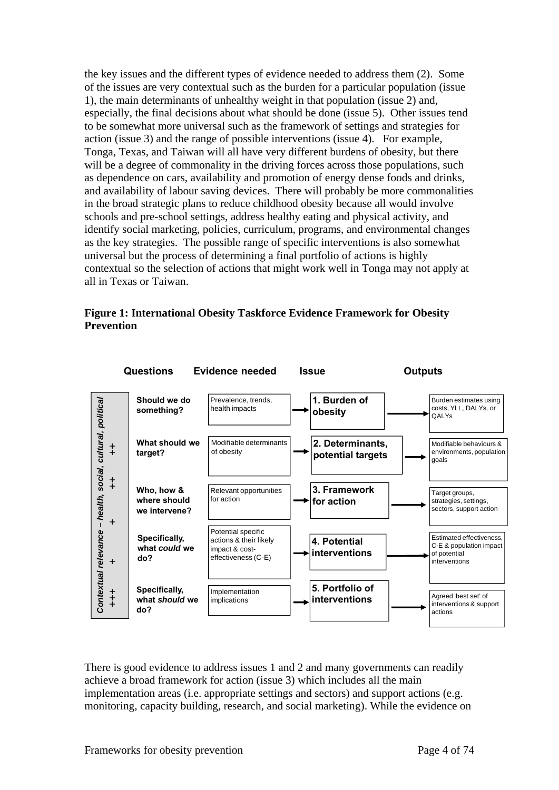the key issues and the different types of evidence needed to address them (2). Some of the issues are very contextual such as the burden for a particular population (issue 1), the main determinants of unhealthy weight in that population (issue 2) and, especially, the final decisions about what should be done (issue 5). Other issues tend to be somewhat more universal such as the framework of settings and strategies for action (issue 3) and the range of possible interventions (issue 4). For example, Tonga, Texas, and Taiwan will all have very different burdens of obesity, but there will be a degree of commonality in the driving forces across those populations, such as dependence on cars, availability and promotion of energy dense foods and drinks, and availability of labour saving devices. There will probably be more commonalities in the broad strategic plans to reduce childhood obesity because all would involve schools and pre-school settings, address healthy eating and physical activity, and identify social marketing, policies, curriculum, programs, and environmental changes as the key strategies. The possible range of specific interventions is also somewhat universal but the process of determining a final portfolio of actions is highly contextual so the selection of actions that might work well in Tonga may not apply at all in Texas or Taiwan.

#### **Figure 1: International Obesity Taskforce Evidence Framework for Obesity Prevention**



There is good evidence to address issues 1 and 2 and many governments can readily achieve a broad framework for action (issue 3) which includes all the main implementation areas (i.e. appropriate settings and sectors) and support actions (e.g. monitoring, capacity building, research, and social marketing). While the evidence on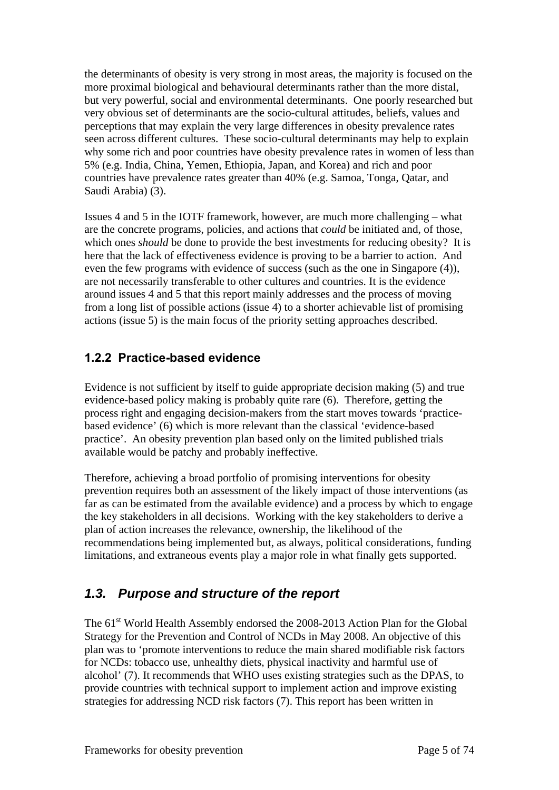the determinants of obesity is very strong in most areas, the majority is focused on the more proximal biological and behavioural determinants rather than the more distal, but very powerful, social and environmental determinants. One poorly researched but very obvious set of determinants are the socio-cultural attitudes, beliefs, values and perceptions that may explain the very large differences in obesity prevalence rates seen across different cultures. These socio-cultural determinants may help to explain why some rich and poor countries have obesity prevalence rates in women of less than 5% (e.g. India, China, Yemen, Ethiopia, Japan, and Korea) and rich and poor countries have prevalence rates greater than 40% (e.g. Samoa, Tonga, Qatar, and Saudi Arabia) (3).

Issues 4 and 5 in the IOTF framework, however, are much more challenging – what are the concrete programs, policies, and actions that *could* be initiated and, of those, which ones *should* be done to provide the best investments for reducing obesity? It is here that the lack of effectiveness evidence is proving to be a barrier to action. And even the few programs with evidence of success (such as the one in Singapore (4)), are not necessarily transferable to other cultures and countries. It is the evidence around issues 4 and 5 that this report mainly addresses and the process of moving from a long list of possible actions (issue 4) to a shorter achievable list of promising actions (issue 5) is the main focus of the priority setting approaches described.

#### **1.2.2 Practice-based evidence**

Evidence is not sufficient by itself to guide appropriate decision making (5) and true evidence-based policy making is probably quite rare (6). Therefore, getting the process right and engaging decision-makers from the start moves towards 'practicebased evidence' (6) which is more relevant than the classical 'evidence-based practice'. An obesity prevention plan based only on the limited published trials available would be patchy and probably ineffective.

Therefore, achieving a broad portfolio of promising interventions for obesity prevention requires both an assessment of the likely impact of those interventions (as far as can be estimated from the available evidence) and a process by which to engage the key stakeholders in all decisions. Working with the key stakeholders to derive a plan of action increases the relevance, ownership, the likelihood of the recommendations being implemented but, as always, political considerations, funding limitations, and extraneous events play a major role in what finally gets supported.

## *1.3. Purpose and structure of the report*

The 61<sup>st</sup> World Health Assembly endorsed the 2008-2013 Action Plan for the Global Strategy for the Prevention and Control of NCDs in May 2008. An objective of this plan was to 'promote interventions to reduce the main shared modifiable risk factors for NCDs: tobacco use, unhealthy diets, physical inactivity and harmful use of alcohol' (7). It recommends that WHO uses existing strategies such as the DPAS, to provide countries with technical support to implement action and improve existing strategies for addressing NCD risk factors (7). This report has been written in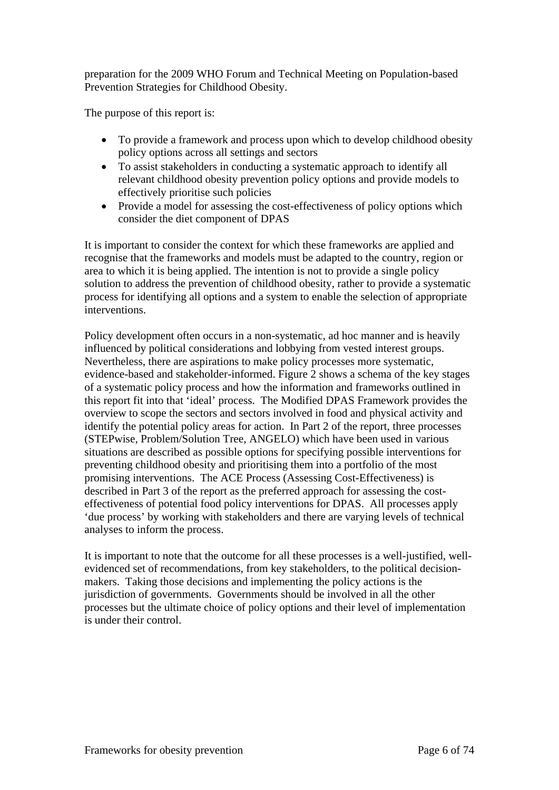preparation for the 2009 WHO Forum and Technical Meeting on Population-based Prevention Strategies for Childhood Obesity.

The purpose of this report is:

- To provide a framework and process upon which to develop childhood obesity policy options across all settings and sectors
- To assist stakeholders in conducting a systematic approach to identify all relevant childhood obesity prevention policy options and provide models to effectively prioritise such policies
- Provide a model for assessing the cost-effectiveness of policy options which consider the diet component of DPAS

It is important to consider the context for which these frameworks are applied and recognise that the frameworks and models must be adapted to the country, region or area to which it is being applied. The intention is not to provide a single policy solution to address the prevention of childhood obesity, rather to provide a systematic process for identifying all options and a system to enable the selection of appropriate interventions.

Policy development often occurs in a non-systematic, ad hoc manner and is heavily influenced by political considerations and lobbying from vested interest groups. Nevertheless, there are aspirations to make policy processes more systematic, evidence-based and stakeholder-informed. Figure 2 shows a schema of the key stages of a systematic policy process and how the information and frameworks outlined in this report fit into that 'ideal' process. The Modified DPAS Framework provides the overview to scope the sectors and sectors involved in food and physical activity and identify the potential policy areas for action. In Part 2 of the report, three processes (STEPwise, Problem/Solution Tree, ANGELO) which have been used in various situations are described as possible options for specifying possible interventions for preventing childhood obesity and prioritising them into a portfolio of the most promising interventions. The ACE Process (Assessing Cost-Effectiveness) is described in Part 3 of the report as the preferred approach for assessing the costeffectiveness of potential food policy interventions for DPAS. All processes apply 'due process' by working with stakeholders and there are varying levels of technical analyses to inform the process.

It is important to note that the outcome for all these processes is a well-justified, wellevidenced set of recommendations, from key stakeholders, to the political decisionmakers. Taking those decisions and implementing the policy actions is the jurisdiction of governments. Governments should be involved in all the other processes but the ultimate choice of policy options and their level of implementation is under their control.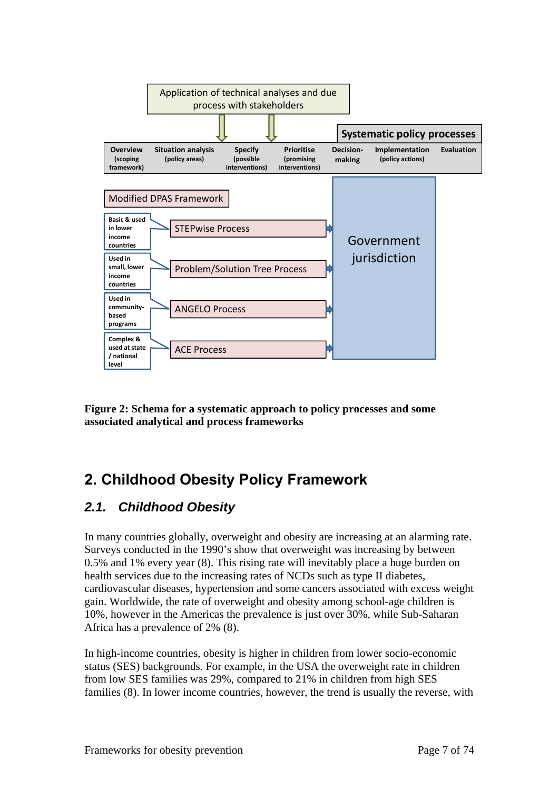

**Figure 2: Schema for a systematic approach to policy processes and some associated analytical and process frameworks** 

# **2. Childhood Obesity Policy Framework**

## *2.1. Childhood Obesity*

In many countries globally, overweight and obesity are increasing at an alarming rate. Surveys conducted in the 1990's show that overweight was increasing by between 0.5% and 1% every year (8). This rising rate will inevitably place a huge burden on health services due to the increasing rates of NCDs such as type II diabetes, cardiovascular diseases, hypertension and some cancers associated with excess weight gain. Worldwide, the rate of overweight and obesity among school-age children is 10%, however in the Americas the prevalence is just over 30%, while Sub-Saharan Africa has a prevalence of 2% (8).

In high-income countries, obesity is higher in children from lower socio-economic status (SES) backgrounds. For example, in the USA the overweight rate in children from low SES families was 29%, compared to 21% in children from high SES families (8). In lower income countries, however, the trend is usually the reverse, with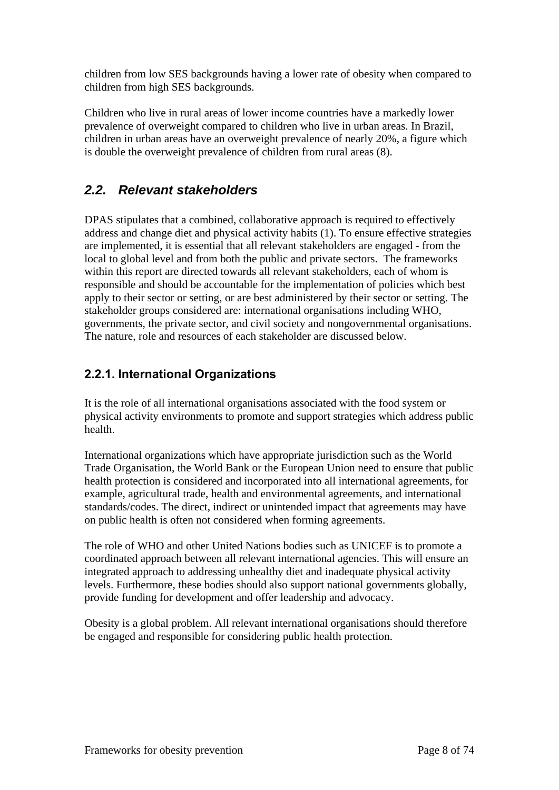children from low SES backgrounds having a lower rate of obesity when compared to children from high SES backgrounds.

Children who live in rural areas of lower income countries have a markedly lower prevalence of overweight compared to children who live in urban areas. In Brazil, children in urban areas have an overweight prevalence of nearly 20%, a figure which is double the overweight prevalence of children from rural areas (8).

## *2.2. Relevant stakeholders*

DPAS stipulates that a combined, collaborative approach is required to effectively address and change diet and physical activity habits (1). To ensure effective strategies are implemented, it is essential that all relevant stakeholders are engaged - from the local to global level and from both the public and private sectors. The frameworks within this report are directed towards all relevant stakeholders, each of whom is responsible and should be accountable for the implementation of policies which best apply to their sector or setting, or are best administered by their sector or setting. The stakeholder groups considered are: international organisations including WHO, governments, the private sector, and civil society and nongovernmental organisations. The nature, role and resources of each stakeholder are discussed below.

## **2.2.1. International Organizations**

It is the role of all international organisations associated with the food system or physical activity environments to promote and support strategies which address public health.

International organizations which have appropriate jurisdiction such as the World Trade Organisation, the World Bank or the European Union need to ensure that public health protection is considered and incorporated into all international agreements, for example, agricultural trade, health and environmental agreements, and international standards/codes. The direct, indirect or unintended impact that agreements may have on public health is often not considered when forming agreements.

The role of WHO and other United Nations bodies such as UNICEF is to promote a coordinated approach between all relevant international agencies. This will ensure an integrated approach to addressing unhealthy diet and inadequate physical activity levels. Furthermore, these bodies should also support national governments globally, provide funding for development and offer leadership and advocacy.

Obesity is a global problem. All relevant international organisations should therefore be engaged and responsible for considering public health protection.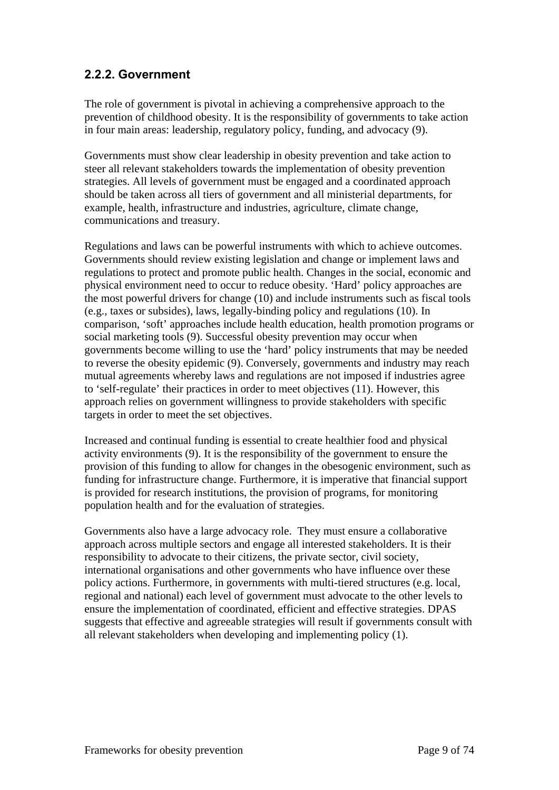#### **2.2.2. Government**

The role of government is pivotal in achieving a comprehensive approach to the prevention of childhood obesity. It is the responsibility of governments to take action in four main areas: leadership, regulatory policy, funding, and advocacy (9).

Governments must show clear leadership in obesity prevention and take action to steer all relevant stakeholders towards the implementation of obesity prevention strategies. All levels of government must be engaged and a coordinated approach should be taken across all tiers of government and all ministerial departments, for example, health, infrastructure and industries, agriculture, climate change, communications and treasury.

Regulations and laws can be powerful instruments with which to achieve outcomes. Governments should review existing legislation and change or implement laws and regulations to protect and promote public health. Changes in the social, economic and physical environment need to occur to reduce obesity. 'Hard' policy approaches are the most powerful drivers for change (10) and include instruments such as fiscal tools (e.g., taxes or subsides), laws, legally-binding policy and regulations (10). In comparison, 'soft' approaches include health education, health promotion programs or social marketing tools (9). Successful obesity prevention may occur when governments become willing to use the 'hard' policy instruments that may be needed to reverse the obesity epidemic (9). Conversely, governments and industry may reach mutual agreements whereby laws and regulations are not imposed if industries agree to 'self-regulate' their practices in order to meet objectives (11). However, this approach relies on government willingness to provide stakeholders with specific targets in order to meet the set objectives.

Increased and continual funding is essential to create healthier food and physical activity environments (9). It is the responsibility of the government to ensure the provision of this funding to allow for changes in the obesogenic environment, such as funding for infrastructure change. Furthermore, it is imperative that financial support is provided for research institutions, the provision of programs, for monitoring population health and for the evaluation of strategies.

Governments also have a large advocacy role. They must ensure a collaborative approach across multiple sectors and engage all interested stakeholders. It is their responsibility to advocate to their citizens, the private sector, civil society, international organisations and other governments who have influence over these policy actions. Furthermore, in governments with multi-tiered structures (e.g. local, regional and national) each level of government must advocate to the other levels to ensure the implementation of coordinated, efficient and effective strategies. DPAS suggests that effective and agreeable strategies will result if governments consult with all relevant stakeholders when developing and implementing policy (1).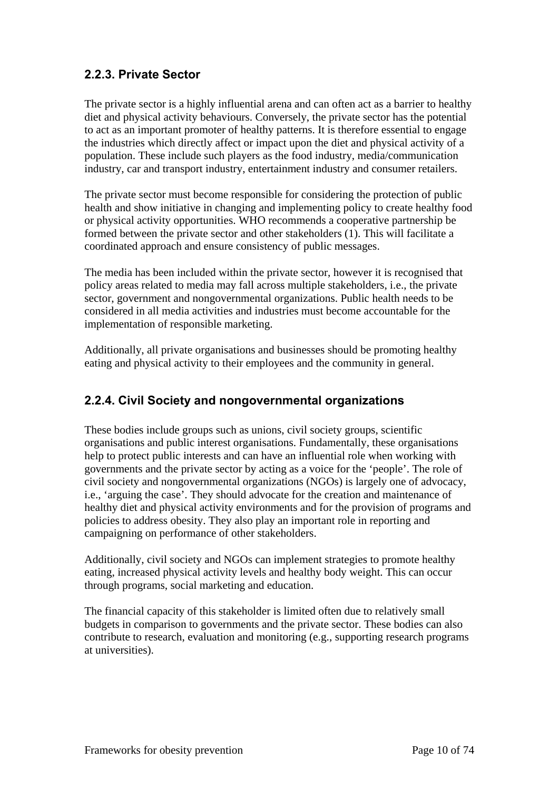#### **2.2.3. Private Sector**

The private sector is a highly influential arena and can often act as a barrier to healthy diet and physical activity behaviours. Conversely, the private sector has the potential to act as an important promoter of healthy patterns. It is therefore essential to engage the industries which directly affect or impact upon the diet and physical activity of a population. These include such players as the food industry, media/communication industry, car and transport industry, entertainment industry and consumer retailers.

The private sector must become responsible for considering the protection of public health and show initiative in changing and implementing policy to create healthy food or physical activity opportunities. WHO recommends a cooperative partnership be formed between the private sector and other stakeholders (1). This will facilitate a coordinated approach and ensure consistency of public messages.

The media has been included within the private sector, however it is recognised that policy areas related to media may fall across multiple stakeholders, i.e., the private sector, government and nongovernmental organizations. Public health needs to be considered in all media activities and industries must become accountable for the implementation of responsible marketing.

Additionally, all private organisations and businesses should be promoting healthy eating and physical activity to their employees and the community in general.

### **2.2.4. Civil Society and nongovernmental organizations**

These bodies include groups such as unions, civil society groups, scientific organisations and public interest organisations. Fundamentally, these organisations help to protect public interests and can have an influential role when working with governments and the private sector by acting as a voice for the 'people'. The role of civil society and nongovernmental organizations (NGOs) is largely one of advocacy, i.e., 'arguing the case'. They should advocate for the creation and maintenance of healthy diet and physical activity environments and for the provision of programs and policies to address obesity. They also play an important role in reporting and campaigning on performance of other stakeholders.

Additionally, civil society and NGOs can implement strategies to promote healthy eating, increased physical activity levels and healthy body weight. This can occur through programs, social marketing and education.

The financial capacity of this stakeholder is limited often due to relatively small budgets in comparison to governments and the private sector. These bodies can also contribute to research, evaluation and monitoring (e.g., supporting research programs at universities).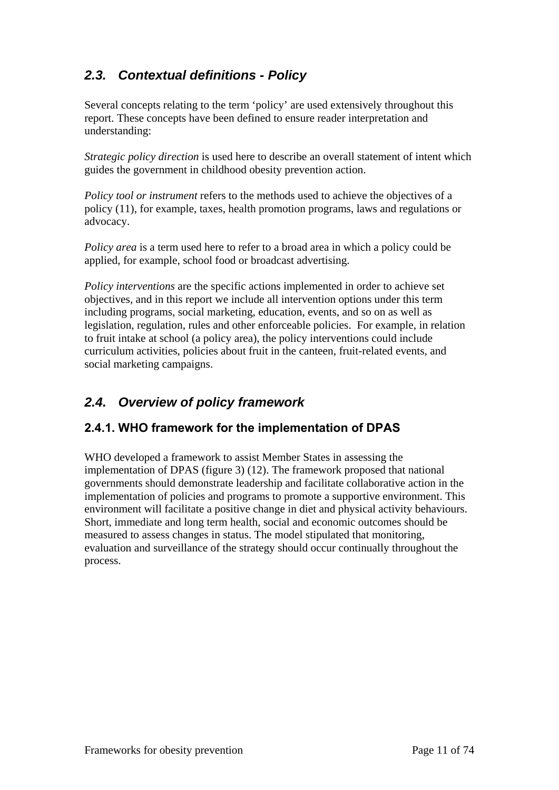## *2.3. Contextual definitions - Policy*

Several concepts relating to the term 'policy' are used extensively throughout this report. These concepts have been defined to ensure reader interpretation and understanding:

*Strategic policy direction* is used here to describe an overall statement of intent which guides the government in childhood obesity prevention action.

*Policy tool or instrument* refers to the methods used to achieve the objectives of a policy (11), for example, taxes, health promotion programs, laws and regulations or advocacy.

*Policy area* is a term used here to refer to a broad area in which a policy could be applied, for example, school food or broadcast advertising.

*Policy interventions* are the specific actions implemented in order to achieve set objectives, and in this report we include all intervention options under this term including programs, social marketing, education, events, and so on as well as legislation, regulation, rules and other enforceable policies. For example, in relation to fruit intake at school (a policy area), the policy interventions could include curriculum activities, policies about fruit in the canteen, fruit-related events, and social marketing campaigns.

## *2.4. Overview of policy framework*

#### **2.4.1. WHO framework for the implementation of DPAS**

WHO developed a framework to assist Member States in assessing the implementation of DPAS (figure 3) (12). The framework proposed that national governments should demonstrate leadership and facilitate collaborative action in the implementation of policies and programs to promote a supportive environment. This environment will facilitate a positive change in diet and physical activity behaviours. Short, immediate and long term health, social and economic outcomes should be measured to assess changes in status. The model stipulated that monitoring, evaluation and surveillance of the strategy should occur continually throughout the process.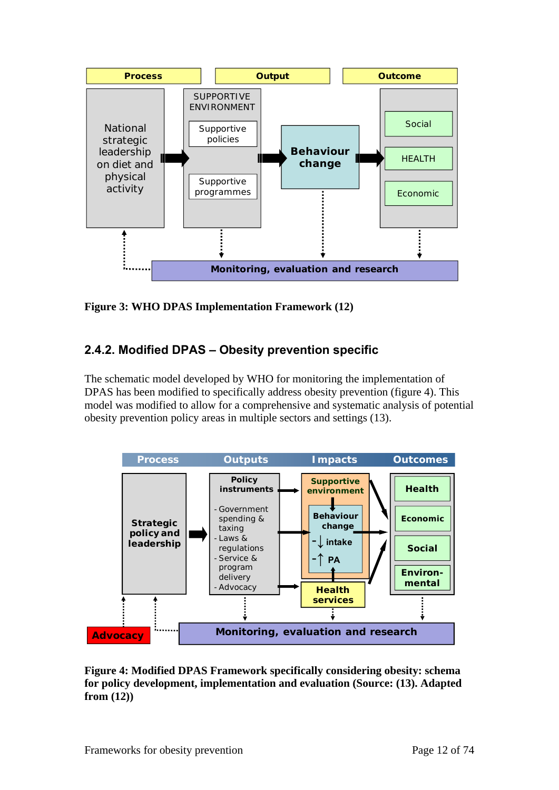

**Figure 3: WHO DPAS Implementation Framework (12)** 

## **2.4.2. Modified DPAS – Obesity prevention specific**

The schematic model developed by WHO for monitoring the implementation of DPAS has been modified to specifically address obesity prevention (figure 4). This model was modified to allow for a comprehensive and systematic analysis of potential obesity prevention policy areas in multiple sectors and settings (13).



**Figure 4: Modified DPAS Framework specifically considering obesity: schema for policy development, implementation and evaluation (Source: (13). Adapted from (12))**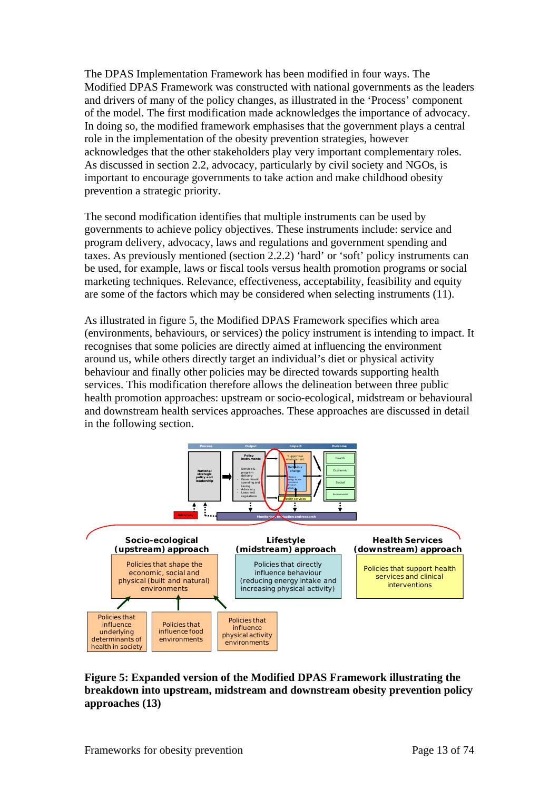The DPAS Implementation Framework has been modified in four ways. The Modified DPAS Framework was constructed with national governments as the leaders and drivers of many of the policy changes, as illustrated in the 'Process' component of the model. The first modification made acknowledges the importance of advocacy. In doing so, the modified framework emphasises that the government plays a central role in the implementation of the obesity prevention strategies, however acknowledges that the other stakeholders play very important complementary roles. As discussed in section 2.2, advocacy, particularly by civil society and NGOs, is important to encourage governments to take action and make childhood obesity prevention a strategic priority.

The second modification identifies that multiple instruments can be used by governments to achieve policy objectives. These instruments include: service and program delivery, advocacy, laws and regulations and government spending and taxes. As previously mentioned (section 2.2.2) 'hard' or 'soft' policy instruments can be used, for example, laws or fiscal tools versus health promotion programs or social marketing techniques. Relevance, effectiveness, acceptability, feasibility and equity are some of the factors which may be considered when selecting instruments (11).

As illustrated in figure 5, the Modified DPAS Framework specifies which area (environments, behaviours, or services) the policy instrument is intending to impact. It recognises that some policies are directly aimed at influencing the environment around us, while others directly target an individual's diet or physical activity behaviour and finally other policies may be directed towards supporting health services. This modification therefore allows the delineation between three public health promotion approaches: upstream or socio-ecological, midstream or behavioural and downstream health services approaches. These approaches are discussed in detail in the following section.



#### **Figure 5: Expanded version of the Modified DPAS Framework illustrating the breakdown into upstream, midstream and downstream obesity prevention policy approaches (13)**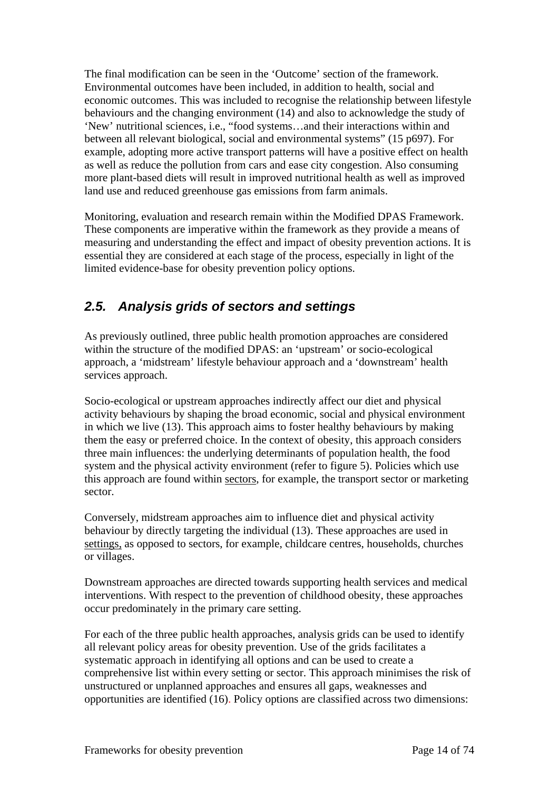The final modification can be seen in the 'Outcome' section of the framework. Environmental outcomes have been included, in addition to health, social and economic outcomes. This was included to recognise the relationship between lifestyle behaviours and the changing environment (14) and also to acknowledge the study of 'New' nutritional sciences, i.e., "food systems…and their interactions within and between all relevant biological, social and environmental systems" (15 p697). For example, adopting more active transport patterns will have a positive effect on health as well as reduce the pollution from cars and ease city congestion. Also consuming more plant-based diets will result in improved nutritional health as well as improved land use and reduced greenhouse gas emissions from farm animals.

Monitoring, evaluation and research remain within the Modified DPAS Framework. These components are imperative within the framework as they provide a means of measuring and understanding the effect and impact of obesity prevention actions. It is essential they are considered at each stage of the process, especially in light of the limited evidence-base for obesity prevention policy options.

## *2.5. Analysis grids of sectors and settings*

As previously outlined, three public health promotion approaches are considered within the structure of the modified DPAS: an 'upstream' or socio-ecological approach, a 'midstream' lifestyle behaviour approach and a 'downstream' health services approach.

Socio-ecological or upstream approaches indirectly affect our diet and physical activity behaviours by shaping the broad economic, social and physical environment in which we live (13). This approach aims to foster healthy behaviours by making them the easy or preferred choice. In the context of obesity, this approach considers three main influences: the underlying determinants of population health, the food system and the physical activity environment (refer to figure 5). Policies which use this approach are found within sectors, for example, the transport sector or marketing sector.

Conversely, midstream approaches aim to influence diet and physical activity behaviour by directly targeting the individual (13). These approaches are used in settings, as opposed to sectors, for example, childcare centres, households, churches or villages.

Downstream approaches are directed towards supporting health services and medical interventions. With respect to the prevention of childhood obesity, these approaches occur predominately in the primary care setting.

For each of the three public health approaches, analysis grids can be used to identify all relevant policy areas for obesity prevention. Use of the grids facilitates a systematic approach in identifying all options and can be used to create a comprehensive list within every setting or sector. This approach minimises the risk of unstructured or unplanned approaches and ensures all gaps, weaknesses and opportunities are identified (16). Policy options are classified across two dimensions: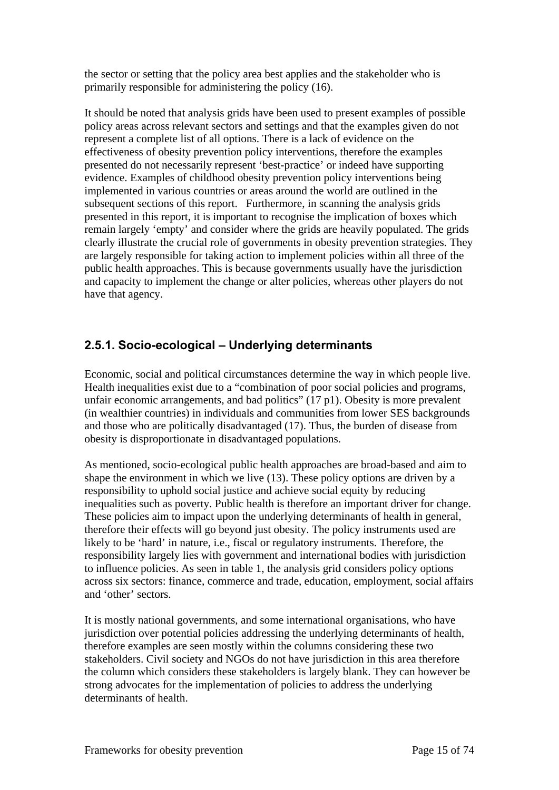the sector or setting that the policy area best applies and the stakeholder who is primarily responsible for administering the policy (16).

It should be noted that analysis grids have been used to present examples of possible policy areas across relevant sectors and settings and that the examples given do not represent a complete list of all options. There is a lack of evidence on the effectiveness of obesity prevention policy interventions, therefore the examples presented do not necessarily represent 'best-practice' or indeed have supporting evidence. Examples of childhood obesity prevention policy interventions being implemented in various countries or areas around the world are outlined in the subsequent sections of this report. Furthermore, in scanning the analysis grids presented in this report, it is important to recognise the implication of boxes which remain largely 'empty' and consider where the grids are heavily populated. The grids clearly illustrate the crucial role of governments in obesity prevention strategies. They are largely responsible for taking action to implement policies within all three of the public health approaches. This is because governments usually have the jurisdiction and capacity to implement the change or alter policies, whereas other players do not have that agency.

#### **2.5.1. Socio-ecological – Underlying determinants**

Economic, social and political circumstances determine the way in which people live. Health inequalities exist due to a "combination of poor social policies and programs, unfair economic arrangements, and bad politics" (17 p1). Obesity is more prevalent (in wealthier countries) in individuals and communities from lower SES backgrounds and those who are politically disadvantaged (17). Thus, the burden of disease from obesity is disproportionate in disadvantaged populations.

As mentioned, socio-ecological public health approaches are broad-based and aim to shape the environment in which we live (13). These policy options are driven by a responsibility to uphold social justice and achieve social equity by reducing inequalities such as poverty. Public health is therefore an important driver for change. These policies aim to impact upon the underlying determinants of health in general, therefore their effects will go beyond just obesity. The policy instruments used are likely to be 'hard' in nature, i.e., fiscal or regulatory instruments. Therefore, the responsibility largely lies with government and international bodies with jurisdiction to influence policies. As seen in table 1, the analysis grid considers policy options across six sectors: finance, commerce and trade, education, employment, social affairs and 'other' sectors.

It is mostly national governments, and some international organisations, who have jurisdiction over potential policies addressing the underlying determinants of health, therefore examples are seen mostly within the columns considering these two stakeholders. Civil society and NGOs do not have jurisdiction in this area therefore the column which considers these stakeholders is largely blank. They can however be strong advocates for the implementation of policies to address the underlying determinants of health.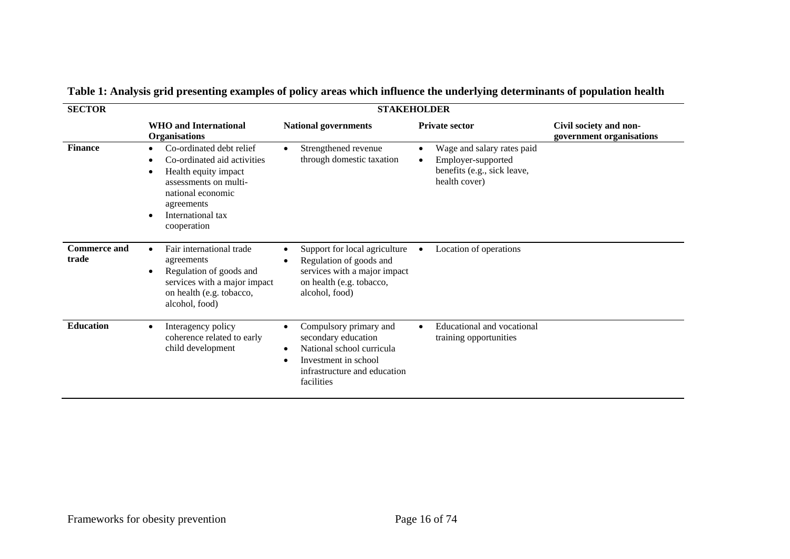| <b>SECTOR</b>                |                                                                                                                                                                                                                     | <b>STAKEHOLDER</b>                                                                                                                                                 |                                                                                                  |                                                    |
|------------------------------|---------------------------------------------------------------------------------------------------------------------------------------------------------------------------------------------------------------------|--------------------------------------------------------------------------------------------------------------------------------------------------------------------|--------------------------------------------------------------------------------------------------|----------------------------------------------------|
|                              | <b>WHO</b> and International<br><b>Organisations</b>                                                                                                                                                                | <b>National governments</b>                                                                                                                                        | <b>Private sector</b>                                                                            | Civil society and non-<br>government organisations |
| <b>Finance</b>               | Co-ordinated debt relief<br>$\bullet$<br>Co-ordinated aid activities<br>٠<br>Health equity impact<br>٠<br>assessments on multi-<br>national economic<br>agreements<br>International tax<br>$\bullet$<br>cooperation | Strengthened revenue<br>through domestic taxation                                                                                                                  | Wage and salary rates paid<br>Employer-supported<br>benefits (e.g., sick leave,<br>health cover) |                                                    |
| <b>Commerce and</b><br>trade | Fair international trade<br>$\bullet$<br>agreements<br>Regulation of goods and<br>$\bullet$<br>services with a major impact<br>on health (e.g. tobacco,<br>alcohol, food)                                           | Support for local agriculture<br>Regulation of goods and<br>services with a major impact<br>on health (e.g. tobacco,<br>alcohol, food)                             | Location of operations                                                                           |                                                    |
| <b>Education</b>             | Interagency policy<br>$\bullet$<br>coherence related to early<br>child development                                                                                                                                  | Compulsory primary and<br>$\bullet$<br>secondary education<br>National school curricula<br>٠<br>Investment in school<br>infrastructure and education<br>facilities | Educational and vocational<br>$\bullet$<br>training opportunities                                |                                                    |

## **Table 1: Analysis grid presenting examples of policy areas which influence the underlying determinants of population health**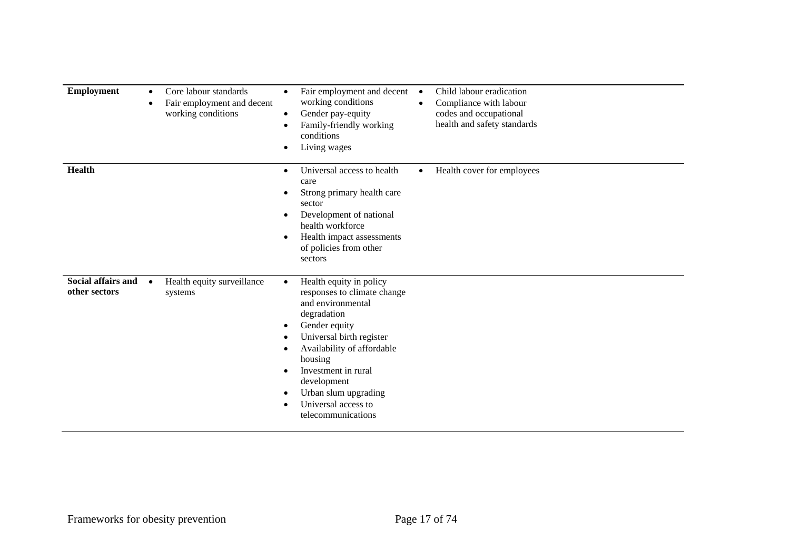| <b>Employment</b><br>$\bullet$<br>٠                     | Core labour standards<br>Fair employment and decent<br>working conditions | Fair employment and decent<br>Child labour eradication<br>$\bullet$<br>working conditions<br>Compliance with labour<br>$\bullet$<br>Gender pay-equity<br>codes and occupational<br>$\bullet$<br>health and safety standards<br>Family-friendly working<br>conditions<br>Living wages                          |
|---------------------------------------------------------|---------------------------------------------------------------------------|---------------------------------------------------------------------------------------------------------------------------------------------------------------------------------------------------------------------------------------------------------------------------------------------------------------|
| <b>Health</b>                                           |                                                                           | Universal access to health<br>Health cover for employees<br>$\bullet$<br>٠<br>care<br>Strong primary health care<br>sector<br>Development of national<br>health workforce<br>Health impact assessments<br>of policies from other<br>sectors                                                                   |
| <b>Social affairs and</b><br>$\bullet$<br>other sectors | Health equity surveillance<br>systems                                     | Health equity in policy<br>$\bullet$<br>responses to climate change<br>and environmental<br>degradation<br>Gender equity<br>٠<br>Universal birth register<br>Availability of affordable<br>housing<br>Investment in rural<br>development<br>Urban slum upgrading<br>Universal access to<br>telecommunications |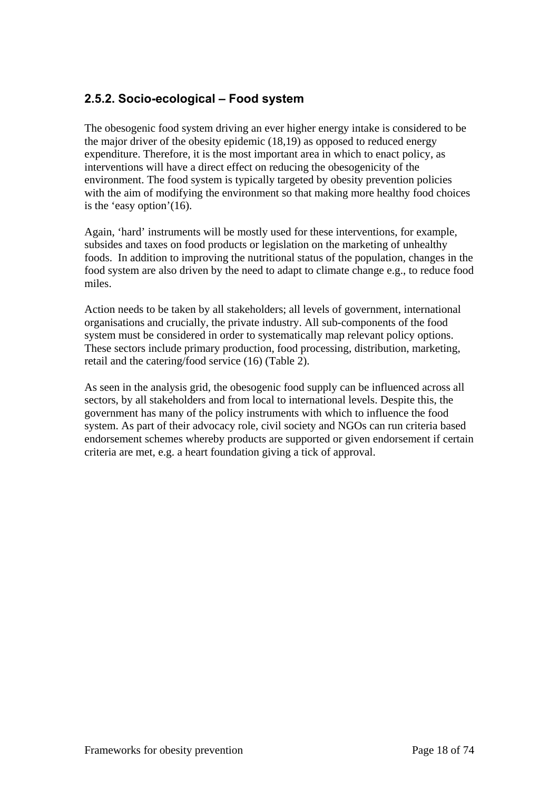#### **2.5.2. Socio-ecological – Food system**

The obesogenic food system driving an ever higher energy intake is considered to be the major driver of the obesity epidemic (18,19) as opposed to reduced energy expenditure. Therefore, it is the most important area in which to enact policy, as interventions will have a direct effect on reducing the obesogenicity of the environment. The food system is typically targeted by obesity prevention policies with the aim of modifying the environment so that making more healthy food choices is the 'easy option'(16).

Again, 'hard' instruments will be mostly used for these interventions, for example, subsides and taxes on food products or legislation on the marketing of unhealthy foods. In addition to improving the nutritional status of the population, changes in the food system are also driven by the need to adapt to climate change e.g., to reduce food miles.

Action needs to be taken by all stakeholders; all levels of government, international organisations and crucially, the private industry. All sub-components of the food system must be considered in order to systematically map relevant policy options. These sectors include primary production, food processing, distribution, marketing, retail and the catering/food service (16) (Table 2).

As seen in the analysis grid, the obesogenic food supply can be influenced across all sectors, by all stakeholders and from local to international levels. Despite this, the government has many of the policy instruments with which to influence the food system. As part of their advocacy role, civil society and NGOs can run criteria based endorsement schemes whereby products are supported or given endorsement if certain criteria are met, e.g. a heart foundation giving a tick of approval.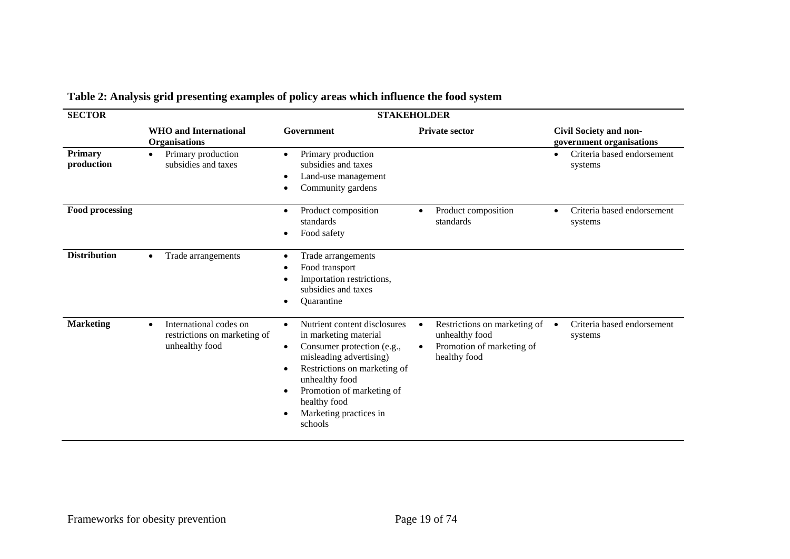| <b>SECTOR</b>                                        | <b>STAKEHOLDER</b>                                                                    |                                                                                                                                                                                                                                                                                           |                                                                                             |                                                    |  |  |
|------------------------------------------------------|---------------------------------------------------------------------------------------|-------------------------------------------------------------------------------------------------------------------------------------------------------------------------------------------------------------------------------------------------------------------------------------------|---------------------------------------------------------------------------------------------|----------------------------------------------------|--|--|
| <b>WHO</b> and International<br><b>Organisations</b> |                                                                                       | Government                                                                                                                                                                                                                                                                                | <b>Private sector</b>                                                                       | Civil Society and non-<br>government organisations |  |  |
| <b>Primary</b><br>production                         | Primary production<br>$\bullet$<br>subsidies and taxes                                | Primary production<br>$\bullet$<br>subsidies and taxes<br>Land-use management<br>$\bullet$<br>Community gardens                                                                                                                                                                           |                                                                                             | Criteria based endorsement<br>$\bullet$<br>systems |  |  |
| <b>Food processing</b>                               |                                                                                       | Product composition<br>$\bullet$<br>standards<br>Food safety<br>$\bullet$                                                                                                                                                                                                                 | Product composition<br>standards                                                            | Criteria based endorsement<br>systems              |  |  |
| <b>Distribution</b>                                  | Trade arrangements<br>$\bullet$                                                       | Trade arrangements<br>$\bullet$<br>Food transport<br>Importation restrictions,<br>subsidies and taxes<br><b>Ouarantine</b>                                                                                                                                                                |                                                                                             |                                                    |  |  |
| <b>Marketing</b>                                     | International codes on<br>$\bullet$<br>restrictions on marketing of<br>unhealthy food | Nutrient content disclosures<br>$\bullet$<br>in marketing material<br>Consumer protection (e.g.,<br>$\bullet$<br>misleading advertising)<br>Restrictions on marketing of<br>$\bullet$<br>unhealthy food<br>Promotion of marketing of<br>healthy food<br>Marketing practices in<br>schools | Restrictions on marketing of<br>unhealthy food<br>Promotion of marketing of<br>healthy food | Criteria based endorsement<br>$\bullet$<br>systems |  |  |

## **Table 2: Analysis grid presenting examples of policy areas which influence the food system**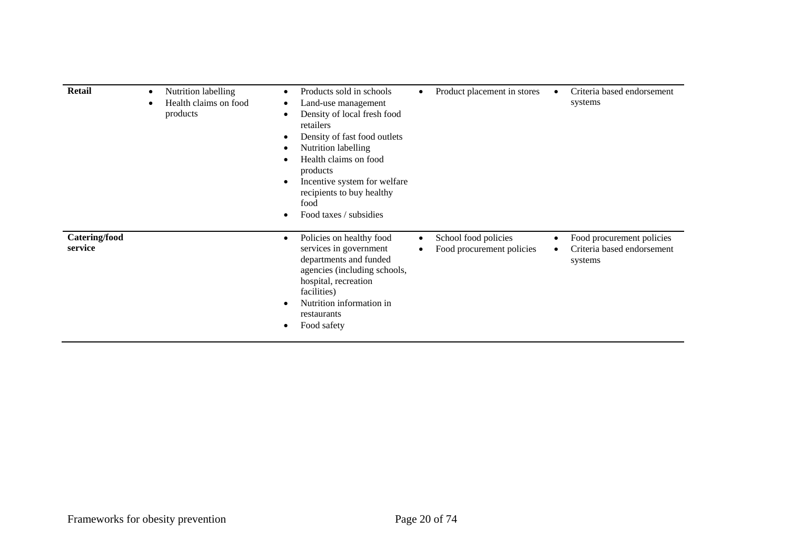| <b>Retail</b>                   | $\bullet$<br>٠ | Nutrition labelling<br>Health claims on food<br>products | $\bullet$<br>retailers<br>products<br>food             | Products sold in schools<br>Land-use management<br>Density of local fresh food<br>Density of fast food outlets<br>Nutrition labelling<br>Health claims on food<br>Incentive system for welfare<br>recipients to buy healthy<br>Food taxes / subsidies |           | Product placement in stores                       | Criteria based endorsement<br>systems                              |
|---------------------------------|----------------|----------------------------------------------------------|--------------------------------------------------------|-------------------------------------------------------------------------------------------------------------------------------------------------------------------------------------------------------------------------------------------------------|-----------|---------------------------------------------------|--------------------------------------------------------------------|
| <b>Catering/food</b><br>service |                |                                                          | $\bullet$<br>facilities)<br>restaurants<br>Food safety | Policies on healthy food<br>services in government<br>departments and funded<br>agencies (including schools,<br>hospital, recreation<br>Nutrition information in                                                                                      | $\bullet$ | School food policies<br>Food procurement policies | Food procurement policies<br>Criteria based endorsement<br>systems |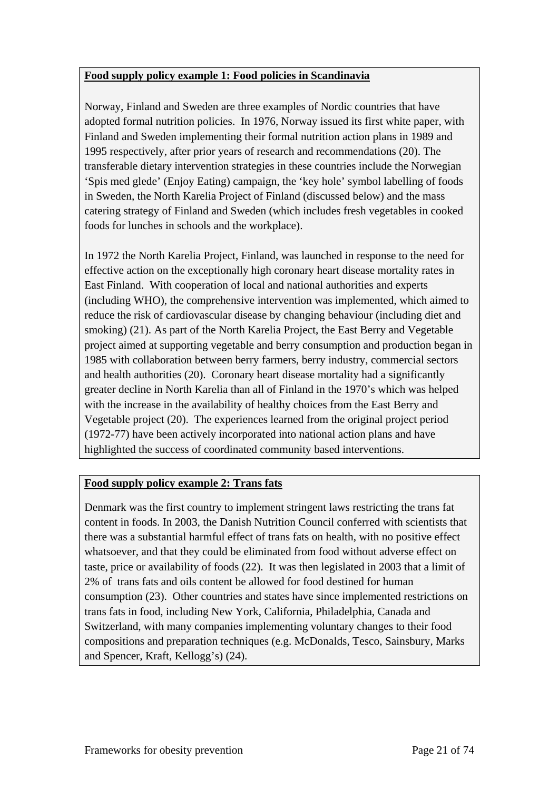#### **Food supply policy example 1: Food policies in Scandinavia**

Norway, Finland and Sweden are three examples of Nordic countries that have adopted formal nutrition policies. In 1976, Norway issued its first white paper, with Finland and Sweden implementing their formal nutrition action plans in 1989 and 1995 respectively, after prior years of research and recommendations (20). The transferable dietary intervention strategies in these countries include the Norwegian 'Spis med glede' (Enjoy Eating) campaign, the 'key hole' symbol labelling of foods in Sweden, the North Karelia Project of Finland (discussed below) and the mass catering strategy of Finland and Sweden (which includes fresh vegetables in cooked foods for lunches in schools and the workplace).

In 1972 the North Karelia Project, Finland, was launched in response to the need for effective action on the exceptionally high coronary heart disease mortality rates in East Finland. With cooperation of local and national authorities and experts (including WHO), the comprehensive intervention was implemented, which aimed to reduce the risk of cardiovascular disease by changing behaviour (including diet and smoking) (21). As part of the North Karelia Project, the East Berry and Vegetable project aimed at supporting vegetable and berry consumption and production began in 1985 with collaboration between berry farmers, berry industry, commercial sectors and health authorities (20). Coronary heart disease mortality had a significantly greater decline in North Karelia than all of Finland in the 1970's which was helped with the increase in the availability of healthy choices from the East Berry and Vegetable project (20). The experiences learned from the original project period (1972-77) have been actively incorporated into national action plans and have highlighted the success of coordinated community based interventions.

#### **Food supply policy example 2: Trans fats**

Denmark was the first country to implement stringent laws restricting the trans fat content in foods. In 2003, the Danish Nutrition Council conferred with scientists that there was a substantial harmful effect of trans fats on health, with no positive effect whatsoever, and that they could be eliminated from food without adverse effect on taste, price or availability of foods (22). It was then legislated in 2003 that a limit of 2% of trans fats and oils content be allowed for food destined for human consumption (23). Other countries and states have since implemented restrictions on trans fats in food, including New York, California, Philadelphia, Canada and Switzerland, with many companies implementing voluntary changes to their food compositions and preparation techniques (e.g. McDonalds, Tesco, Sainsbury, Marks and Spencer, Kraft, Kellogg's) (24).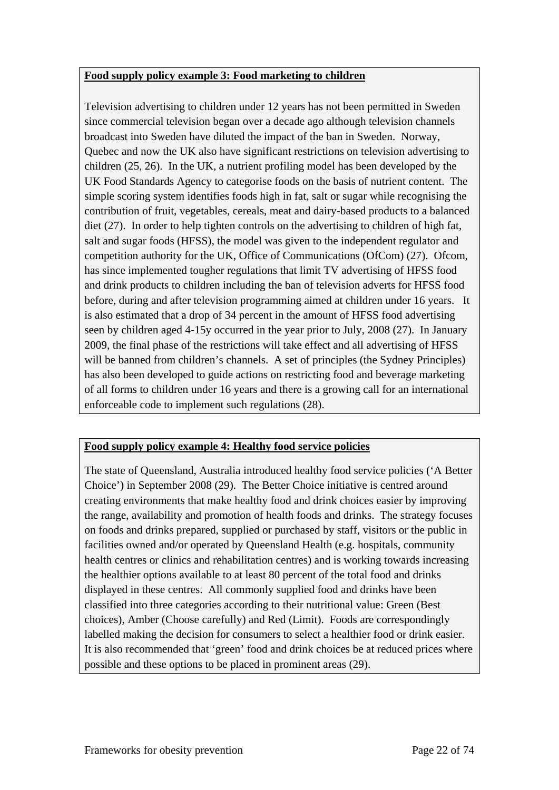#### **Food supply policy example 3: Food marketing to children**

Television advertising to children under 12 years has not been permitted in Sweden since commercial television began over a decade ago although television channels broadcast into Sweden have diluted the impact of the ban in Sweden. Norway, Quebec and now the UK also have significant restrictions on television advertising to children (25, 26). In the UK, a nutrient profiling model has been developed by the UK Food Standards Agency to categorise foods on the basis of nutrient content. The simple scoring system identifies foods high in fat, salt or sugar while recognising the contribution of fruit, vegetables, cereals, meat and dairy-based products to a balanced diet (27). In order to help tighten controls on the advertising to children of high fat, salt and sugar foods (HFSS), the model was given to the independent regulator and competition authority for the UK, Office of Communications (OfCom) (27). Ofcom, has since implemented tougher regulations that limit TV advertising of HFSS food and drink products to children including the ban of television adverts for HFSS food before, during and after television programming aimed at children under 16 years. It is also estimated that a drop of 34 percent in the amount of HFSS food advertising seen by children aged 4-15y occurred in the year prior to July, 2008 (27). In January 2009, the final phase of the restrictions will take effect and all advertising of HFSS will be banned from children's channels. A set of principles (the Sydney Principles) has also been developed to guide actions on restricting food and beverage marketing of all forms to children under 16 years and there is a growing call for an international enforceable code to implement such regulations (28).

#### **Food supply policy example 4: Healthy food service policies**

The state of Queensland, Australia introduced healthy food service policies ('A Better Choice') in September 2008 (29). The Better Choice initiative is centred around creating environments that make healthy food and drink choices easier by improving the range, availability and promotion of health foods and drinks. The strategy focuses on foods and drinks prepared, supplied or purchased by staff, visitors or the public in facilities owned and/or operated by Queensland Health (e.g. hospitals, community health centres or clinics and rehabilitation centres) and is working towards increasing the healthier options available to at least 80 percent of the total food and drinks displayed in these centres. All commonly supplied food and drinks have been classified into three categories according to their nutritional value: Green (Best choices), Amber (Choose carefully) and Red (Limit). Foods are correspondingly labelled making the decision for consumers to select a healthier food or drink easier. It is also recommended that 'green' food and drink choices be at reduced prices where possible and these options to be placed in prominent areas (29).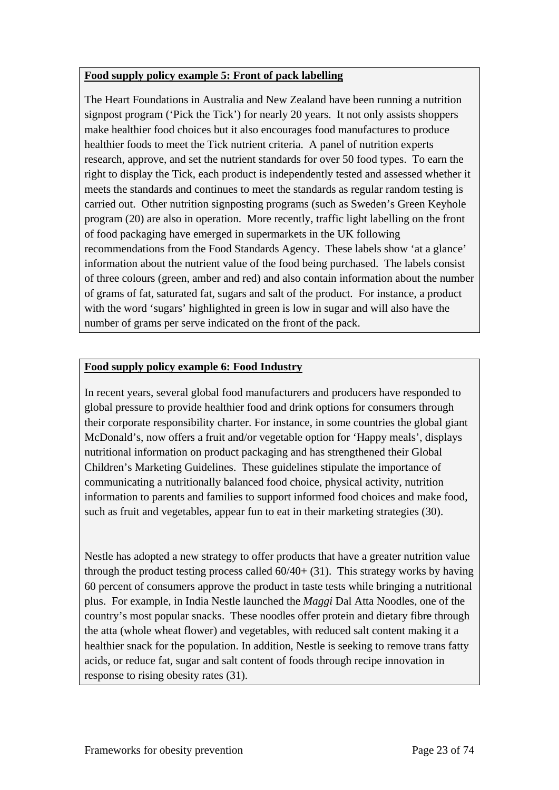#### **Food supply policy example 5: Front of pack labelling**

The Heart Foundations in Australia and New Zealand have been running a nutrition signpost program ('Pick the Tick') for nearly 20 years. It not only assists shoppers make healthier food choices but it also encourages food manufactures to produce healthier foods to meet the Tick nutrient criteria. A panel of nutrition experts research, approve, and set the nutrient standards for over 50 food types. To earn the right to display the Tick, each product is independently tested and assessed whether it meets the standards and continues to meet the standards as regular random testing is carried out. Other nutrition signposting programs (such as Sweden's Green Keyhole program (20) are also in operation. More recently, traffic light labelling on the front of food packaging have emerged in supermarkets in the UK following recommendations from the Food Standards Agency. These labels show 'at a glance' information about the nutrient value of the food being purchased. The labels consist of three colours (green, amber and red) and also contain information about the number of grams of fat, saturated fat, sugars and salt of the product. For instance, a product with the word 'sugars' highlighted in green is low in sugar and will also have the number of grams per serve indicated on the front of the pack.

#### **Food supply policy example 6: Food Industry**

In recent years, several global food manufacturers and producers have responded to global pressure to provide healthier food and drink options for consumers through their corporate responsibility charter. For instance, in some countries the global giant McDonald's, now offers a fruit and/or vegetable option for 'Happy meals', displays nutritional information on product packaging and has strengthened their Global Children's Marketing Guidelines. These guidelines stipulate the importance of communicating a nutritionally balanced food choice, physical activity, nutrition information to parents and families to support informed food choices and make food, such as fruit and vegetables, appear fun to eat in their marketing strategies (30).

Nestle has adopted a new strategy to offer products that have a greater nutrition value through the product testing process called  $60/40+ (31)$ . This strategy works by having 60 percent of consumers approve the product in taste tests while bringing a nutritional plus. For example, in India Nestle launched the *Maggi* Dal Atta Noodles, one of the country's most popular snacks. These noodles offer protein and dietary fibre through the atta (whole wheat flower) and vegetables, with reduced salt content making it a healthier snack for the population. In addition, Nestle is seeking to remove trans fatty acids, or reduce fat, sugar and salt content of foods through recipe innovation in response to rising obesity rates (31).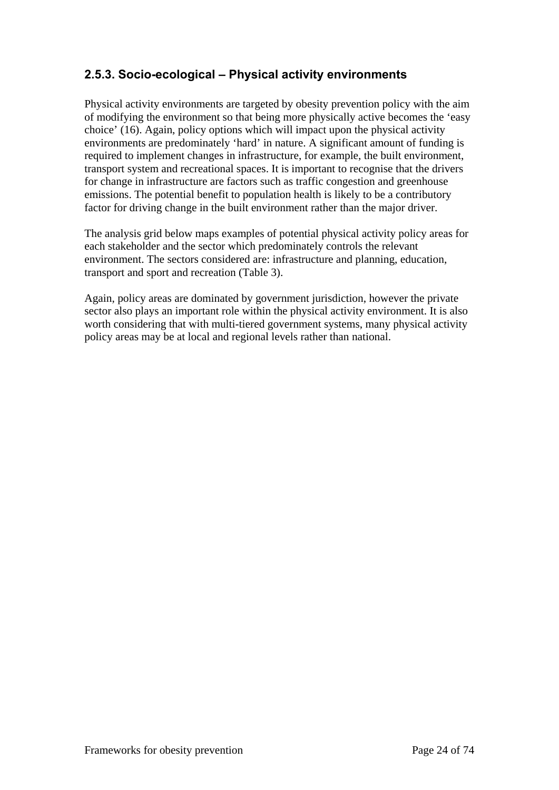#### **2.5.3. Socio-ecological – Physical activity environments**

Physical activity environments are targeted by obesity prevention policy with the aim of modifying the environment so that being more physically active becomes the 'easy choice' (16). Again, policy options which will impact upon the physical activity environments are predominately 'hard' in nature. A significant amount of funding is required to implement changes in infrastructure, for example, the built environment, transport system and recreational spaces. It is important to recognise that the drivers for change in infrastructure are factors such as traffic congestion and greenhouse emissions. The potential benefit to population health is likely to be a contributory factor for driving change in the built environment rather than the major driver.

The analysis grid below maps examples of potential physical activity policy areas for each stakeholder and the sector which predominately controls the relevant environment. The sectors considered are: infrastructure and planning, education, transport and sport and recreation (Table 3).

Again, policy areas are dominated by government jurisdiction, however the private sector also plays an important role within the physical activity environment. It is also worth considering that with multi-tiered government systems, many physical activity policy areas may be at local and regional levels rather than national.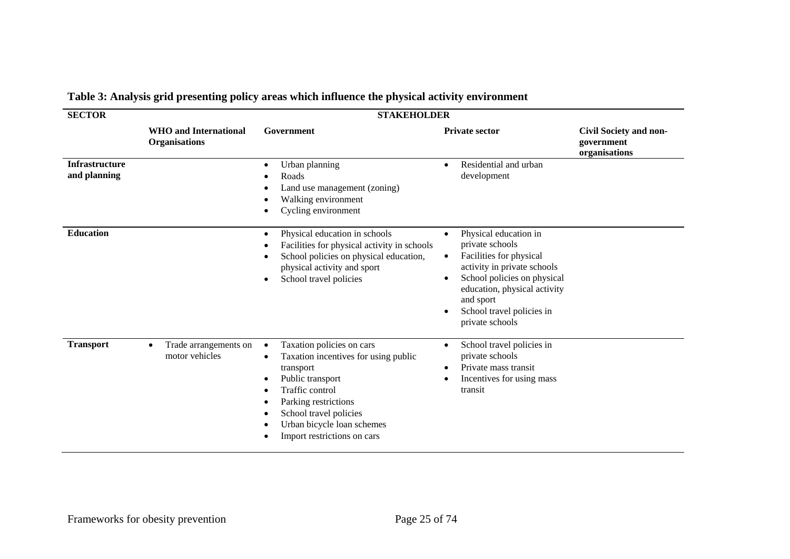| <b>SECTOR</b>                         | <b>STAKEHOLDER</b>                                   |                                                                                                                                                                                                                                                                     |                                                                                                                                                                                                                                                          |                                                       |  |  |  |
|---------------------------------------|------------------------------------------------------|---------------------------------------------------------------------------------------------------------------------------------------------------------------------------------------------------------------------------------------------------------------------|----------------------------------------------------------------------------------------------------------------------------------------------------------------------------------------------------------------------------------------------------------|-------------------------------------------------------|--|--|--|
|                                       | <b>WHO</b> and International<br><b>Organisations</b> | Government                                                                                                                                                                                                                                                          | <b>Private sector</b>                                                                                                                                                                                                                                    | Civil Society and non-<br>government<br>organisations |  |  |  |
| <b>Infrastructure</b><br>and planning |                                                      | Urban planning<br>$\bullet$<br>Roads<br>٠<br>Land use management (zoning)<br>Walking environment<br>Cycling environment                                                                                                                                             | Residential and urban<br>development                                                                                                                                                                                                                     |                                                       |  |  |  |
| <b>Education</b>                      |                                                      | Physical education in schools<br>$\bullet$<br>Facilities for physical activity in schools<br>School policies on physical education,<br>physical activity and sport<br>School travel policies<br>٠                                                                   | Physical education in<br>$\bullet$<br>private schools<br>Facilities for physical<br>$\bullet$<br>activity in private schools<br>School policies on physical<br>education, physical activity<br>and sport<br>School travel policies in<br>private schools |                                                       |  |  |  |
| <b>Transport</b>                      | Trade arrangements on<br>$\bullet$<br>motor vehicles | Taxation policies on cars<br>$\bullet$<br>Taxation incentives for using public<br>٠<br>transport<br>Public transport<br>$\bullet$<br>Traffic control<br>Parking restrictions<br>School travel policies<br>Urban bicycle loan schemes<br>Import restrictions on cars | School travel policies in<br>private schools<br>Private mass transit<br>٠<br>Incentives for using mass<br>transit                                                                                                                                        |                                                       |  |  |  |

## **Table 3: Analysis grid presenting policy areas which influence the physical activity environment**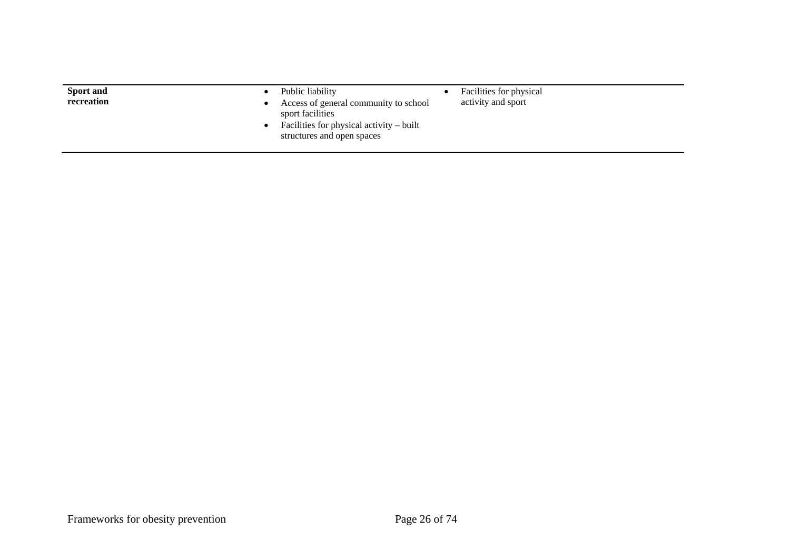| Sport and<br>recreation | Facilities for physical<br>Public liability<br>activity and sport<br>Access of general community to school<br>sport facilities<br>Facilities for physical activity $-$ built<br>structures and open spaces |  |
|-------------------------|------------------------------------------------------------------------------------------------------------------------------------------------------------------------------------------------------------|--|
|-------------------------|------------------------------------------------------------------------------------------------------------------------------------------------------------------------------------------------------------|--|

 $\overline{\phantom{a}}$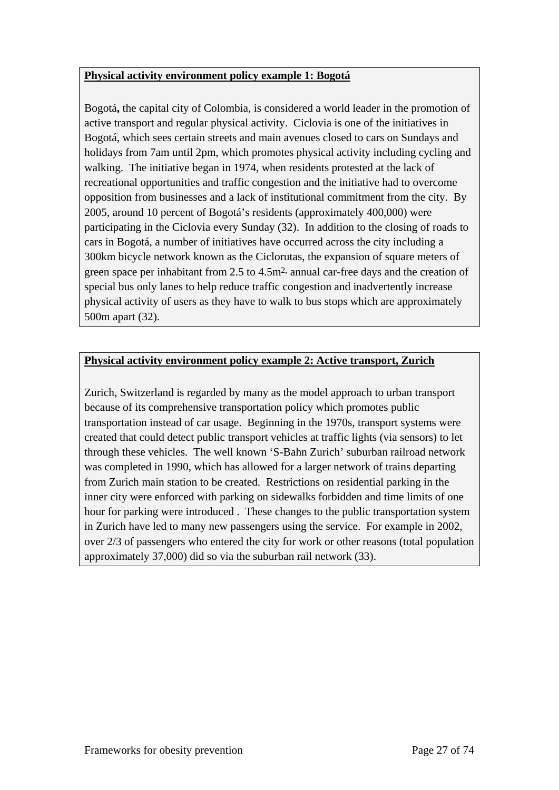#### **Physical activity environment policy example 1: Bogotá**

Bogotá**,** the capital city of Colombia, is considered a world leader in the promotion of active transport and regular physical activity. Ciclovia is one of the initiatives in Bogotá, which sees certain streets and main avenues closed to cars on Sundays and holidays from 7am until 2pm, which promotes physical activity including cycling and walking. The initiative began in 1974, when residents protested at the lack of recreational opportunities and traffic congestion and the initiative had to overcome opposition from businesses and a lack of institutional commitment from the city. By 2005, around 10 percent of Bogotá's residents (approximately 400,000) were participating in the Ciclovia every Sunday (32). In addition to the closing of roads to cars in Bogotá, a number of initiatives have occurred across the city including a 300km bicycle network known as the Ciclorutas, the expansion of square meters of green space per inhabitant from 2.5 to 4.5m2, annual car-free days and the creation of special bus only lanes to help reduce traffic congestion and inadvertently increase physical activity of users as they have to walk to bus stops which are approximately 500m apart (32).

#### **Physical activity environment policy example 2: Active transport, Zurich**

Zurich, Switzerland is regarded by many as the model approach to urban transport because of its comprehensive transportation policy which promotes public transportation instead of car usage. Beginning in the 1970s, transport systems were created that could detect public transport vehicles at traffic lights (via sensors) to let through these vehicles. The well known 'S-Bahn Zurich' suburban railroad network was completed in 1990, which has allowed for a larger network of trains departing from Zurich main station to be created. Restrictions on residential parking in the inner city were enforced with parking on sidewalks forbidden and time limits of one hour for parking were introduced . These changes to the public transportation system in Zurich have led to many new passengers using the service. For example in 2002, over 2/3 of passengers who entered the city for work or other reasons (total population approximately 37,000) did so via the suburban rail network (33).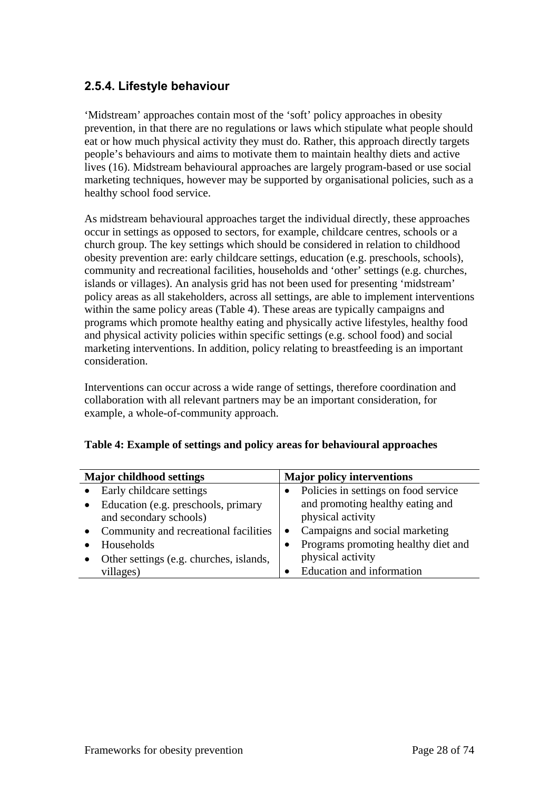#### **2.5.4. Lifestyle behaviour**

'Midstream' approaches contain most of the 'soft' policy approaches in obesity prevention, in that there are no regulations or laws which stipulate what people should eat or how much physical activity they must do. Rather, this approach directly targets people's behaviours and aims to motivate them to maintain healthy diets and active lives (16). Midstream behavioural approaches are largely program-based or use social marketing techniques, however may be supported by organisational policies, such as a healthy school food service.

As midstream behavioural approaches target the individual directly, these approaches occur in settings as opposed to sectors, for example, childcare centres, schools or a church group. The key settings which should be considered in relation to childhood obesity prevention are: early childcare settings, education (e.g. preschools, schools), community and recreational facilities, households and 'other' settings (e.g. churches, islands or villages). An analysis grid has not been used for presenting 'midstream' policy areas as all stakeholders, across all settings, are able to implement interventions within the same policy areas (Table 4). These areas are typically campaigns and programs which promote healthy eating and physically active lifestyles, healthy food and physical activity policies within specific settings (e.g. school food) and social marketing interventions. In addition, policy relating to breastfeeding is an important consideration.

Interventions can occur across a wide range of settings, therefore coordination and collaboration with all relevant partners may be an important consideration, for example, a whole-of-community approach.

|  |  |  | Table 4: Example of settings and policy areas for behavioural approaches |
|--|--|--|--------------------------------------------------------------------------|

| <b>Major childhood settings</b> |                                         | <b>Major policy interventions</b> |                                      |
|---------------------------------|-----------------------------------------|-----------------------------------|--------------------------------------|
|                                 | Early childcare settings                |                                   | Policies in settings on food service |
|                                 | Education (e.g. preschools, primary     |                                   | and promoting healthy eating and     |
|                                 | and secondary schools)                  |                                   | physical activity                    |
|                                 | Community and recreational facilities   |                                   | Campaigns and social marketing       |
|                                 | Households                              |                                   | Programs promoting healthy diet and  |
|                                 | Other settings (e.g. churches, islands, |                                   | physical activity                    |
|                                 | villages)                               |                                   | Education and information            |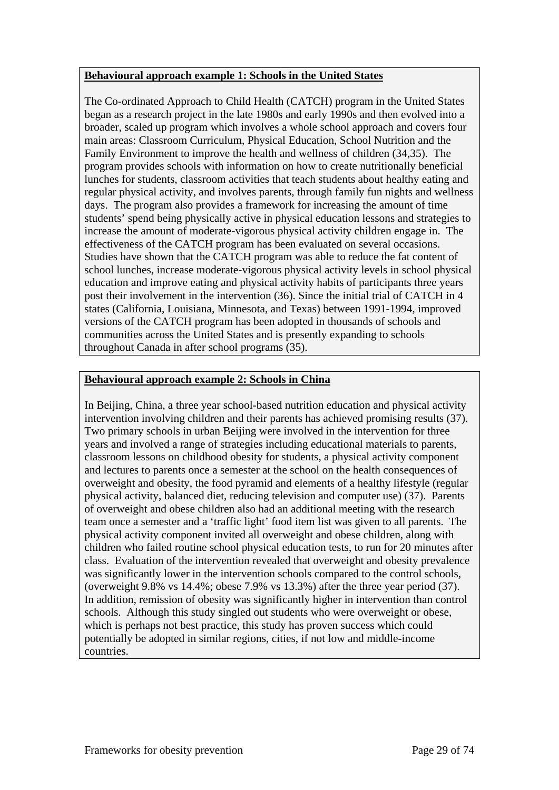#### **Behavioural approach example 1: Schools in the United States**

The Co-ordinated Approach to Child Health (CATCH) program in the United States began as a research project in the late 1980s and early 1990s and then evolved into a broader, scaled up program which involves a whole school approach and covers four main areas: Classroom Curriculum, Physical Education, School Nutrition and the Family Environment to improve the health and wellness of children (34,35). The program provides schools with information on how to create nutritionally beneficial lunches for students, classroom activities that teach students about healthy eating and regular physical activity, and involves parents, through family fun nights and wellness days. The program also provides a framework for increasing the amount of time students' spend being physically active in physical education lessons and strategies to increase the amount of moderate-vigorous physical activity children engage in. The effectiveness of the CATCH program has been evaluated on several occasions. Studies have shown that the CATCH program was able to reduce the fat content of school lunches, increase moderate-vigorous physical activity levels in school physical education and improve eating and physical activity habits of participants three years post their involvement in the intervention (36). Since the initial trial of CATCH in 4 states (California, Louisiana, Minnesota, and Texas) between 1991-1994, improved versions of the CATCH program has been adopted in thousands of schools and communities across the United States and is presently expanding to schools throughout Canada in after school programs (35).

#### **Behavioural approach example 2: Schools in China**

In Beijing, China, a three year school-based nutrition education and physical activity intervention involving children and their parents has achieved promising results (37). Two primary schools in urban Beijing were involved in the intervention for three years and involved a range of strategies including educational materials to parents, classroom lessons on childhood obesity for students, a physical activity component and lectures to parents once a semester at the school on the health consequences of overweight and obesity, the food pyramid and elements of a healthy lifestyle (regular physical activity, balanced diet, reducing television and computer use) (37). Parents of overweight and obese children also had an additional meeting with the research team once a semester and a 'traffic light' food item list was given to all parents. The physical activity component invited all overweight and obese children, along with children who failed routine school physical education tests, to run for 20 minutes after class. Evaluation of the intervention revealed that overweight and obesity prevalence was significantly lower in the intervention schools compared to the control schools, (overweight 9.8% vs 14.4%; obese 7.9% vs 13.3%) after the three year period (37). In addition, remission of obesity was significantly higher in intervention than control schools. Although this study singled out students who were overweight or obese, which is perhaps not best practice, this study has proven success which could potentially be adopted in similar regions, cities, if not low and middle-income countries.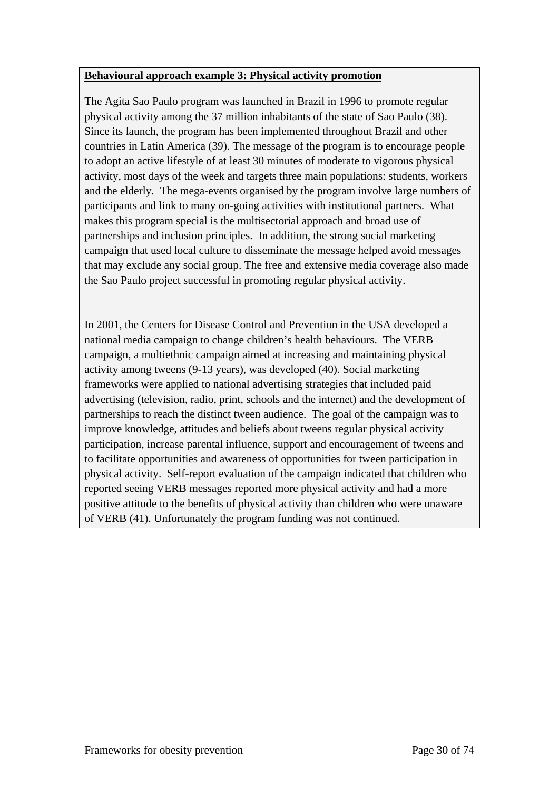#### **Behavioural approach example 3: Physical activity promotion**

The Agita Sao Paulo program was launched in Brazil in 1996 to promote regular physical activity among the 37 million inhabitants of the state of Sao Paulo (38). Since its launch, the program has been implemented throughout Brazil and other countries in Latin America (39). The message of the program is to encourage people to adopt an active lifestyle of at least 30 minutes of moderate to vigorous physical activity, most days of the week and targets three main populations: students, workers and the elderly. The mega-events organised by the program involve large numbers of participants and link to many on-going activities with institutional partners. What makes this program special is the multisectorial approach and broad use of partnerships and inclusion principles. In addition, the strong social marketing campaign that used local culture to disseminate the message helped avoid messages that may exclude any social group. The free and extensive media coverage also made the Sao Paulo project successful in promoting regular physical activity.

In 2001, the Centers for Disease Control and Prevention in the USA developed a national media campaign to change children's health behaviours. The VERB campaign, a multiethnic campaign aimed at increasing and maintaining physical activity among tweens (9-13 years), was developed (40). Social marketing frameworks were applied to national advertising strategies that included paid advertising (television, radio, print, schools and the internet) and the development of partnerships to reach the distinct tween audience. The goal of the campaign was to improve knowledge, attitudes and beliefs about tweens regular physical activity participation, increase parental influence, support and encouragement of tweens and to facilitate opportunities and awareness of opportunities for tween participation in physical activity. Self-report evaluation of the campaign indicated that children who reported seeing VERB messages reported more physical activity and had a more positive attitude to the benefits of physical activity than children who were unaware of VERB (41). Unfortunately the program funding was not continued.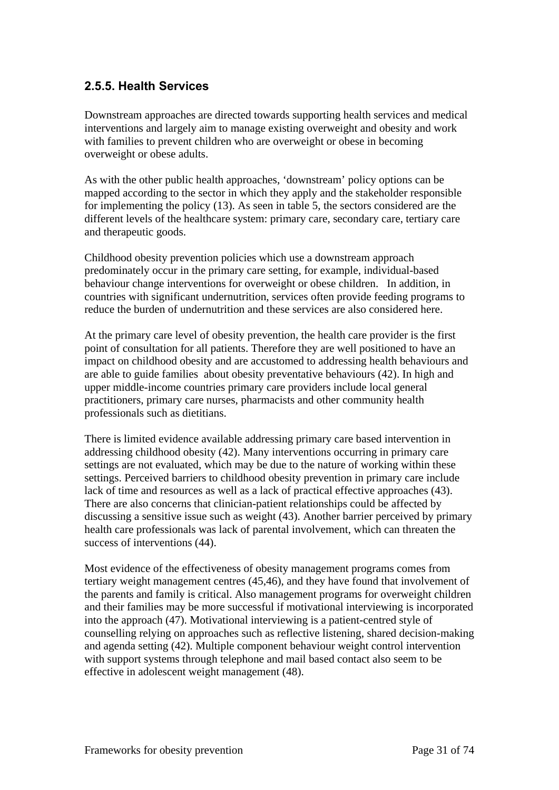### **2.5.5. Health Services**

Downstream approaches are directed towards supporting health services and medical interventions and largely aim to manage existing overweight and obesity and work with families to prevent children who are overweight or obese in becoming overweight or obese adults.

As with the other public health approaches, 'downstream' policy options can be mapped according to the sector in which they apply and the stakeholder responsible for implementing the policy (13). As seen in table 5, the sectors considered are the different levels of the healthcare system: primary care, secondary care, tertiary care and therapeutic goods.

Childhood obesity prevention policies which use a downstream approach predominately occur in the primary care setting, for example, individual-based behaviour change interventions for overweight or obese children. In addition, in countries with significant undernutrition, services often provide feeding programs to reduce the burden of undernutrition and these services are also considered here.

At the primary care level of obesity prevention, the health care provider is the first point of consultation for all patients. Therefore they are well positioned to have an impact on childhood obesity and are accustomed to addressing health behaviours and are able to guide families about obesity preventative behaviours (42). In high and upper middle-income countries primary care providers include local general practitioners, primary care nurses, pharmacists and other community health professionals such as dietitians.

There is limited evidence available addressing primary care based intervention in addressing childhood obesity (42). Many interventions occurring in primary care settings are not evaluated, which may be due to the nature of working within these settings. Perceived barriers to childhood obesity prevention in primary care include lack of time and resources as well as a lack of practical effective approaches (43). There are also concerns that clinician-patient relationships could be affected by discussing a sensitive issue such as weight (43). Another barrier perceived by primary health care professionals was lack of parental involvement, which can threaten the success of interventions (44).

Most evidence of the effectiveness of obesity management programs comes from tertiary weight management centres (45,46), and they have found that involvement of the parents and family is critical. Also management programs for overweight children and their families may be more successful if motivational interviewing is incorporated into the approach (47). Motivational interviewing is a patient-centred style of counselling relying on approaches such as reflective listening, shared decision-making and agenda setting (42). Multiple component behaviour weight control intervention with support systems through telephone and mail based contact also seem to be effective in adolescent weight management (48).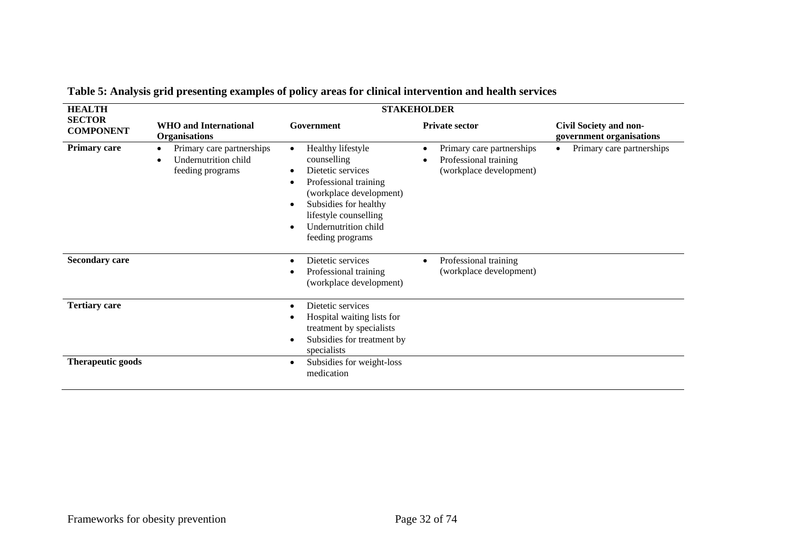| <b>HEALTH</b>                     | <b>STAKEHOLDER</b>                                                    |                                                                                                                                                                                                                                                                          |                                                                               |                                                           |  |  |  |
|-----------------------------------|-----------------------------------------------------------------------|--------------------------------------------------------------------------------------------------------------------------------------------------------------------------------------------------------------------------------------------------------------------------|-------------------------------------------------------------------------------|-----------------------------------------------------------|--|--|--|
| <b>SECTOR</b><br><b>COMPONENT</b> | <b>WHO</b> and International<br><b>Organisations</b>                  | Government                                                                                                                                                                                                                                                               | <b>Private sector</b>                                                         | <b>Civil Society and non-</b><br>government organisations |  |  |  |
| <b>Primary care</b>               | Primary care partnerships<br>Undernutrition child<br>feeding programs | Healthy lifestyle<br>$\bullet$<br>counselling<br>Dietetic services<br>$\bullet$<br>Professional training<br>$\bullet$<br>(workplace development)<br>Subsidies for healthy<br>$\bullet$<br>lifestyle counselling<br>Undernutrition child<br>$\bullet$<br>feeding programs | Primary care partnerships<br>Professional training<br>(workplace development) | Primary care partnerships<br>$\bullet$                    |  |  |  |
| <b>Secondary care</b>             |                                                                       | Dietetic services<br>$\epsilon$<br>Professional training<br>٠<br>(workplace development)                                                                                                                                                                                 | Professional training<br>$\bullet$<br>(workplace development)                 |                                                           |  |  |  |
| <b>Tertiary care</b>              |                                                                       | Dietetic services<br>٠<br>Hospital waiting lists for<br>treatment by specialists<br>Subsidies for treatment by<br>$\bullet$<br>specialists                                                                                                                               |                                                                               |                                                           |  |  |  |
| Therapeutic goods                 |                                                                       | Subsidies for weight-loss<br>$\bullet$<br>medication                                                                                                                                                                                                                     |                                                                               |                                                           |  |  |  |

**Table 5: Analysis grid presenting examples of policy areas for clinical intervention and health services**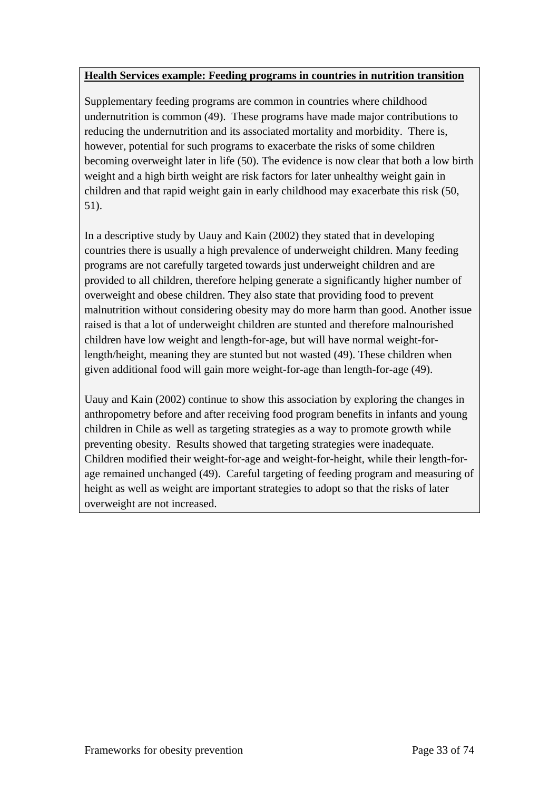#### **Health Services example: Feeding programs in countries in nutrition transition**

Supplementary feeding programs are common in countries where childhood undernutrition is common (49). These programs have made major contributions to reducing the undernutrition and its associated mortality and morbidity. There is, however, potential for such programs to exacerbate the risks of some children becoming overweight later in life (50). The evidence is now clear that both a low birth weight and a high birth weight are risk factors for later unhealthy weight gain in children and that rapid weight gain in early childhood may exacerbate this risk (50, 51).

In a descriptive study by Uauy and Kain (2002) they stated that in developing countries there is usually a high prevalence of underweight children. Many feeding programs are not carefully targeted towards just underweight children and are provided to all children, therefore helping generate a significantly higher number of overweight and obese children. They also state that providing food to prevent malnutrition without considering obesity may do more harm than good. Another issue raised is that a lot of underweight children are stunted and therefore malnourished children have low weight and length-for-age, but will have normal weight-forlength/height, meaning they are stunted but not wasted (49). These children when given additional food will gain more weight-for-age than length-for-age (49).

Uauy and Kain (2002) continue to show this association by exploring the changes in anthropometry before and after receiving food program benefits in infants and young children in Chile as well as targeting strategies as a way to promote growth while preventing obesity. Results showed that targeting strategies were inadequate. Children modified their weight-for-age and weight-for-height, while their length-forage remained unchanged (49). Careful targeting of feeding program and measuring of height as well as weight are important strategies to adopt so that the risks of later overweight are not increased.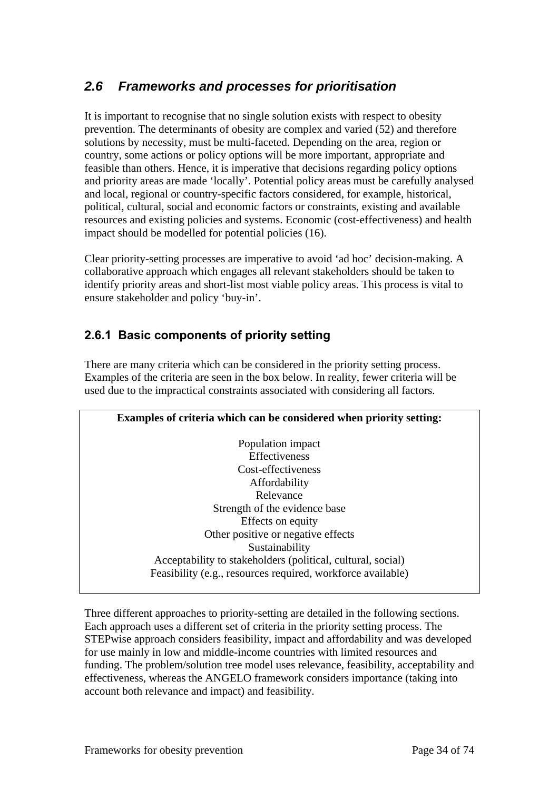# *2.6 Frameworks and processes for prioritisation*

It is important to recognise that no single solution exists with respect to obesity prevention. The determinants of obesity are complex and varied (52) and therefore solutions by necessity, must be multi-faceted. Depending on the area, region or country, some actions or policy options will be more important, appropriate and feasible than others. Hence, it is imperative that decisions regarding policy options and priority areas are made 'locally'. Potential policy areas must be carefully analysed and local, regional or country-specific factors considered, for example, historical, political, cultural, social and economic factors or constraints, existing and available resources and existing policies and systems. Economic (cost-effectiveness) and health impact should be modelled for potential policies (16).

Clear priority-setting processes are imperative to avoid 'ad hoc' decision-making. A collaborative approach which engages all relevant stakeholders should be taken to identify priority areas and short-list most viable policy areas. This process is vital to ensure stakeholder and policy 'buy-in'.

## **2.6.1 Basic components of priority setting**

There are many criteria which can be considered in the priority setting process. Examples of the criteria are seen in the box below. In reality, fewer criteria will be used due to the impractical constraints associated with considering all factors.

**Examples of criteria which can be considered when priority setting:**  Population impact Effectiveness Cost-effectiveness Affordability Relevance Strength of the evidence base Effects on equity Other positive or negative effects Sustainability Acceptability to stakeholders (political, cultural, social) Feasibility (e.g., resources required, workforce available)

Three different approaches to priority-setting are detailed in the following sections. Each approach uses a different set of criteria in the priority setting process. The STEPwise approach considers feasibility, impact and affordability and was developed for use mainly in low and middle-income countries with limited resources and funding. The problem/solution tree model uses relevance, feasibility, acceptability and effectiveness, whereas the ANGELO framework considers importance (taking into account both relevance and impact) and feasibility.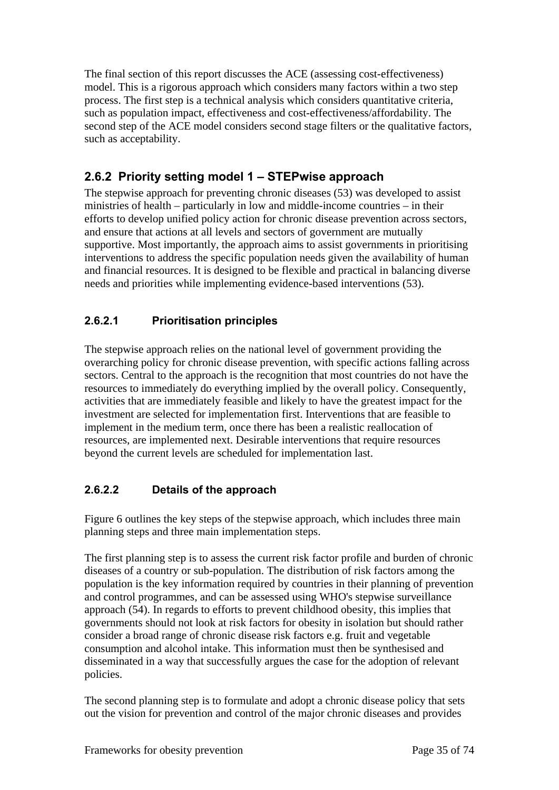The final section of this report discusses the ACE (assessing cost-effectiveness) model. This is a rigorous approach which considers many factors within a two step process. The first step is a technical analysis which considers quantitative criteria, such as population impact, effectiveness and cost-effectiveness/affordability. The second step of the ACE model considers second stage filters or the qualitative factors, such as acceptability.

## **2.6.2 Priority setting model 1 – STEPwise approach**

The stepwise approach for preventing chronic diseases (53) was developed to assist ministries of health – particularly in low and middle-income countries – in their efforts to develop unified policy action for chronic disease prevention across sectors, and ensure that actions at all levels and sectors of government are mutually supportive. Most importantly, the approach aims to assist governments in prioritising interventions to address the specific population needs given the availability of human and financial resources. It is designed to be flexible and practical in balancing diverse needs and priorities while implementing evidence-based interventions (53).

### **2.6.2.1 Prioritisation principles**

The stepwise approach relies on the national level of government providing the overarching policy for chronic disease prevention, with specific actions falling across sectors. Central to the approach is the recognition that most countries do not have the resources to immediately do everything implied by the overall policy. Consequently, activities that are immediately feasible and likely to have the greatest impact for the investment are selected for implementation first. Interventions that are feasible to implement in the medium term, once there has been a realistic reallocation of resources, are implemented next. Desirable interventions that require resources beyond the current levels are scheduled for implementation last.

### **2.6.2.2 Details of the approach**

Figure 6 outlines the key steps of the stepwise approach, which includes three main planning steps and three main implementation steps.

The first planning step is to assess the current risk factor profile and burden of chronic diseases of a country or sub-population. The distribution of risk factors among the population is the key information required by countries in their planning of prevention and control programmes, and can be assessed using WHO's stepwise surveillance approach (54). In regards to efforts to prevent childhood obesity, this implies that governments should not look at risk factors for obesity in isolation but should rather consider a broad range of chronic disease risk factors e.g. fruit and vegetable consumption and alcohol intake. This information must then be synthesised and disseminated in a way that successfully argues the case for the adoption of relevant policies.

The second planning step is to formulate and adopt a chronic disease policy that sets out the vision for prevention and control of the major chronic diseases and provides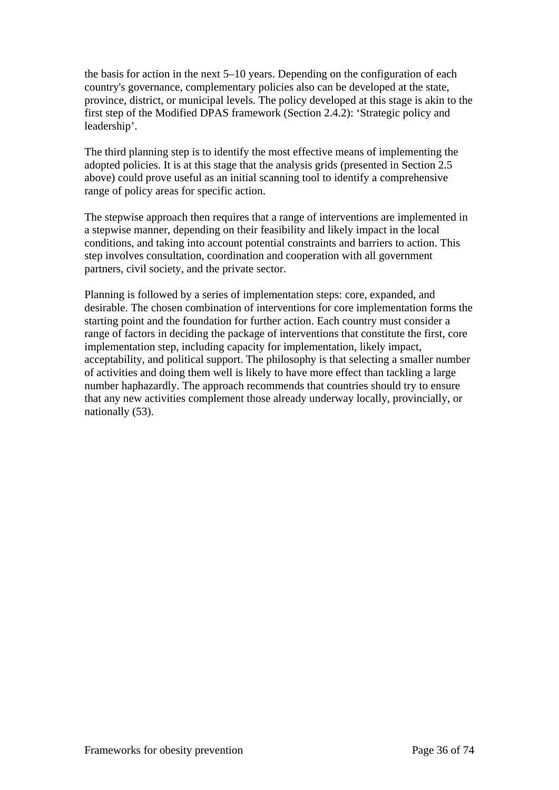the basis for action in the next 5–10 years. Depending on the configuration of each country's governance, complementary policies also can be developed at the state, province, district, or municipal levels. The policy developed at this stage is akin to the first step of the Modified DPAS framework (Section 2.4.2): 'Strategic policy and leadership'.

The third planning step is to identify the most effective means of implementing the adopted policies. It is at this stage that the analysis grids (presented in Section 2.5 above) could prove useful as an initial scanning tool to identify a comprehensive range of policy areas for specific action.

The stepwise approach then requires that a range of interventions are implemented in a stepwise manner, depending on their feasibility and likely impact in the local conditions, and taking into account potential constraints and barriers to action. This step involves consultation, coordination and cooperation with all government partners, civil society, and the private sector.

Planning is followed by a series of implementation steps: core, expanded, and desirable. The chosen combination of interventions for core implementation forms the starting point and the foundation for further action. Each country must consider a range of factors in deciding the package of interventions that constitute the first, core implementation step, including capacity for implementation, likely impact, acceptability, and political support. The philosophy is that selecting a smaller number of activities and doing them well is likely to have more effect than tackling a large number haphazardly. The approach recommends that countries should try to ensure that any new activities complement those already underway locally, provincially, or nationally (53).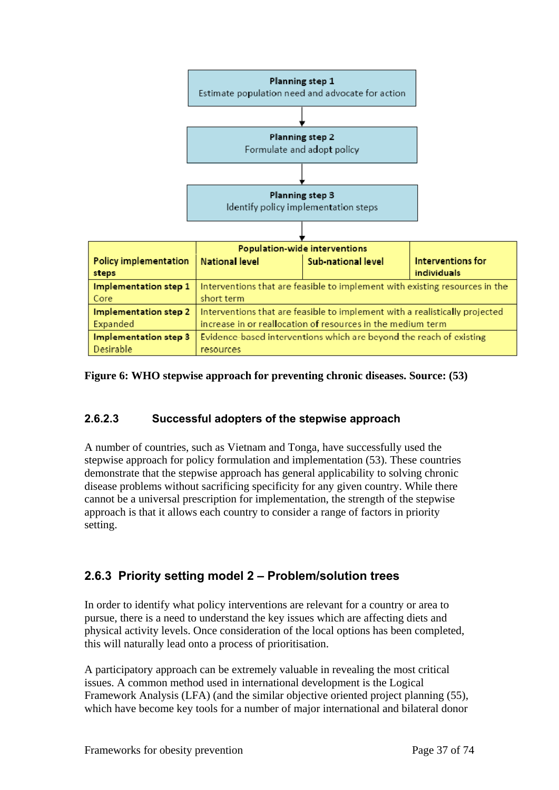

#### **Figure 6: WHO stepwise approach for preventing chronic diseases. Source: (53)**

#### **2.6.2.3 Successful adopters of the stepwise approach**

A number of countries, such as Vietnam and Tonga, have successfully used the stepwise approach for policy formulation and implementation (53). These countries demonstrate that the stepwise approach has general applicability to solving chronic disease problems without sacrificing specificity for any given country. While there cannot be a universal prescription for implementation, the strength of the stepwise approach is that it allows each country to consider a range of factors in priority setting.

### **2.6.3 Priority setting model 2 – Problem/solution trees**

In order to identify what policy interventions are relevant for a country or area to pursue, there is a need to understand the key issues which are affecting diets and physical activity levels. Once consideration of the local options has been completed, this will naturally lead onto a process of prioritisation.

A participatory approach can be extremely valuable in revealing the most critical issues. A common method used in international development is the Logical Framework Analysis (LFA) (and the similar objective oriented project planning (55), which have become key tools for a number of major international and bilateral donor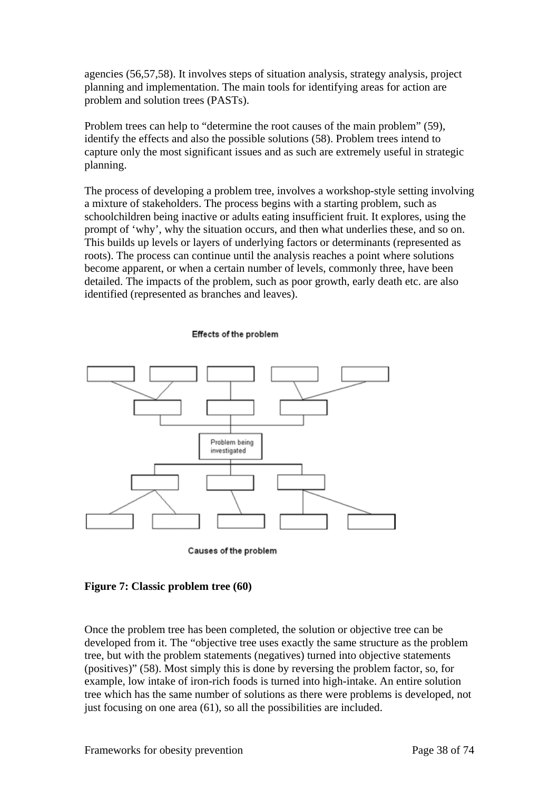agencies (56,57,58). It involves steps of situation analysis, strategy analysis, project planning and implementation. The main tools for identifying areas for action are problem and solution trees (PASTs).

Problem trees can help to "determine the root causes of the main problem" (59), identify the effects and also the possible solutions (58). Problem trees intend to capture only the most significant issues and as such are extremely useful in strategic planning.

The process of developing a problem tree, involves a workshop-style setting involving a mixture of stakeholders. The process begins with a starting problem, such as schoolchildren being inactive or adults eating insufficient fruit. It explores, using the prompt of 'why', why the situation occurs, and then what underlies these, and so on. This builds up levels or layers of underlying factors or determinants (represented as roots). The process can continue until the analysis reaches a point where solutions become apparent, or when a certain number of levels, commonly three, have been detailed. The impacts of the problem, such as poor growth, early death etc. are also identified (represented as branches and leaves).

#### Effects of the problem



#### **Figure 7: Classic problem tree (60)**

Once the problem tree has been completed, the solution or objective tree can be developed from it. The "objective tree uses exactly the same structure as the problem tree, but with the problem statements (negatives) turned into objective statements (positives)" (58). Most simply this is done by reversing the problem factor, so, for example, low intake of iron-rich foods is turned into high-intake. An entire solution tree which has the same number of solutions as there were problems is developed, not just focusing on one area (61), so all the possibilities are included.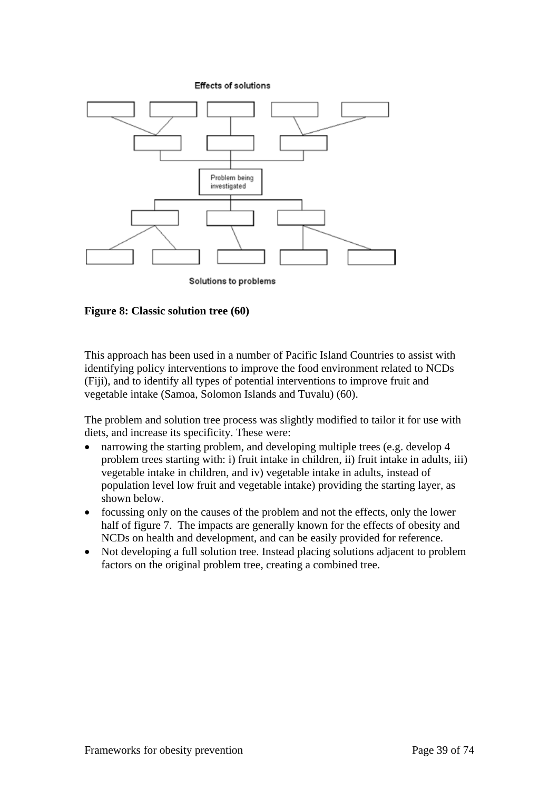**Effects of solutions** 



**Figure 8: Classic solution tree (60)** 

This approach has been used in a number of Pacific Island Countries to assist with identifying policy interventions to improve the food environment related to NCDs (Fiji), and to identify all types of potential interventions to improve fruit and vegetable intake (Samoa, Solomon Islands and Tuvalu) (60).

The problem and solution tree process was slightly modified to tailor it for use with diets, and increase its specificity. These were:

- narrowing the starting problem, and developing multiple trees (e.g. develop 4 problem trees starting with: i) fruit intake in children, ii) fruit intake in adults, iii) vegetable intake in children, and iv) vegetable intake in adults, instead of population level low fruit and vegetable intake) providing the starting layer, as shown below.
- focussing only on the causes of the problem and not the effects, only the lower half of figure 7. The impacts are generally known for the effects of obesity and NCDs on health and development, and can be easily provided for reference.
- Not developing a full solution tree. Instead placing solutions adjacent to problem factors on the original problem tree, creating a combined tree.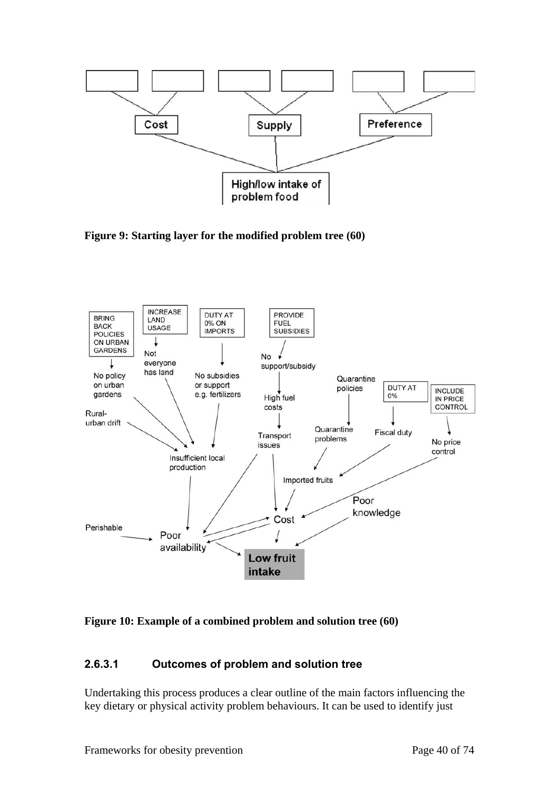

**Figure 9: Starting layer for the modified problem tree (60)** 



#### **Figure 10: Example of a combined problem and solution tree (60)**

#### **2.6.3.1 Outcomes of problem and solution tree**

Undertaking this process produces a clear outline of the main factors influencing the key dietary or physical activity problem behaviours. It can be used to identify just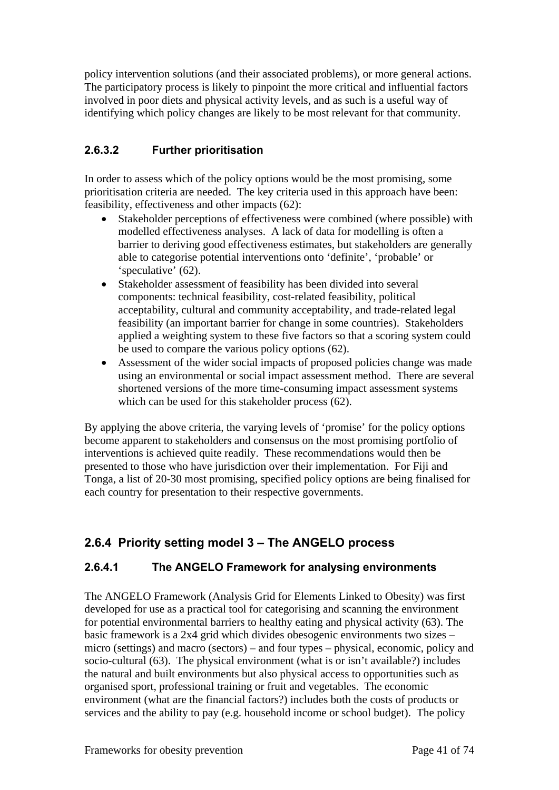policy intervention solutions (and their associated problems), or more general actions. The participatory process is likely to pinpoint the more critical and influential factors involved in poor diets and physical activity levels, and as such is a useful way of identifying which policy changes are likely to be most relevant for that community.

### **2.6.3.2 Further prioritisation**

In order to assess which of the policy options would be the most promising, some prioritisation criteria are needed. The key criteria used in this approach have been: feasibility, effectiveness and other impacts (62):

- Stakeholder perceptions of effectiveness were combined (where possible) with modelled effectiveness analyses. A lack of data for modelling is often a barrier to deriving good effectiveness estimates, but stakeholders are generally able to categorise potential interventions onto 'definite', 'probable' or 'speculative' (62).
- Stakeholder assessment of feasibility has been divided into several components: technical feasibility, cost-related feasibility, political acceptability, cultural and community acceptability, and trade-related legal feasibility (an important barrier for change in some countries). Stakeholders applied a weighting system to these five factors so that a scoring system could be used to compare the various policy options (62).
- Assessment of the wider social impacts of proposed policies change was made using an environmental or social impact assessment method. There are several shortened versions of the more time-consuming impact assessment systems which can be used for this stakeholder process (62).

By applying the above criteria, the varying levels of 'promise' for the policy options become apparent to stakeholders and consensus on the most promising portfolio of interventions is achieved quite readily. These recommendations would then be presented to those who have jurisdiction over their implementation. For Fiji and Tonga, a list of 20-30 most promising, specified policy options are being finalised for each country for presentation to their respective governments.

## **2.6.4 Priority setting model 3 – The ANGELO process**

#### **2.6.4.1 The ANGELO Framework for analysing environments**

The ANGELO Framework (Analysis Grid for Elements Linked to Obesity) was first developed for use as a practical tool for categorising and scanning the environment for potential environmental barriers to healthy eating and physical activity (63). The basic framework is a 2x4 grid which divides obesogenic environments two sizes – micro (settings) and macro (sectors) – and four types – physical, economic, policy and socio-cultural (63). The physical environment (what is or isn't available?) includes the natural and built environments but also physical access to opportunities such as organised sport, professional training or fruit and vegetables. The economic environment (what are the financial factors?) includes both the costs of products or services and the ability to pay (e.g. household income or school budget). The policy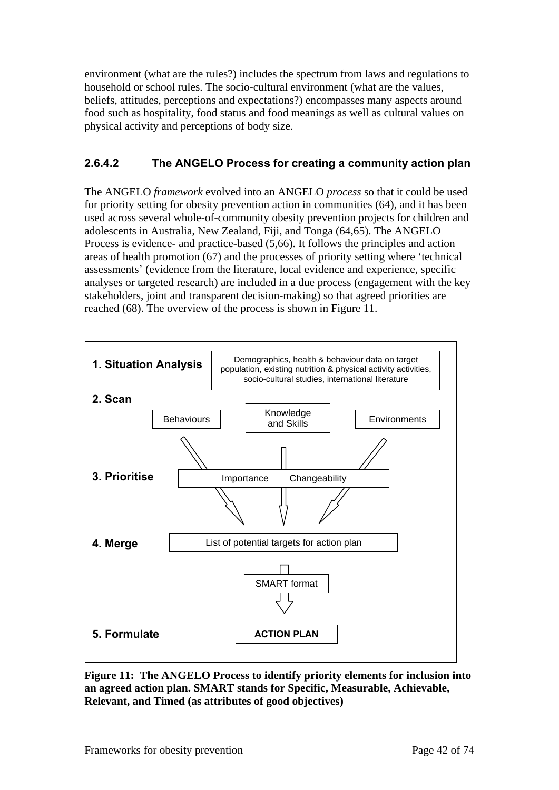environment (what are the rules?) includes the spectrum from laws and regulations to household or school rules. The socio-cultural environment (what are the values, beliefs, attitudes, perceptions and expectations?) encompasses many aspects around food such as hospitality, food status and food meanings as well as cultural values on physical activity and perceptions of body size.

### **2.6.4.2 The ANGELO Process for creating a community action plan**

The ANGELO *framework* evolved into an ANGELO *process* so that it could be used for priority setting for obesity prevention action in communities (64), and it has been used across several whole-of-community obesity prevention projects for children and adolescents in Australia, New Zealand, Fiji, and Tonga (64,65). The ANGELO Process is evidence- and practice-based (5,66). It follows the principles and action areas of health promotion (67) and the processes of priority setting where 'technical assessments' (evidence from the literature, local evidence and experience, specific analyses or targeted research) are included in a due process (engagement with the key stakeholders, joint and transparent decision-making) so that agreed priorities are reached (68). The overview of the process is shown in Figure 11.



**Figure 11: The ANGELO Process to identify priority elements for inclusion into an agreed action plan. SMART stands for Specific, Measurable, Achievable, Relevant, and Timed (as attributes of good objectives)**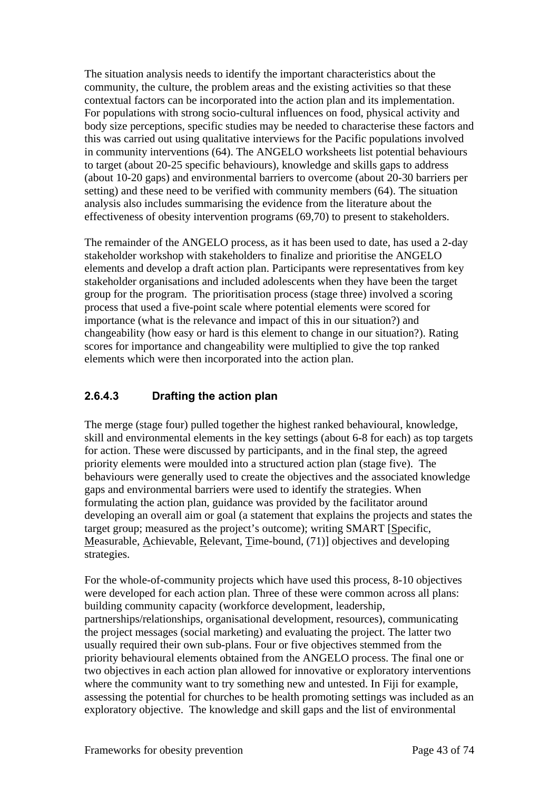The situation analysis needs to identify the important characteristics about the community, the culture, the problem areas and the existing activities so that these contextual factors can be incorporated into the action plan and its implementation. For populations with strong socio-cultural influences on food, physical activity and body size perceptions, specific studies may be needed to characterise these factors and this was carried out using qualitative interviews for the Pacific populations involved in community interventions (64). The ANGELO worksheets list potential behaviours to target (about 20-25 specific behaviours), knowledge and skills gaps to address (about 10-20 gaps) and environmental barriers to overcome (about 20-30 barriers per setting) and these need to be verified with community members (64). The situation analysis also includes summarising the evidence from the literature about the effectiveness of obesity intervention programs (69,70) to present to stakeholders.

The remainder of the ANGELO process, as it has been used to date, has used a 2-day stakeholder workshop with stakeholders to finalize and prioritise the ANGELO elements and develop a draft action plan. Participants were representatives from key stakeholder organisations and included adolescents when they have been the target group for the program. The prioritisation process (stage three) involved a scoring process that used a five-point scale where potential elements were scored for importance (what is the relevance and impact of this in our situation?) and changeability (how easy or hard is this element to change in our situation?). Rating scores for importance and changeability were multiplied to give the top ranked elements which were then incorporated into the action plan.

### **2.6.4.3 Drafting the action plan**

The merge (stage four) pulled together the highest ranked behavioural, knowledge, skill and environmental elements in the key settings (about 6-8 for each) as top targets for action. These were discussed by participants, and in the final step, the agreed priority elements were moulded into a structured action plan (stage five). The behaviours were generally used to create the objectives and the associated knowledge gaps and environmental barriers were used to identify the strategies. When formulating the action plan, guidance was provided by the facilitator around developing an overall aim or goal (a statement that explains the projects and states the target group; measured as the project's outcome); writing SMART [Specific, Measurable, Achievable, Relevant, Time-bound, (71)] objectives and developing strategies.

For the whole-of-community projects which have used this process, 8-10 objectives were developed for each action plan. Three of these were common across all plans: building community capacity (workforce development, leadership, partnerships/relationships, organisational development, resources), communicating the project messages (social marketing) and evaluating the project. The latter two usually required their own sub-plans. Four or five objectives stemmed from the priority behavioural elements obtained from the ANGELO process. The final one or two objectives in each action plan allowed for innovative or exploratory interventions where the community want to try something new and untested. In Fiji for example, assessing the potential for churches to be health promoting settings was included as an exploratory objective. The knowledge and skill gaps and the list of environmental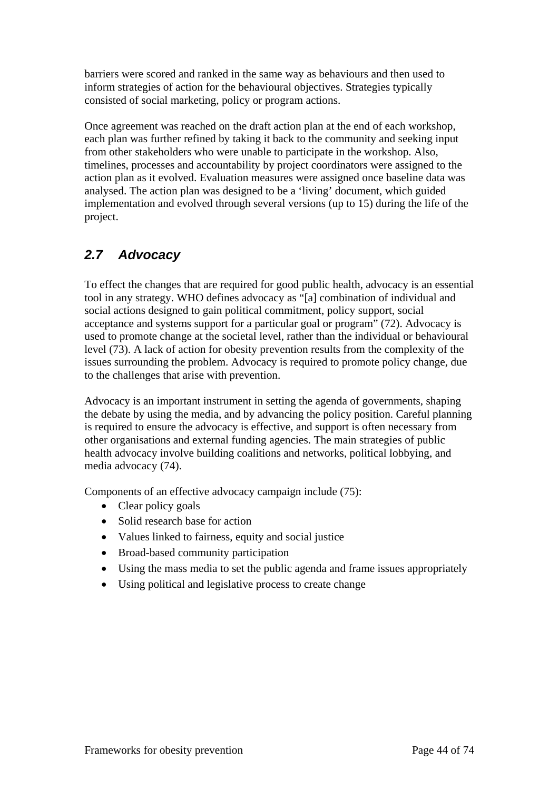barriers were scored and ranked in the same way as behaviours and then used to inform strategies of action for the behavioural objectives. Strategies typically consisted of social marketing, policy or program actions.

Once agreement was reached on the draft action plan at the end of each workshop, each plan was further refined by taking it back to the community and seeking input from other stakeholders who were unable to participate in the workshop. Also, timelines, processes and accountability by project coordinators were assigned to the action plan as it evolved. Evaluation measures were assigned once baseline data was analysed. The action plan was designed to be a 'living' document, which guided implementation and evolved through several versions (up to 15) during the life of the project.

# *2.7 Advocacy*

To effect the changes that are required for good public health, advocacy is an essential tool in any strategy. WHO defines advocacy as "[a] combination of individual and social actions designed to gain political commitment, policy support, social acceptance and systems support for a particular goal or program" (72). Advocacy is used to promote change at the societal level, rather than the individual or behavioural level (73). A lack of action for obesity prevention results from the complexity of the issues surrounding the problem. Advocacy is required to promote policy change, due to the challenges that arise with prevention.

Advocacy is an important instrument in setting the agenda of governments, shaping the debate by using the media, and by advancing the policy position. Careful planning is required to ensure the advocacy is effective, and support is often necessary from other organisations and external funding agencies. The main strategies of public health advocacy involve building coalitions and networks, political lobbying, and media advocacy (74).

Components of an effective advocacy campaign include (75):

- Clear policy goals
- Solid research base for action
- Values linked to fairness, equity and social justice
- Broad-based community participation
- Using the mass media to set the public agenda and frame issues appropriately
- Using political and legislative process to create change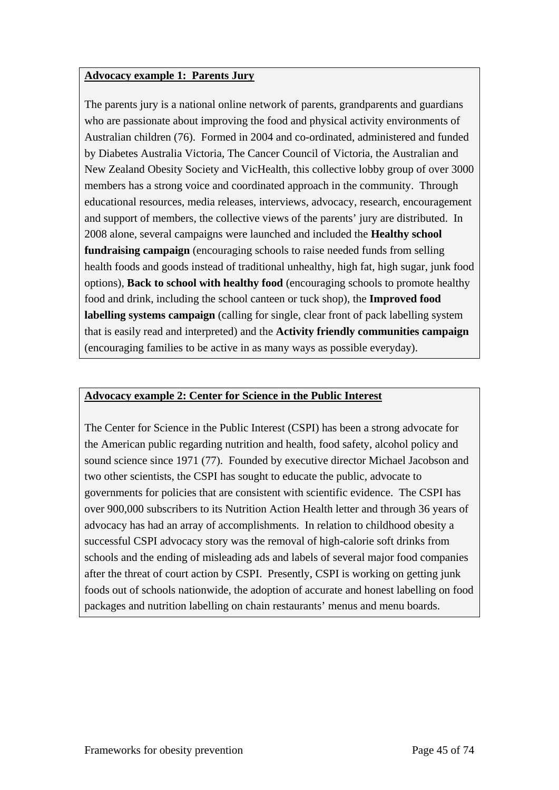#### **Advocacy example 1: Parents Jury**

The parents jury is a national online network of parents, grandparents and guardians who are passionate about improving the food and physical activity environments of Australian children (76). Formed in 2004 and co-ordinated, administered and funded by Diabetes Australia Victoria, The Cancer Council of Victoria, the Australian and New Zealand Obesity Society and VicHealth, this collective lobby group of over 3000 members has a strong voice and coordinated approach in the community. Through educational resources, media releases, interviews, advocacy, research, encouragement and support of members, the collective views of the parents' jury are distributed. In 2008 alone, several campaigns were launched and included the **Healthy school fundraising campaign** (encouraging schools to raise needed funds from selling health foods and goods instead of traditional unhealthy, high fat, high sugar, junk food options), **Back to school with healthy food** (encouraging schools to promote healthy food and drink, including the school canteen or tuck shop), the **Improved food labelling systems campaign** (calling for single, clear front of pack labelling system that is easily read and interpreted) and the **Activity friendly communities campaign** (encouraging families to be active in as many ways as possible everyday).

#### **Advocacy example 2: Center for Science in the Public Interest**

The Center for Science in the Public Interest (CSPI) has been a strong advocate for the American public regarding nutrition and health, food safety, alcohol policy and sound science since 1971 (77). Founded by executive director Michael Jacobson and two other scientists, the CSPI has sought to educate the public, advocate to governments for policies that are consistent with scientific evidence. The CSPI has over 900,000 subscribers to its Nutrition Action Health letter and through 36 years of advocacy has had an array of accomplishments. In relation to childhood obesity a successful CSPI advocacy story was the removal of high-calorie soft drinks from schools and the ending of misleading ads and labels of several major food companies after the threat of court action by CSPI. Presently, CSPI is working on getting junk foods out of schools nationwide, the adoption of accurate and honest labelling on food packages and nutrition labelling on chain restaurants' menus and menu boards.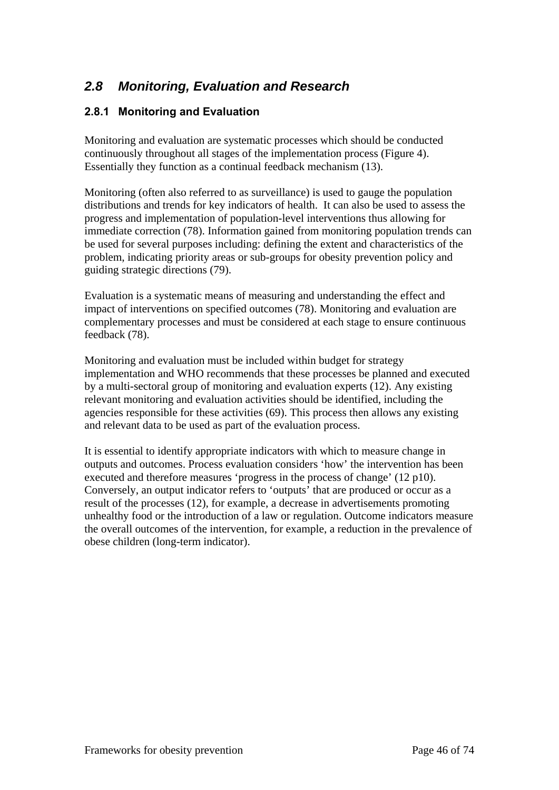# *2.8 Monitoring, Evaluation and Research*

#### **2.8.1 Monitoring and Evaluation**

Monitoring and evaluation are systematic processes which should be conducted continuously throughout all stages of the implementation process (Figure 4). Essentially they function as a continual feedback mechanism (13).

Monitoring (often also referred to as surveillance) is used to gauge the population distributions and trends for key indicators of health. It can also be used to assess the progress and implementation of population-level interventions thus allowing for immediate correction (78). Information gained from monitoring population trends can be used for several purposes including: defining the extent and characteristics of the problem, indicating priority areas or sub-groups for obesity prevention policy and guiding strategic directions (79).

Evaluation is a systematic means of measuring and understanding the effect and impact of interventions on specified outcomes (78). Monitoring and evaluation are complementary processes and must be considered at each stage to ensure continuous feedback (78).

Monitoring and evaluation must be included within budget for strategy implementation and WHO recommends that these processes be planned and executed by a multi-sectoral group of monitoring and evaluation experts (12). Any existing relevant monitoring and evaluation activities should be identified, including the agencies responsible for these activities (69). This process then allows any existing and relevant data to be used as part of the evaluation process.

It is essential to identify appropriate indicators with which to measure change in outputs and outcomes. Process evaluation considers 'how' the intervention has been executed and therefore measures 'progress in the process of change' (12 p10). Conversely, an output indicator refers to 'outputs' that are produced or occur as a result of the processes (12), for example, a decrease in advertisements promoting unhealthy food or the introduction of a law or regulation. Outcome indicators measure the overall outcomes of the intervention, for example, a reduction in the prevalence of obese children (long-term indicator).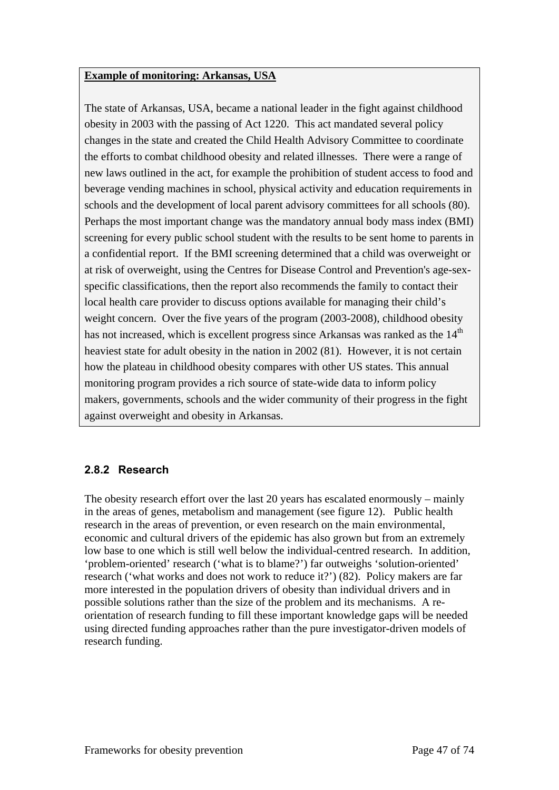#### **Example of monitoring: Arkansas, USA**

The state of Arkansas, USA, became a national leader in the fight against childhood obesity in 2003 with the passing of Act 1220. This act mandated several policy changes in the state and created the Child Health Advisory Committee to coordinate the efforts to combat childhood obesity and related illnesses. There were a range of new laws outlined in the act, for example the prohibition of student access to food and beverage vending machines in school, physical activity and education requirements in schools and the development of local parent advisory committees for all schools (80). Perhaps the most important change was the mandatory annual body mass index (BMI) screening for every public school student with the results to be sent home to parents in a confidential report. If the BMI screening determined that a child was overweight or at risk of overweight, using the Centres for Disease Control and Prevention's age-sexspecific classifications, then the report also recommends the family to contact their local health care provider to discuss options available for managing their child's weight concern. Over the five years of the program (2003-2008), childhood obesity has not increased, which is excellent progress since Arkansas was ranked as the 14<sup>th</sup> heaviest state for adult obesity in the nation in 2002 (81). However, it is not certain how the plateau in childhood obesity compares with other US states. This annual monitoring program provides a rich source of state-wide data to inform policy makers, governments, schools and the wider community of their progress in the fight against overweight and obesity in Arkansas.

#### **2.8.2 Research**

The obesity research effort over the last 20 years has escalated enormously – mainly in the areas of genes, metabolism and management (see figure 12). Public health research in the areas of prevention, or even research on the main environmental, economic and cultural drivers of the epidemic has also grown but from an extremely low base to one which is still well below the individual-centred research. In addition, 'problem-oriented' research ('what is to blame?') far outweighs 'solution-oriented' research ('what works and does not work to reduce it?') (82). Policy makers are far more interested in the population drivers of obesity than individual drivers and in possible solutions rather than the size of the problem and its mechanisms. A reorientation of research funding to fill these important knowledge gaps will be needed using directed funding approaches rather than the pure investigator-driven models of research funding.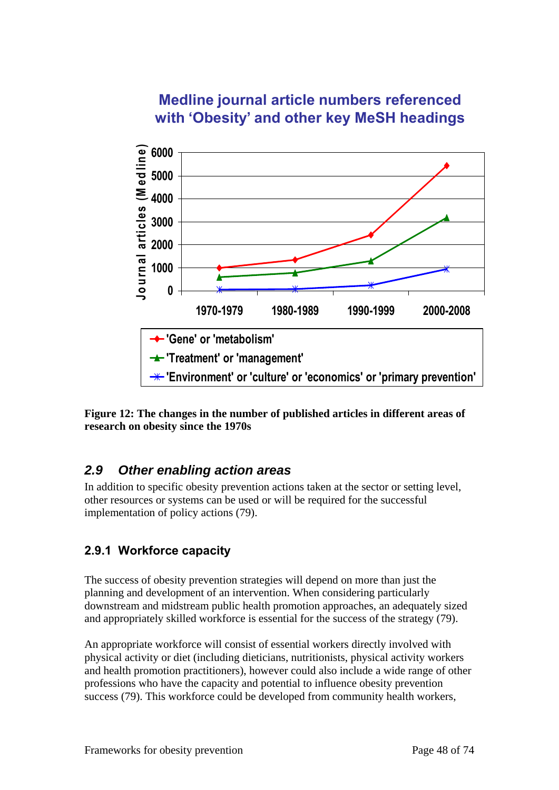# **Medline journal article numbers referenced with 'Obesity' and other key MeSH headings**



**Figure 12: The changes in the number of published articles in different areas of research on obesity since the 1970s** 

## *2.9 Other enabling action areas*

In addition to specific obesity prevention actions taken at the sector or setting level, other resources or systems can be used or will be required for the successful implementation of policy actions (79).

### **2.9.1 Workforce capacity**

The success of obesity prevention strategies will depend on more than just the planning and development of an intervention. When considering particularly downstream and midstream public health promotion approaches, an adequately sized and appropriately skilled workforce is essential for the success of the strategy (79).

An appropriate workforce will consist of essential workers directly involved with physical activity or diet (including dieticians, nutritionists, physical activity workers and health promotion practitioners), however could also include a wide range of other professions who have the capacity and potential to influence obesity prevention success (79). This workforce could be developed from community health workers,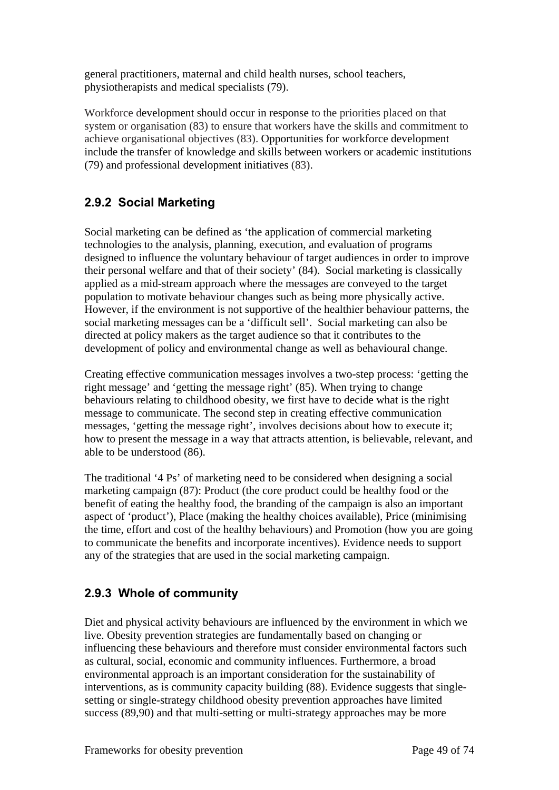general practitioners, maternal and child health nurses, school teachers, physiotherapists and medical specialists (79).

Workforce development should occur in response to the priorities placed on that system or organisation (83) to ensure that workers have the skills and commitment to achieve organisational objectives (83). Opportunities for workforce development include the transfer of knowledge and skills between workers or academic institutions (79) and professional development initiatives (83).

## **2.9.2 Social Marketing**

Social marketing can be defined as 'the application of commercial marketing technologies to the analysis, planning, execution, and evaluation of programs designed to influence the voluntary behaviour of target audiences in order to improve their personal welfare and that of their society' (84). Social marketing is classically applied as a mid-stream approach where the messages are conveyed to the target population to motivate behaviour changes such as being more physically active. However, if the environment is not supportive of the healthier behaviour patterns, the social marketing messages can be a 'difficult sell'. Social marketing can also be directed at policy makers as the target audience so that it contributes to the development of policy and environmental change as well as behavioural change.

Creating effective communication messages involves a two-step process: 'getting the right message' and 'getting the message right' (85). When trying to change behaviours relating to childhood obesity, we first have to decide what is the right message to communicate. The second step in creating effective communication messages, 'getting the message right', involves decisions about how to execute it; how to present the message in a way that attracts attention, is believable, relevant, and able to be understood (86).

The traditional '4 Ps' of marketing need to be considered when designing a social marketing campaign (87): Product (the core product could be healthy food or the benefit of eating the healthy food, the branding of the campaign is also an important aspect of 'product'), Place (making the healthy choices available), Price (minimising the time, effort and cost of the healthy behaviours) and Promotion (how you are going to communicate the benefits and incorporate incentives). Evidence needs to support any of the strategies that are used in the social marketing campaign.

## **2.9.3 Whole of community**

Diet and physical activity behaviours are influenced by the environment in which we live. Obesity prevention strategies are fundamentally based on changing or influencing these behaviours and therefore must consider environmental factors such as cultural, social, economic and community influences. Furthermore, a broad environmental approach is an important consideration for the sustainability of interventions, as is community capacity building (88). Evidence suggests that singlesetting or single-strategy childhood obesity prevention approaches have limited success (89,90) and that multi-setting or multi-strategy approaches may be more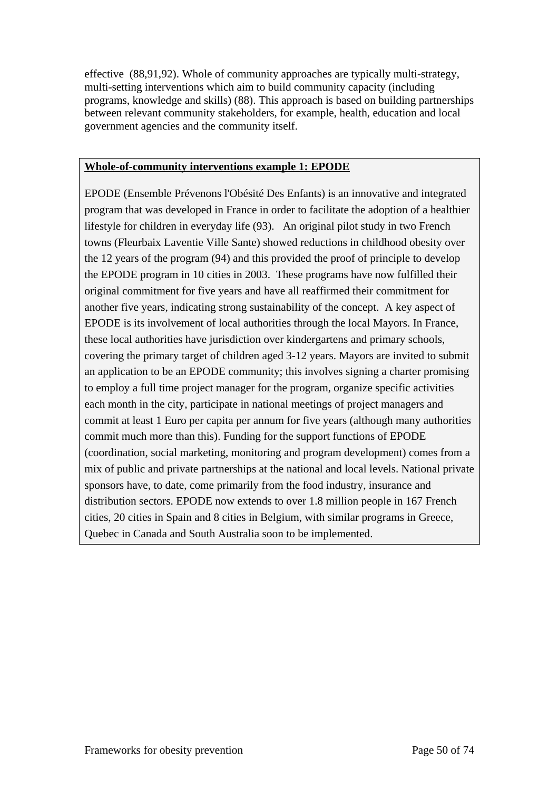effective (88,91,92). Whole of community approaches are typically multi-strategy, multi-setting interventions which aim to build community capacity (including programs, knowledge and skills) (88). This approach is based on building partnerships between relevant community stakeholders, for example, health, education and local government agencies and the community itself.

#### **Whole-of-community interventions example 1: EPODE**

EPODE (Ensemble Prévenons l'Obésité Des Enfants) is an innovative and integrated program that was developed in France in order to facilitate the adoption of a healthier lifestyle for children in everyday life (93). An original pilot study in two French towns (Fleurbaix Laventie Ville Sante) showed reductions in childhood obesity over the 12 years of the program (94) and this provided the proof of principle to develop the EPODE program in 10 cities in 2003. These programs have now fulfilled their original commitment for five years and have all reaffirmed their commitment for another five years, indicating strong sustainability of the concept. A key aspect of EPODE is its involvement of local authorities through the local Mayors. In France, these local authorities have jurisdiction over kindergartens and primary schools, covering the primary target of children aged 3-12 years. Mayors are invited to submit an application to be an EPODE community; this involves signing a charter promising to employ a full time project manager for the program, organize specific activities each month in the city, participate in national meetings of project managers and commit at least 1 Euro per capita per annum for five years (although many authorities commit much more than this). Funding for the support functions of EPODE (coordination, social marketing, monitoring and program development) comes from a mix of public and private partnerships at the national and local levels. National private sponsors have, to date, come primarily from the food industry, insurance and distribution sectors. EPODE now extends to over 1.8 million people in 167 French cities, 20 cities in Spain and 8 cities in Belgium, with similar programs in Greece, Quebec in Canada and South Australia soon to be implemented.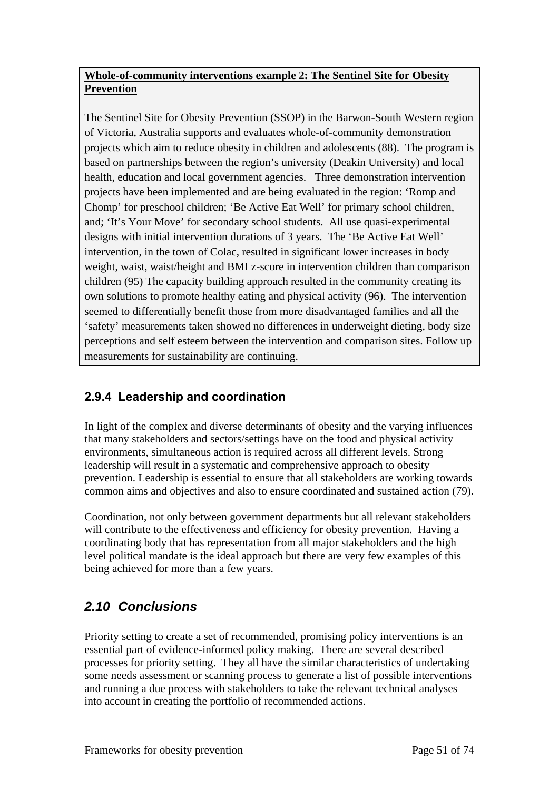#### **Whole-of-community interventions example 2: The Sentinel Site for Obesity Prevention**

The Sentinel Site for Obesity Prevention (SSOP) in the Barwon-South Western region of Victoria, Australia supports and evaluates whole-of-community demonstration projects which aim to reduce obesity in children and adolescents (88). The program is based on partnerships between the region's university (Deakin University) and local health, education and local government agencies. Three demonstration intervention projects have been implemented and are being evaluated in the region: 'Romp and Chomp' for preschool children; 'Be Active Eat Well' for primary school children, and; 'It's Your Move' for secondary school students. All use quasi-experimental designs with initial intervention durations of 3 years. The 'Be Active Eat Well' intervention, in the town of Colac, resulted in significant lower increases in body weight, waist, waist/height and BMI z-score in intervention children than comparison children (95) The capacity building approach resulted in the community creating its own solutions to promote healthy eating and physical activity (96). The intervention seemed to differentially benefit those from more disadvantaged families and all the 'safety' measurements taken showed no differences in underweight dieting, body size perceptions and self esteem between the intervention and comparison sites. Follow up measurements for sustainability are continuing.

# **2.9.4 Leadership and coordination**

In light of the complex and diverse determinants of obesity and the varying influences that many stakeholders and sectors/settings have on the food and physical activity environments, simultaneous action is required across all different levels. Strong leadership will result in a systematic and comprehensive approach to obesity prevention. Leadership is essential to ensure that all stakeholders are working towards common aims and objectives and also to ensure coordinated and sustained action (79).

Coordination, not only between government departments but all relevant stakeholders will contribute to the effectiveness and efficiency for obesity prevention. Having a coordinating body that has representation from all major stakeholders and the high level political mandate is the ideal approach but there are very few examples of this being achieved for more than a few years.

# *2.10 Conclusions*

Priority setting to create a set of recommended, promising policy interventions is an essential part of evidence-informed policy making. There are several described processes for priority setting. They all have the similar characteristics of undertaking some needs assessment or scanning process to generate a list of possible interventions and running a due process with stakeholders to take the relevant technical analyses into account in creating the portfolio of recommended actions.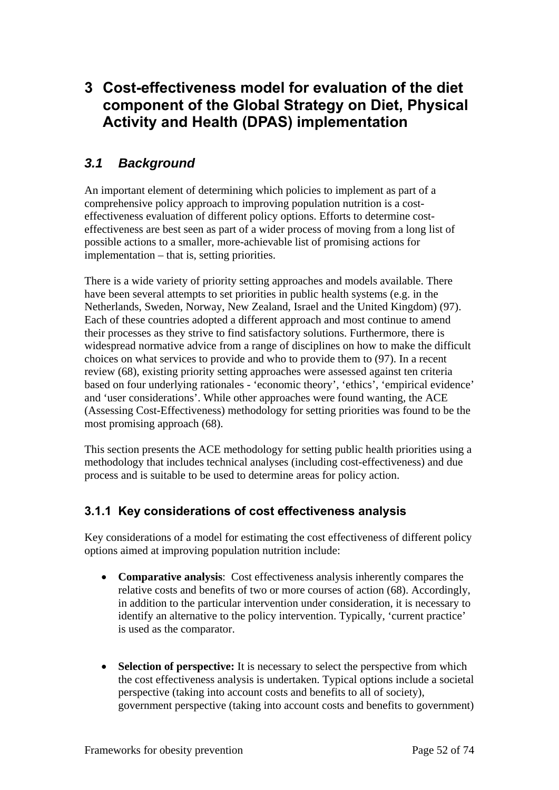# **3 Cost-effectiveness model for evaluation of the diet component of the Global Strategy on Diet, Physical Activity and Health (DPAS) implementation**

# *3.1 Background*

An important element of determining which policies to implement as part of a comprehensive policy approach to improving population nutrition is a costeffectiveness evaluation of different policy options. Efforts to determine costeffectiveness are best seen as part of a wider process of moving from a long list of possible actions to a smaller, more-achievable list of promising actions for implementation – that is, setting priorities.

There is a wide variety of priority setting approaches and models available. There have been several attempts to set priorities in public health systems (e.g. in the Netherlands, Sweden, Norway, New Zealand, Israel and the United Kingdom) (97). Each of these countries adopted a different approach and most continue to amend their processes as they strive to find satisfactory solutions. Furthermore, there is widespread normative advice from a range of disciplines on how to make the difficult choices on what services to provide and who to provide them to (97). In a recent review (68), existing priority setting approaches were assessed against ten criteria based on four underlying rationales - 'economic theory', 'ethics', 'empirical evidence' and 'user considerations'. While other approaches were found wanting, the ACE (Assessing Cost-Effectiveness) methodology for setting priorities was found to be the most promising approach (68).

This section presents the ACE methodology for setting public health priorities using a methodology that includes technical analyses (including cost-effectiveness) and due process and is suitable to be used to determine areas for policy action.

### **3.1.1 Key considerations of cost effectiveness analysis**

Key considerations of a model for estimating the cost effectiveness of different policy options aimed at improving population nutrition include:

- **Comparative analysis**: Cost effectiveness analysis inherently compares the relative costs and benefits of two or more courses of action (68). Accordingly, in addition to the particular intervention under consideration, it is necessary to identify an alternative to the policy intervention. Typically, 'current practice' is used as the comparator.
- **Selection of perspective:** It is necessary to select the perspective from which the cost effectiveness analysis is undertaken. Typical options include a societal perspective (taking into account costs and benefits to all of society), government perspective (taking into account costs and benefits to government)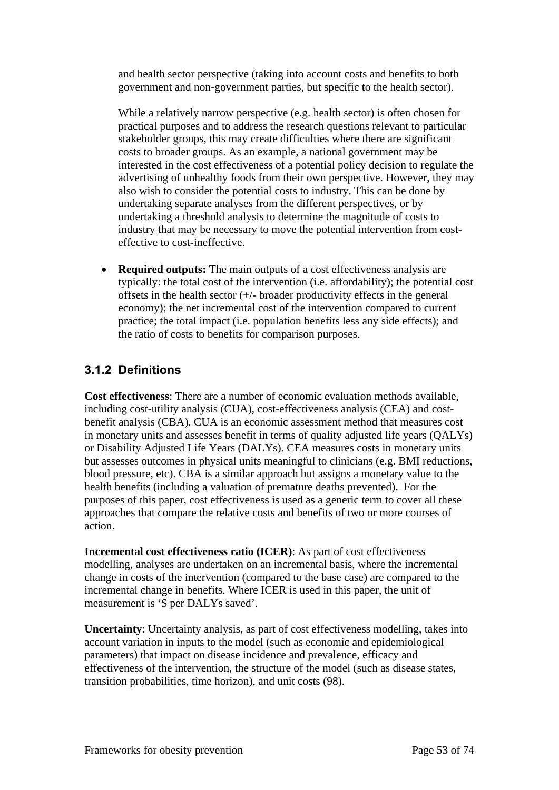and health sector perspective (taking into account costs and benefits to both government and non-government parties, but specific to the health sector).

While a relatively narrow perspective (e.g. health sector) is often chosen for practical purposes and to address the research questions relevant to particular stakeholder groups, this may create difficulties where there are significant costs to broader groups. As an example, a national government may be interested in the cost effectiveness of a potential policy decision to regulate the advertising of unhealthy foods from their own perspective. However, they may also wish to consider the potential costs to industry. This can be done by undertaking separate analyses from the different perspectives, or by undertaking a threshold analysis to determine the magnitude of costs to industry that may be necessary to move the potential intervention from costeffective to cost-ineffective.

• **Required outputs:** The main outputs of a cost effectiveness analysis are typically: the total cost of the intervention (i.e. affordability); the potential cost offsets in the health sector  $(+/-$  broader productivity effects in the general economy); the net incremental cost of the intervention compared to current practice; the total impact (i.e. population benefits less any side effects); and the ratio of costs to benefits for comparison purposes.

## **3.1.2 Definitions**

**Cost effectiveness**: There are a number of economic evaluation methods available, including cost-utility analysis (CUA), cost-effectiveness analysis (CEA) and costbenefit analysis (CBA). CUA is an economic assessment method that measures cost in monetary units and assesses benefit in terms of quality adjusted life years (QALYs) or Disability Adjusted Life Years (DALYs). CEA measures costs in monetary units but assesses outcomes in physical units meaningful to clinicians (e.g. BMI reductions, blood pressure, etc). CBA is a similar approach but assigns a monetary value to the health benefits (including a valuation of premature deaths prevented). For the purposes of this paper, cost effectiveness is used as a generic term to cover all these approaches that compare the relative costs and benefits of two or more courses of action.

**Incremental cost effectiveness ratio (ICER)**: As part of cost effectiveness modelling, analyses are undertaken on an incremental basis, where the incremental change in costs of the intervention (compared to the base case) are compared to the incremental change in benefits. Where ICER is used in this paper, the unit of measurement is '\$ per DALYs saved'.

**Uncertainty**: Uncertainty analysis, as part of cost effectiveness modelling, takes into account variation in inputs to the model (such as economic and epidemiological parameters) that impact on disease incidence and prevalence, efficacy and effectiveness of the intervention, the structure of the model (such as disease states, transition probabilities, time horizon), and unit costs (98).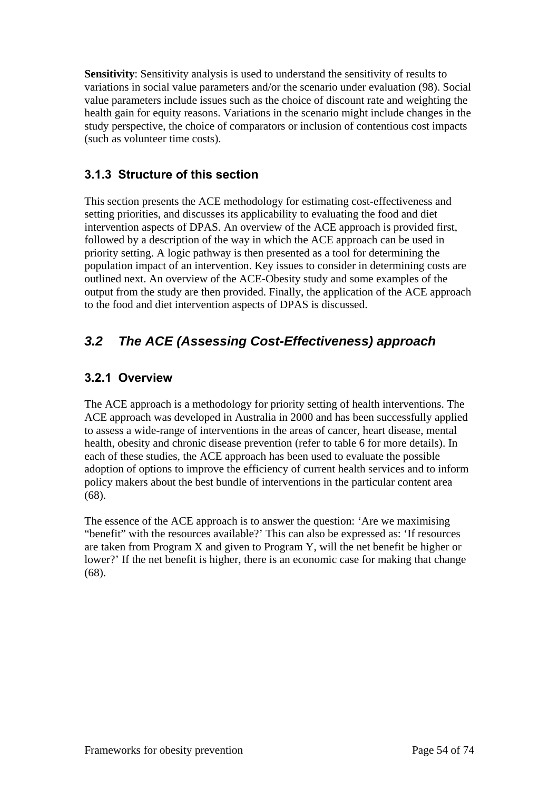**Sensitivity**: Sensitivity analysis is used to understand the sensitivity of results to variations in social value parameters and/or the scenario under evaluation (98). Social value parameters include issues such as the choice of discount rate and weighting the health gain for equity reasons. Variations in the scenario might include changes in the study perspective, the choice of comparators or inclusion of contentious cost impacts (such as volunteer time costs).

### **3.1.3 Structure of this section**

This section presents the ACE methodology for estimating cost-effectiveness and setting priorities, and discusses its applicability to evaluating the food and diet intervention aspects of DPAS. An overview of the ACE approach is provided first, followed by a description of the way in which the ACE approach can be used in priority setting. A logic pathway is then presented as a tool for determining the population impact of an intervention. Key issues to consider in determining costs are outlined next. An overview of the ACE-Obesity study and some examples of the output from the study are then provided. Finally, the application of the ACE approach to the food and diet intervention aspects of DPAS is discussed.

# *3.2 The ACE (Assessing Cost-Effectiveness) approach*

### **3.2.1 Overview**

The ACE approach is a methodology for priority setting of health interventions. The ACE approach was developed in Australia in 2000 and has been successfully applied to assess a wide-range of interventions in the areas of cancer, heart disease, mental health, obesity and chronic disease prevention (refer to table 6 for more details). In each of these studies, the ACE approach has been used to evaluate the possible adoption of options to improve the efficiency of current health services and to inform policy makers about the best bundle of interventions in the particular content area (68).

The essence of the ACE approach is to answer the question: 'Are we maximising "benefit" with the resources available?' This can also be expressed as: 'If resources are taken from Program X and given to Program Y, will the net benefit be higher or lower?' If the net benefit is higher, there is an economic case for making that change (68).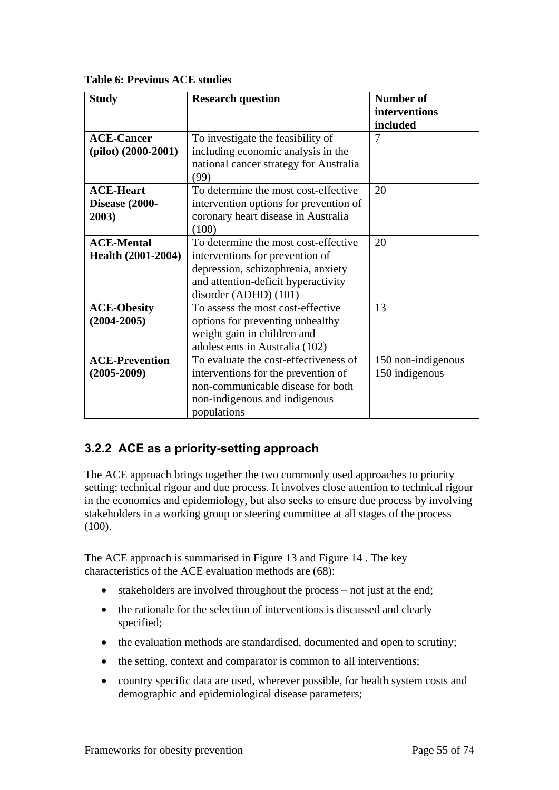**Table 6: Previous ACE studies** 

| <b>Study</b>              | <b>Research question</b>               | <b>Number of</b>   |
|---------------------------|----------------------------------------|--------------------|
|                           |                                        | interventions      |
|                           |                                        | included           |
| <b>ACE-Cancer</b>         | To investigate the feasibility of      | 7                  |
| $(pilot)$ $(2000-2001)$   | including economic analysis in the     |                    |
|                           | national cancer strategy for Australia |                    |
|                           | (99)                                   |                    |
| <b>ACE-Heart</b>          | To determine the most cost-effective   | 20                 |
| Disease (2000-            | intervention options for prevention of |                    |
| 2003)                     | coronary heart disease in Australia    |                    |
|                           | (100)                                  |                    |
| <b>ACE-Mental</b>         | To determine the most cost-effective   | 20                 |
| <b>Health (2001-2004)</b> | interventions for prevention of        |                    |
|                           | depression, schizophrenia, anxiety     |                    |
|                           | and attention-deficit hyperactivity    |                    |
|                           | disorder (ADHD) (101)                  |                    |
| <b>ACE-Obesity</b>        | To assess the most cost-effective      | 13                 |
| $(2004 - 2005)$           | options for preventing unhealthy       |                    |
|                           | weight gain in children and            |                    |
|                           | adolescents in Australia (102)         |                    |
| <b>ACE-Prevention</b>     | To evaluate the cost-effectiveness of  | 150 non-indigenous |
| $(2005 - 2009)$           | interventions for the prevention of    | 150 indigenous     |
|                           | non-communicable disease for both      |                    |
|                           | non-indigenous and indigenous          |                    |
|                           | populations                            |                    |

## **3.2.2 ACE as a priority-setting approach**

The ACE approach brings together the two commonly used approaches to priority setting: technical rigour and due process. It involves close attention to technical rigour in the economics and epidemiology, but also seeks to ensure due process by involving stakeholders in a working group or steering committee at all stages of the process (100).

The ACE approach is summarised in Figure 13 and Figure 14 . The key characteristics of the ACE evaluation methods are (68):

- stakeholders are involved throughout the process not just at the end;
- the rationale for the selection of interventions is discussed and clearly specified;
- the evaluation methods are standardised, documented and open to scrutiny;
- the setting, context and comparator is common to all interventions;
- country specific data are used, wherever possible, for health system costs and demographic and epidemiological disease parameters;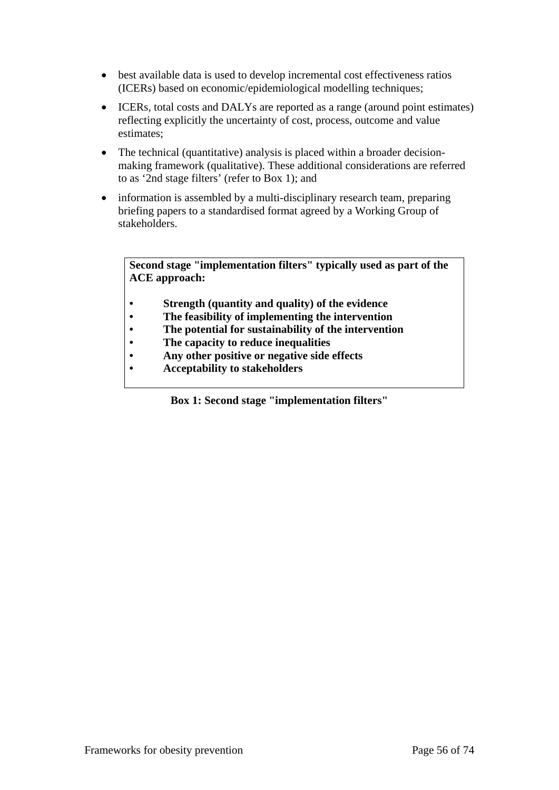- best available data is used to develop incremental cost effectiveness ratios (ICERs) based on economic/epidemiological modelling techniques;
- ICERs, total costs and DALYs are reported as a range (around point estimates) reflecting explicitly the uncertainty of cost, process, outcome and value estimates;
- The technical (quantitative) analysis is placed within a broader decisionmaking framework (qualitative). These additional considerations are referred to as '2nd stage filters' (refer to Box 1); and
- information is assembled by a multi-disciplinary research team, preparing briefing papers to a standardised format agreed by a Working Group of stakeholders.

**Second stage "implementation filters" typically used as part of the ACE approach:** 

- **Strength (quantity and quality) of the evidence**
- **The feasibility of implementing the intervention**
- **The potential for sustainability of the intervention**
- **The capacity to reduce inequalities**
- **Any other positive or negative side effects**
- **Acceptability to stakeholders**

**Box 1: Second stage "implementation filters"**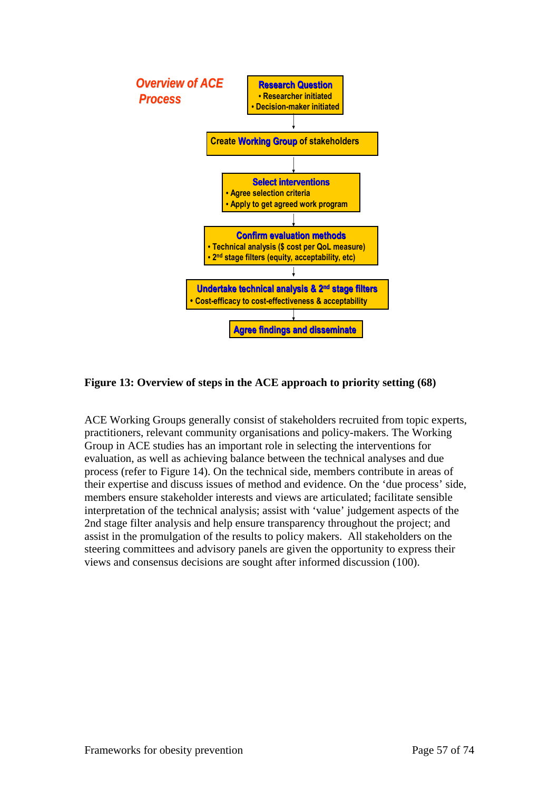

#### **Figure 13: Overview of steps in the ACE approach to priority setting (68)**

ACE Working Groups generally consist of stakeholders recruited from topic experts, practitioners, relevant community organisations and policy-makers. The Working Group in ACE studies has an important role in selecting the interventions for evaluation, as well as achieving balance between the technical analyses and due process (refer to Figure 14). On the technical side, members contribute in areas of their expertise and discuss issues of method and evidence. On the 'due process' side, members ensure stakeholder interests and views are articulated; facilitate sensible interpretation of the technical analysis; assist with 'value' judgement aspects of the 2nd stage filter analysis and help ensure transparency throughout the project; and assist in the promulgation of the results to policy makers. All stakeholders on the steering committees and advisory panels are given the opportunity to express their views and consensus decisions are sought after informed discussion (100).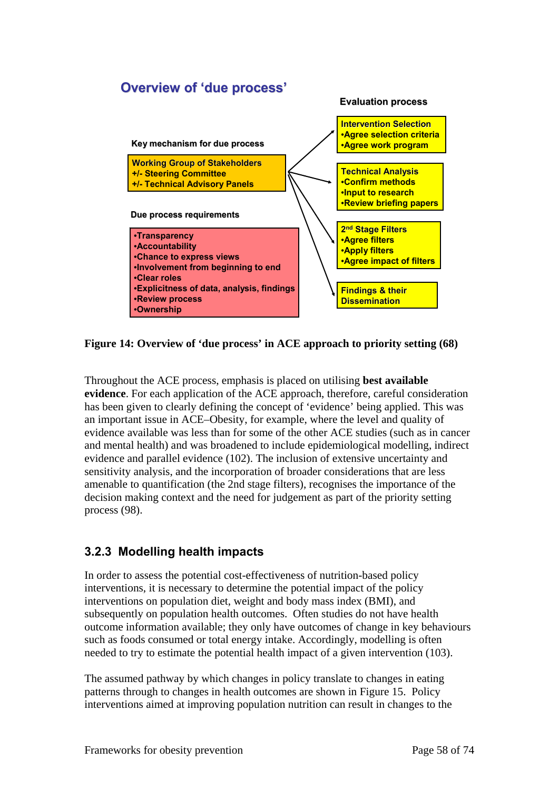

**Figure 14: Overview of 'due process' in ACE approach to priority setting (68)** 

Throughout the ACE process, emphasis is placed on utilising **best available evidence**. For each application of the ACE approach, therefore, careful consideration has been given to clearly defining the concept of 'evidence' being applied. This was an important issue in ACE–Obesity, for example, where the level and quality of evidence available was less than for some of the other ACE studies (such as in cancer and mental health) and was broadened to include epidemiological modelling, indirect evidence and parallel evidence (102). The inclusion of extensive uncertainty and sensitivity analysis, and the incorporation of broader considerations that are less amenable to quantification (the 2nd stage filters), recognises the importance of the decision making context and the need for judgement as part of the priority setting process (98).

### **3.2.3 Modelling health impacts**

In order to assess the potential cost-effectiveness of nutrition-based policy interventions, it is necessary to determine the potential impact of the policy interventions on population diet, weight and body mass index (BMI), and subsequently on population health outcomes. Often studies do not have health outcome information available; they only have outcomes of change in key behaviours such as foods consumed or total energy intake. Accordingly, modelling is often needed to try to estimate the potential health impact of a given intervention (103).

The assumed pathway by which changes in policy translate to changes in eating patterns through to changes in health outcomes are shown in Figure 15. Policy interventions aimed at improving population nutrition can result in changes to the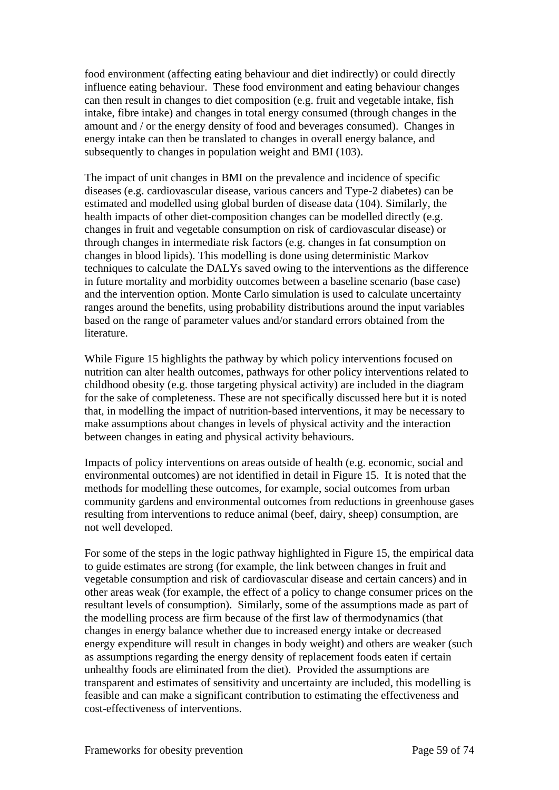food environment (affecting eating behaviour and diet indirectly) or could directly influence eating behaviour. These food environment and eating behaviour changes can then result in changes to diet composition (e.g. fruit and vegetable intake, fish intake, fibre intake) and changes in total energy consumed (through changes in the amount and / or the energy density of food and beverages consumed). Changes in energy intake can then be translated to changes in overall energy balance, and subsequently to changes in population weight and BMI (103).

The impact of unit changes in BMI on the prevalence and incidence of specific diseases (e.g. cardiovascular disease, various cancers and Type-2 diabetes) can be estimated and modelled using global burden of disease data (104). Similarly, the health impacts of other diet-composition changes can be modelled directly (e.g. changes in fruit and vegetable consumption on risk of cardiovascular disease) or through changes in intermediate risk factors (e.g. changes in fat consumption on changes in blood lipids). This modelling is done using deterministic Markov techniques to calculate the DALYs saved owing to the interventions as the difference in future mortality and morbidity outcomes between a baseline scenario (base case) and the intervention option. Monte Carlo simulation is used to calculate uncertainty ranges around the benefits, using probability distributions around the input variables based on the range of parameter values and/or standard errors obtained from the literature.

While Figure 15 highlights the pathway by which policy interventions focused on nutrition can alter health outcomes, pathways for other policy interventions related to childhood obesity (e.g. those targeting physical activity) are included in the diagram for the sake of completeness. These are not specifically discussed here but it is noted that, in modelling the impact of nutrition-based interventions, it may be necessary to make assumptions about changes in levels of physical activity and the interaction between changes in eating and physical activity behaviours.

Impacts of policy interventions on areas outside of health (e.g. economic, social and environmental outcomes) are not identified in detail in Figure 15. It is noted that the methods for modelling these outcomes, for example, social outcomes from urban community gardens and environmental outcomes from reductions in greenhouse gases resulting from interventions to reduce animal (beef, dairy, sheep) consumption, are not well developed.

For some of the steps in the logic pathway highlighted in Figure 15, the empirical data to guide estimates are strong (for example, the link between changes in fruit and vegetable consumption and risk of cardiovascular disease and certain cancers) and in other areas weak (for example, the effect of a policy to change consumer prices on the resultant levels of consumption). Similarly, some of the assumptions made as part of the modelling process are firm because of the first law of thermodynamics (that changes in energy balance whether due to increased energy intake or decreased energy expenditure will result in changes in body weight) and others are weaker (such as assumptions regarding the energy density of replacement foods eaten if certain unhealthy foods are eliminated from the diet). Provided the assumptions are transparent and estimates of sensitivity and uncertainty are included, this modelling is feasible and can make a significant contribution to estimating the effectiveness and cost-effectiveness of interventions.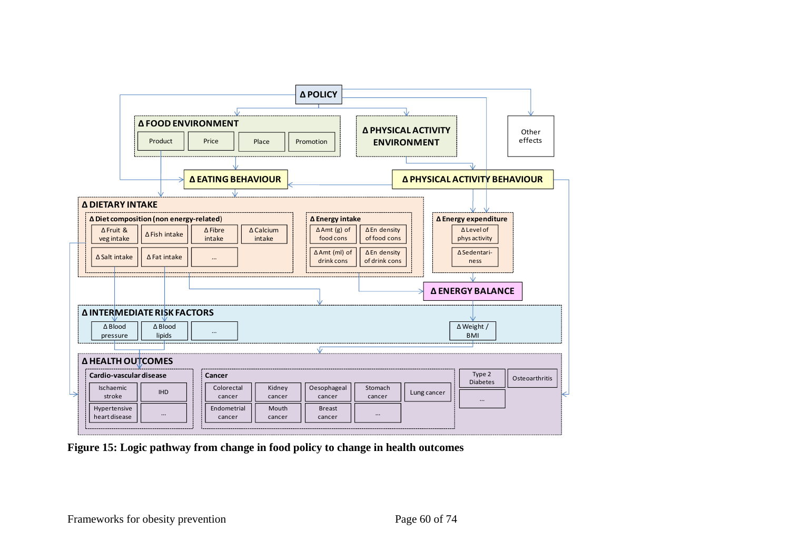

**Figure 15: Logic pathway from change in food policy to change in health outcomes**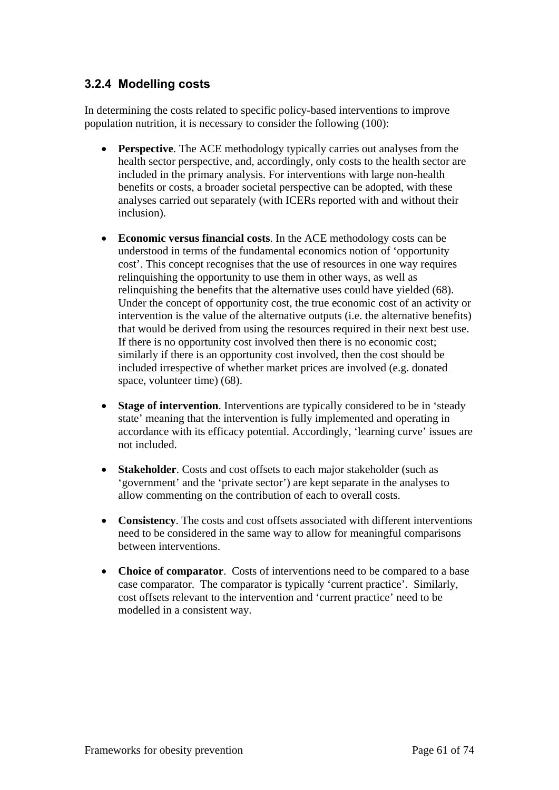#### **3.2.4 Modelling costs**

In determining the costs related to specific policy-based interventions to improve population nutrition, it is necessary to consider the following (100):

- **Perspective**. The ACE methodology typically carries out analyses from the health sector perspective, and, accordingly, only costs to the health sector are included in the primary analysis. For interventions with large non-health benefits or costs, a broader societal perspective can be adopted, with these analyses carried out separately (with ICERs reported with and without their inclusion).
- **Economic versus financial costs**. In the ACE methodology costs can be understood in terms of the fundamental economics notion of 'opportunity cost'. This concept recognises that the use of resources in one way requires relinquishing the opportunity to use them in other ways, as well as relinquishing the benefits that the alternative uses could have yielded (68). Under the concept of opportunity cost, the true economic cost of an activity or intervention is the value of the alternative outputs (i.e. the alternative benefits) that would be derived from using the resources required in their next best use. If there is no opportunity cost involved then there is no economic cost; similarly if there is an opportunity cost involved, then the cost should be included irrespective of whether market prices are involved (e.g. donated space, volunteer time) (68).
- **Stage of intervention**. Interventions are typically considered to be in 'steady state' meaning that the intervention is fully implemented and operating in accordance with its efficacy potential. Accordingly, 'learning curve' issues are not included.
- **Stakeholder**. Costs and cost offsets to each major stakeholder (such as 'government' and the 'private sector') are kept separate in the analyses to allow commenting on the contribution of each to overall costs.
- **Consistency**. The costs and cost offsets associated with different interventions need to be considered in the same way to allow for meaningful comparisons between interventions.
- **Choice of comparator**. Costs of interventions need to be compared to a base case comparator. The comparator is typically 'current practice'. Similarly, cost offsets relevant to the intervention and 'current practice' need to be modelled in a consistent way.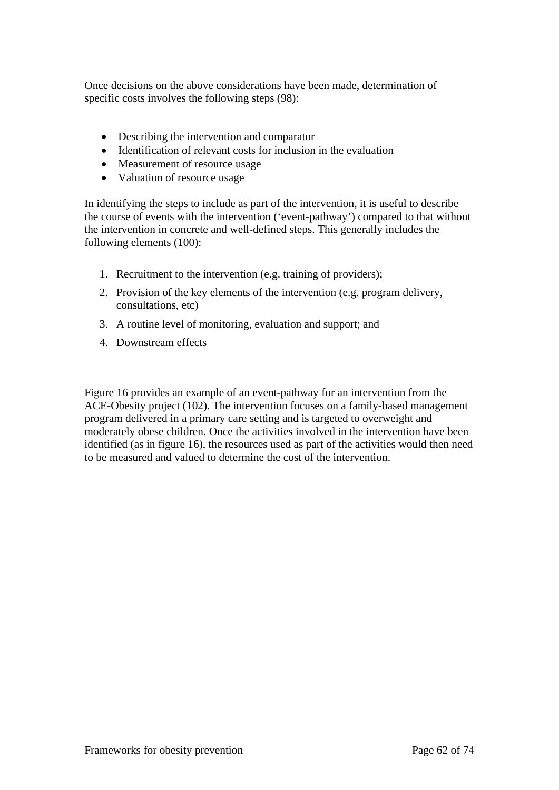Once decisions on the above considerations have been made, determination of specific costs involves the following steps (98):

- Describing the intervention and comparator
- Identification of relevant costs for inclusion in the evaluation
- Measurement of resource usage
- Valuation of resource usage

In identifying the steps to include as part of the intervention, it is useful to describe the course of events with the intervention ('event-pathway') compared to that without the intervention in concrete and well-defined steps. This generally includes the following elements (100):

- 1. Recruitment to the intervention (e.g. training of providers);
- 2. Provision of the key elements of the intervention (e.g. program delivery, consultations, etc)
- 3. A routine level of monitoring, evaluation and support; and
- 4. Downstream effects

Figure 16 provides an example of an event-pathway for an intervention from the ACE-Obesity project (102). The intervention focuses on a family-based management program delivered in a primary care setting and is targeted to overweight and moderately obese children. Once the activities involved in the intervention have been identified (as in figure 16), the resources used as part of the activities would then need to be measured and valued to determine the cost of the intervention.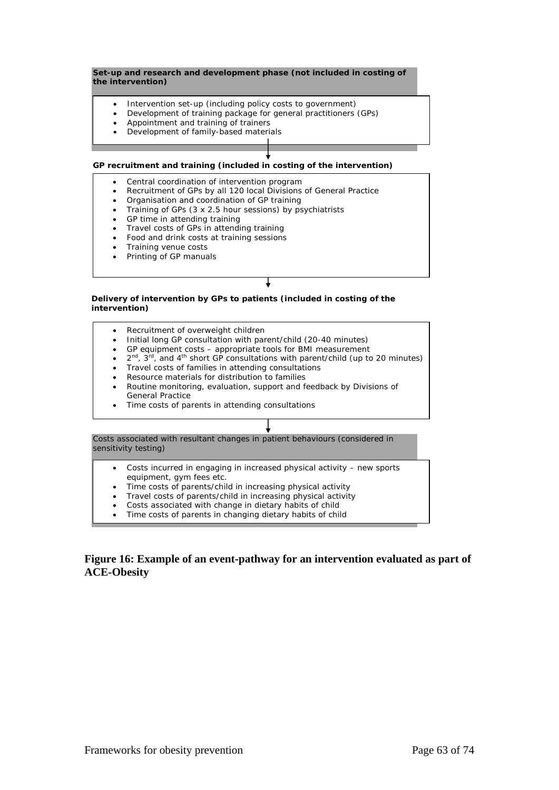#### **Set-up and research and development phase (not included in costing of the intervention)**

- Intervention set-up (including policy costs to government)
- Development of training package for general practitioners (GPs)
- Appointment and training of trainers
- Development of family-based materials

#### **GP recruitment and training (included in costing of the intervention)**

- Central coordination of intervention program
- Recruitment of GPs by all 120 local Divisions of General Practice
- Organisation and coordination of GP training
- Training of GPs (3 x 2.5 hour sessions) by psychiatrists
- GP time in attending training
- Travel costs of GPs in attending training
- Food and drink costs at training sessions
- Training venue costs
- Printing of GP manuals

#### **Delivery of intervention by GPs to patients (included in costing of the intervention)**

- Recruitment of overweight children
- Initial long GP consultation with parent/child (20-40 minutes)
- GP equipment costs appropriate tools for BMI measurement
- $2^{nd}$ ,  $3^{rd}$ , and  $4^{th}$  short GP consultations with parent/child (up to 20 minutes)
- Travel costs of families in attending consultations
- Resource materials for distribution to families
- Routine monitoring, evaluation, support and feedback by Divisions of General Practice
- Time costs of parents in attending consultations

Costs associated with resultant changes in patient behaviours (considered in sensitivity testing)

- Costs incurred in engaging in increased physical activity new sports equipment, gym fees etc.
- Time costs of parents/child in increasing physical activity
- Travel costs of parents/child in increasing physical activity
- Costs associated with change in dietary habits of child
- Time costs of parents in changing dietary habits of child

#### **Figure 16: Example of an event-pathway for an intervention evaluated as part of ACE-Obesity**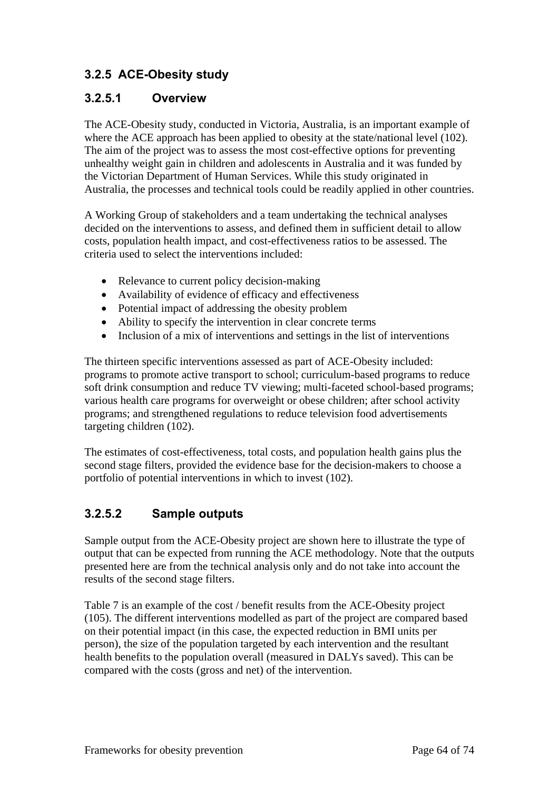# **3.2.5 ACE-Obesity study**

#### **3.2.5.1 Overview**

The ACE-Obesity study, conducted in Victoria, Australia, is an important example of where the ACE approach has been applied to obesity at the state/national level (102). The aim of the project was to assess the most cost-effective options for preventing unhealthy weight gain in children and adolescents in Australia and it was funded by the Victorian Department of Human Services. While this study originated in Australia, the processes and technical tools could be readily applied in other countries.

A Working Group of stakeholders and a team undertaking the technical analyses decided on the interventions to assess, and defined them in sufficient detail to allow costs, population health impact, and cost-effectiveness ratios to be assessed. The criteria used to select the interventions included:

- Relevance to current policy decision-making
- Availability of evidence of efficacy and effectiveness
- Potential impact of addressing the obesity problem
- Ability to specify the intervention in clear concrete terms
- Inclusion of a mix of interventions and settings in the list of interventions

The thirteen specific interventions assessed as part of ACE-Obesity included: programs to promote active transport to school; curriculum-based programs to reduce soft drink consumption and reduce TV viewing; multi-faceted school-based programs; various health care programs for overweight or obese children; after school activity programs; and strengthened regulations to reduce television food advertisements targeting children (102).

The estimates of cost-effectiveness, total costs, and population health gains plus the second stage filters, provided the evidence base for the decision-makers to choose a portfolio of potential interventions in which to invest (102).

## **3.2.5.2 Sample outputs**

Sample output from the ACE-Obesity project are shown here to illustrate the type of output that can be expected from running the ACE methodology. Note that the outputs presented here are from the technical analysis only and do not take into account the results of the second stage filters.

Table 7 is an example of the cost / benefit results from the ACE-Obesity project (105). The different interventions modelled as part of the project are compared based on their potential impact (in this case, the expected reduction in BMI units per person), the size of the population targeted by each intervention and the resultant health benefits to the population overall (measured in DALYs saved). This can be compared with the costs (gross and net) of the intervention.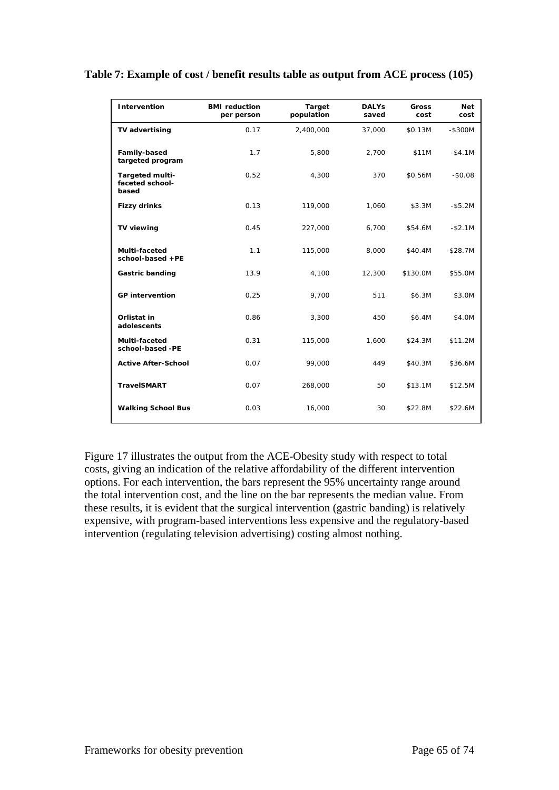| Table 7: Example of cost / benefit results table as output from ACE process (105) |  |  |
|-----------------------------------------------------------------------------------|--|--|
|                                                                                   |  |  |

| Intervention                                | <b>BMI</b> reduction<br>per person | Target<br>population | <b>DALYs</b><br>saved | <b>Gross</b><br>cost | <b>Net</b><br>cost |
|---------------------------------------------|------------------------------------|----------------------|-----------------------|----------------------|--------------------|
| TV advertising                              | 0.17                               | 2,400,000            | 37,000                | \$0.13M              | $-$ \$300M         |
| Family-based<br>targeted program            | 1.7                                | 5,800                | 2,700                 | \$11M                | $-$4.1M$           |
| Targeted multi-<br>faceted school-<br>based | 0.52                               | 4,300                | 370                   | \$0.56M              | $-$0.08$           |
| <b>Fizzy drinks</b>                         | 0.13                               | 119,000              | 1,060                 | \$3.3M               | $-$ \$5.2M         |
| <b>TV viewing</b>                           | 0.45                               | 227,000              | 6,700                 | \$54.6M              | $- $2.1M$          |
| Multi-faceted<br>school-based +PE           | 1.1                                | 115,000              | 8,000                 | \$40.4M              | $- $28.7M$         |
| Gastric banding                             | 13.9                               | 4,100                | 12,300                | \$130.0M             | \$55.0M            |
| <b>GP</b> intervention                      | 0.25                               | 9,700                | 511                   | \$6.3M               | \$3.0M             |
| Orlistat in<br>adolescents                  | 0.86                               | 3,300                | 450                   | \$6.4M               | \$4.0M             |
| Multi-faceted<br>school-based -PE           | 0.31                               | 115,000              | 1,600                 | \$24.3M              | \$11.2M            |
| <b>Active After-School</b>                  | 0.07                               | 99,000               | 449                   | \$40.3M              | \$36.6M            |
| <b>TravelSMART</b>                          | 0.07                               | 268,000              | 50                    | \$13.1M              | \$12.5M            |
| <b>Walking School Bus</b>                   | 0.03                               | 16,000               | 30                    | \$22.8M              | \$22.6M            |

Figure 17 illustrates the output from the ACE-Obesity study with respect to total costs, giving an indication of the relative affordability of the different intervention options. For each intervention, the bars represent the 95% uncertainty range around the total intervention cost, and the line on the bar represents the median value. From these results, it is evident that the surgical intervention (gastric banding) is relatively expensive, with program-based interventions less expensive and the regulatory-based intervention (regulating television advertising) costing almost nothing.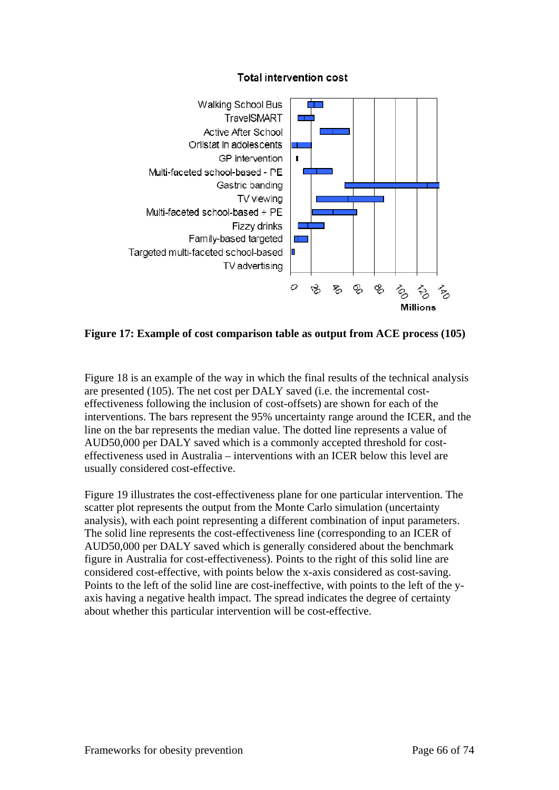

## **Total intervention cost**

**Figure 17: Example of cost comparison table as output from ACE process (105)** 

Figure 18 is an example of the way in which the final results of the technical analysis are presented (105). The net cost per DALY saved (i.e. the incremental costeffectiveness following the inclusion of cost-offsets) are shown for each of the interventions. The bars represent the 95% uncertainty range around the ICER, and the line on the bar represents the median value. The dotted line represents a value of AUD50,000 per DALY saved which is a commonly accepted threshold for costeffectiveness used in Australia – interventions with an ICER below this level are usually considered cost-effective.

Figure 19 illustrates the cost-effectiveness plane for one particular intervention. The scatter plot represents the output from the Monte Carlo simulation (uncertainty analysis), with each point representing a different combination of input parameters. The solid line represents the cost-effectiveness line (corresponding to an ICER of AUD50,000 per DALY saved which is generally considered about the benchmark figure in Australia for cost-effectiveness). Points to the right of this solid line are considered cost-effective, with points below the x-axis considered as cost-saving. Points to the left of the solid line are cost-ineffective, with points to the left of the yaxis having a negative health impact. The spread indicates the degree of certainty about whether this particular intervention will be cost-effective.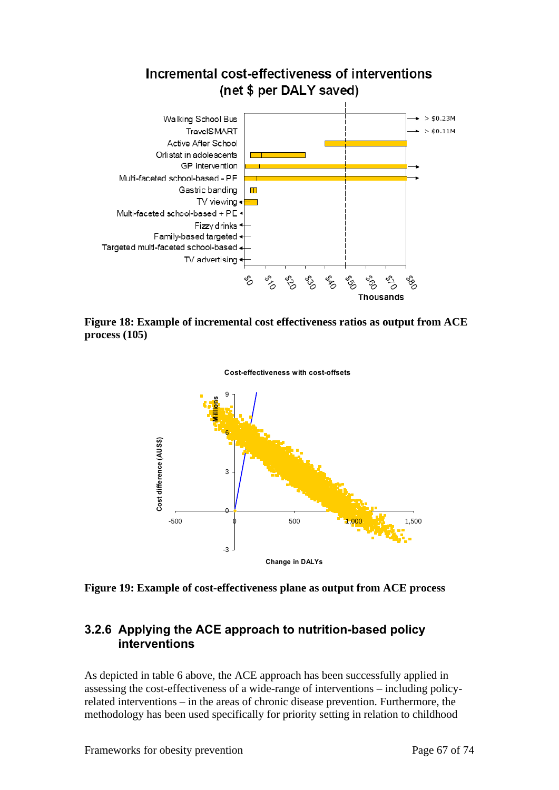

**Figure 18: Example of incremental cost effectiveness ratios as output from ACE process (105)** 



**Figure 19: Example of cost-effectiveness plane as output from ACE process** 

## **3.2.6 Applying the ACE approach to nutrition-based policy interventions**

As depicted in table 6 above, the ACE approach has been successfully applied in assessing the cost-effectiveness of a wide-range of interventions – including policyrelated interventions – in the areas of chronic disease prevention. Furthermore, the methodology has been used specifically for priority setting in relation to childhood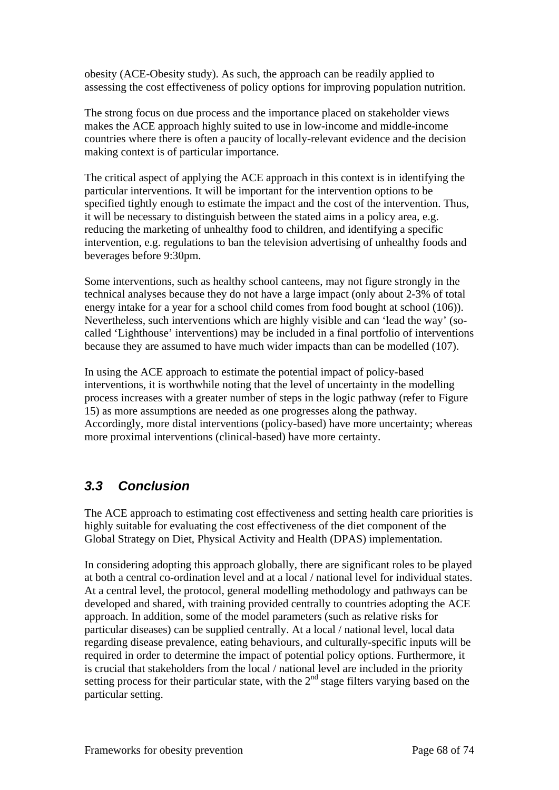obesity (ACE-Obesity study). As such, the approach can be readily applied to assessing the cost effectiveness of policy options for improving population nutrition.

The strong focus on due process and the importance placed on stakeholder views makes the ACE approach highly suited to use in low-income and middle-income countries where there is often a paucity of locally-relevant evidence and the decision making context is of particular importance.

The critical aspect of applying the ACE approach in this context is in identifying the particular interventions. It will be important for the intervention options to be specified tightly enough to estimate the impact and the cost of the intervention. Thus, it will be necessary to distinguish between the stated aims in a policy area, e.g. reducing the marketing of unhealthy food to children, and identifying a specific intervention, e.g. regulations to ban the television advertising of unhealthy foods and beverages before 9:30pm.

Some interventions, such as healthy school canteens, may not figure strongly in the technical analyses because they do not have a large impact (only about 2-3% of total energy intake for a year for a school child comes from food bought at school (106)). Nevertheless, such interventions which are highly visible and can 'lead the way' (socalled 'Lighthouse' interventions) may be included in a final portfolio of interventions because they are assumed to have much wider impacts than can be modelled (107).

In using the ACE approach to estimate the potential impact of policy-based interventions, it is worthwhile noting that the level of uncertainty in the modelling process increases with a greater number of steps in the logic pathway (refer to Figure 15) as more assumptions are needed as one progresses along the pathway. Accordingly, more distal interventions (policy-based) have more uncertainty; whereas more proximal interventions (clinical-based) have more certainty.

## *3.3 Conclusion*

The ACE approach to estimating cost effectiveness and setting health care priorities is highly suitable for evaluating the cost effectiveness of the diet component of the Global Strategy on Diet, Physical Activity and Health (DPAS) implementation.

In considering adopting this approach globally, there are significant roles to be played at both a central co-ordination level and at a local / national level for individual states. At a central level, the protocol, general modelling methodology and pathways can be developed and shared, with training provided centrally to countries adopting the ACE approach. In addition, some of the model parameters (such as relative risks for particular diseases) can be supplied centrally. At a local / national level, local data regarding disease prevalence, eating behaviours, and culturally-specific inputs will be required in order to determine the impact of potential policy options. Furthermore, it is crucial that stakeholders from the local / national level are included in the priority setting process for their particular state, with the  $2<sup>nd</sup>$  stage filters varying based on the particular setting.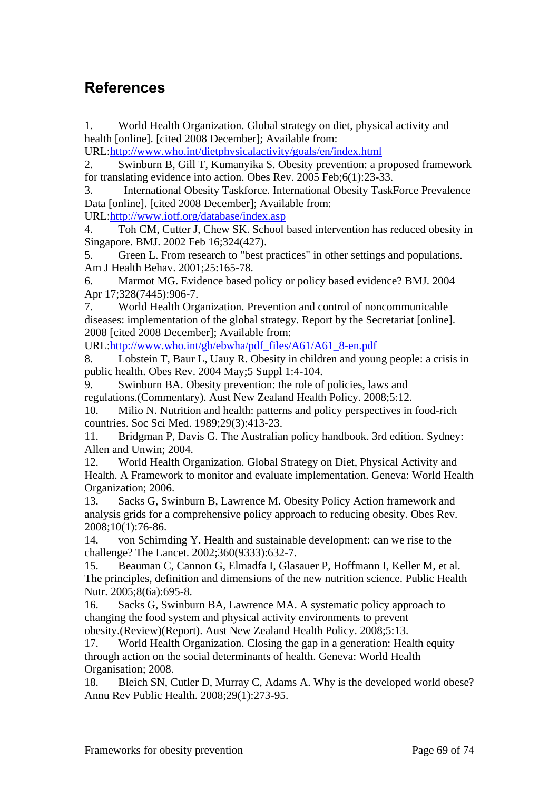## **References**

1. World Health Organization. Global strategy on diet, physical activity and health [online]. [cited 2008 December]; Available from:

URL:http://www.who.int/dietphysicalactivity/goals/en/index.html

2. Swinburn B, Gill T, Kumanyika S. Obesity prevention: a proposed framework for translating evidence into action. Obes Rev. 2005 Feb;6(1):23-33.

3. International Obesity Taskforce. International Obesity TaskForce Prevalence Data [online]. [cited 2008 December]; Available from:

URL:http://www.iotf.org/database/index.asp

4. Toh CM, Cutter J, Chew SK. School based intervention has reduced obesity in Singapore. BMJ. 2002 Feb 16;324(427).

5. Green L. From research to "best practices" in other settings and populations. Am J Health Behav. 2001;25:165-78.

6. Marmot MG. Evidence based policy or policy based evidence? BMJ. 2004 Apr 17;328(7445):906-7.

7. World Health Organization. Prevention and control of noncommunicable diseases: implementation of the global strategy. Report by the Secretariat [online]. 2008 [cited 2008 December]; Available from:

URL:http://www.who.int/gb/ebwha/pdf\_files/A61/A61\_8-en.pdf

8. Lobstein T, Baur L, Uauy R. Obesity in children and young people: a crisis in public health. Obes Rev. 2004 May;5 Suppl 1:4-104.

9. Swinburn BA. Obesity prevention: the role of policies, laws and regulations.(Commentary). Aust New Zealand Health Policy. 2008;5:12.

10. Milio N. Nutrition and health: patterns and policy perspectives in food-rich countries. Soc Sci Med. 1989;29(3):413-23.

11. Bridgman P, Davis G. The Australian policy handbook. 3rd edition. Sydney: Allen and Unwin; 2004.

12. World Health Organization. Global Strategy on Diet, Physical Activity and Health. A Framework to monitor and evaluate implementation. Geneva: World Health Organization; 2006.

13. Sacks G, Swinburn B, Lawrence M. Obesity Policy Action framework and analysis grids for a comprehensive policy approach to reducing obesity. Obes Rev. 2008;10(1):76-86.

14. von Schirnding Y. Health and sustainable development: can we rise to the challenge? The Lancet. 2002;360(9333):632-7.

15. Beauman C, Cannon G, Elmadfa I, Glasauer P, Hoffmann I, Keller M, et al. The principles, definition and dimensions of the new nutrition science. Public Health Nutr. 2005;8(6a):695-8.

16. Sacks G, Swinburn BA, Lawrence MA. A systematic policy approach to changing the food system and physical activity environments to prevent obesity.(Review)(Report). Aust New Zealand Health Policy. 2008;5:13.

17. World Health Organization. Closing the gap in a generation: Health equity through action on the social determinants of health. Geneva: World Health Organisation; 2008.

18. Bleich SN, Cutler D, Murray C, Adams A. Why is the developed world obese? Annu Rev Public Health. 2008;29(1):273-95.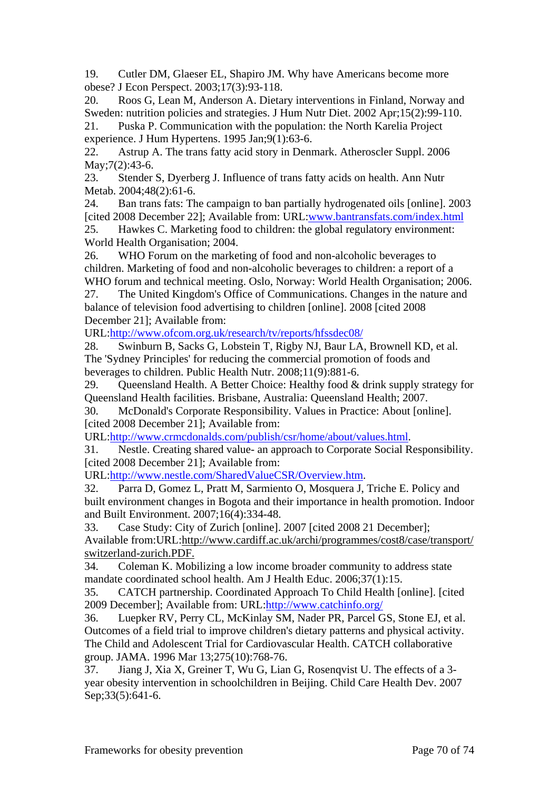19. Cutler DM, Glaeser EL, Shapiro JM. Why have Americans become more obese? J Econ Perspect. 2003;17(3):93-118.

20. Roos G, Lean M, Anderson A. Dietary interventions in Finland, Norway and Sweden: nutrition policies and strategies. J Hum Nutr Diet. 2002 Apr;15(2):99-110. 21. Puska P. Communication with the population: the North Karelia Project

experience. J Hum Hypertens. 1995 Jan;9(1):63-6.

22. Astrup A. The trans fatty acid story in Denmark. Atheroscler Suppl. 2006 May;7(2):43-6.

23. Stender S, Dyerberg J. Influence of trans fatty acids on health. Ann Nutr Metab. 2004;48(2):61-6.

24. Ban trans fats: The campaign to ban partially hydrogenated oils [online]. 2003 [cited 2008 December 22]; Available from: URL:www.bantransfats.com/index.html

25. Hawkes C. Marketing food to children: the global regulatory environment: World Health Organisation; 2004.

26. WHO Forum on the marketing of food and non-alcoholic beverages to children. Marketing of food and non-alcoholic beverages to children: a report of a WHO forum and technical meeting. Oslo, Norway: World Health Organisation; 2006.

27. The United Kingdom's Office of Communications. Changes in the nature and balance of television food advertising to children [online]. 2008 [cited 2008 December 21]; Available from:

URL:http://www.ofcom.org.uk/research/tv/reports/hfssdec08/

28. Swinburn B, Sacks G, Lobstein T, Rigby NJ, Baur LA, Brownell KD, et al. The 'Sydney Principles' for reducing the commercial promotion of foods and beverages to children. Public Health Nutr. 2008;11(9):881-6.

29. Queensland Health. A Better Choice: Healthy food & drink supply strategy for Queensland Health facilities. Brisbane, Australia: Queensland Health; 2007.

30. McDonald's Corporate Responsibility. Values in Practice: About [online]. [cited 2008 December 21]; Available from:

URL:http://www.crmcdonalds.com/publish/csr/home/about/values.html.

31. Nestle. Creating shared value- an approach to Corporate Social Responsibility. [cited 2008 December 21]; Available from:

URL:http://www.nestle.com/SharedValueCSR/Overview.htm.

32. Parra D, Gomez L, Pratt M, Sarmiento O, Mosquera J, Triche E. Policy and built environment changes in Bogota and their importance in health promotion. Indoor and Built Environment. 2007;16(4):334-48.

33. Case Study: City of Zurich [online]. 2007 [cited 2008 21 December]; Available from:URL:http://www.cardiff.ac.uk/archi/programmes/cost8/case/transport/ switzerland-zurich.PDF.

34. Coleman K. Mobilizing a low income broader community to address state mandate coordinated school health. Am J Health Educ. 2006;37(1):15.

35. CATCH partnership. Coordinated Approach To Child Health [online]. [cited 2009 December]; Available from: URL:http://www.catchinfo.org/

36. Luepker RV, Perry CL, McKinlay SM, Nader PR, Parcel GS, Stone EJ, et al. Outcomes of a field trial to improve children's dietary patterns and physical activity. The Child and Adolescent Trial for Cardiovascular Health. CATCH collaborative group. JAMA. 1996 Mar 13;275(10):768-76.

37. Jiang J, Xia X, Greiner T, Wu G, Lian G, Rosenqvist U. The effects of a 3 year obesity intervention in schoolchildren in Beijing. Child Care Health Dev. 2007 Sep;33(5):641-6.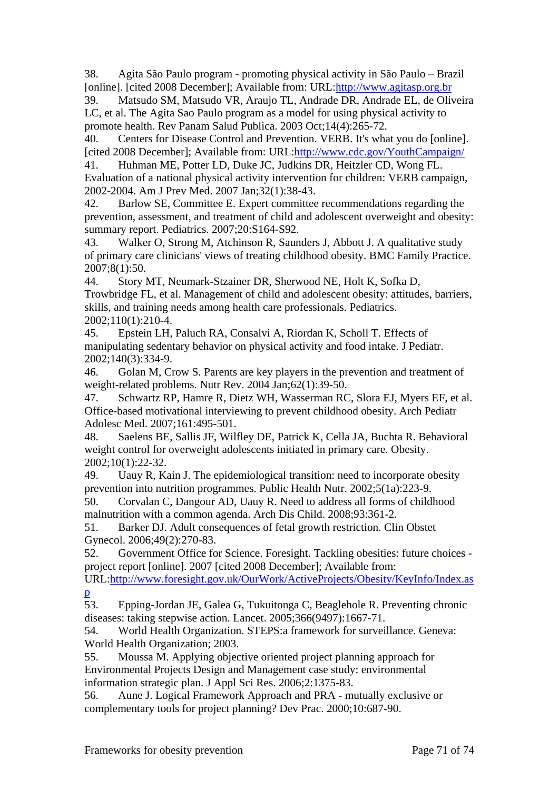38. Agita São Paulo program - promoting physical activity in São Paulo – Brazil [online]. [cited 2008 December]; Available from: URL:http://www.agitasp.org.br

39. Matsudo SM, Matsudo VR, Araujo TL, Andrade DR, Andrade EL, de Oliveira LC, et al. The Agita Sao Paulo program as a model for using physical activity to promote health. Rev Panam Salud Publica. 2003 Oct;14(4):265-72.

40. Centers for Disease Control and Prevention. VERB. It's what you do [online]. [cited 2008 December]; Available from: URL:http://www.cdc.gov/YouthCampaign/

41. Huhman ME, Potter LD, Duke JC, Judkins DR, Heitzler CD, Wong FL. Evaluation of a national physical activity intervention for children: VERB campaign, 2002-2004. Am J Prev Med. 2007 Jan;32(1):38-43.

42. Barlow SE, Committee E. Expert committee recommendations regarding the prevention, assessment, and treatment of child and adolescent overweight and obesity: summary report. Pediatrics. 2007;20:S164-S92.

43. Walker O, Strong M, Atchinson R, Saunders J, Abbott J. A qualitative study of primary care clinicians' views of treating childhood obesity. BMC Family Practice. 2007;8(1):50.

44. Story MT, Neumark-Stzainer DR, Sherwood NE, Holt K, Sofka D, Trowbridge FL, et al. Management of child and adolescent obesity: attitudes, barriers, skills, and training needs among health care professionals. Pediatrics. 2002;110(1):210-4.

45. Epstein LH, Paluch RA, Consalvi A, Riordan K, Scholl T. Effects of manipulating sedentary behavior on physical activity and food intake. J Pediatr. 2002;140(3):334-9.

46. Golan M, Crow S. Parents are key players in the prevention and treatment of weight-related problems. Nutr Rev. 2004 Jan;62(1):39-50.

47. Schwartz RP, Hamre R, Dietz WH, Wasserman RC, Slora EJ, Myers EF, et al. Office-based motivational interviewing to prevent childhood obesity. Arch Pediatr Adolesc Med. 2007;161:495-501.

48. Saelens BE, Sallis JF, Wilfley DE, Patrick K, Cella JA, Buchta R. Behavioral weight control for overweight adolescents initiated in primary care. Obesity. 2002;10(1):22-32.

49. Uauy R, Kain J. The epidemiological transition: need to incorporate obesity prevention into nutrition programmes. Public Health Nutr. 2002;5(1a):223-9.

50. Corvalan C, Dangour AD, Uauy R. Need to address all forms of childhood malnutrition with a common agenda. Arch Dis Child. 2008;93:361-2.

51. Barker DJ. Adult consequences of fetal growth restriction. Clin Obstet Gynecol. 2006;49(2):270-83.

52. Government Office for Science. Foresight. Tackling obesities: future choices project report [online]. 2007 [cited 2008 December]; Available from:

URL:http://www.foresight.gov.uk/OurWork/ActiveProjects/Obesity/KeyInfo/Index.as

 $\frac{p}{53}$ 53. Epping-Jordan JE, Galea G, Tukuitonga C, Beaglehole R. Preventing chronic diseases: taking stepwise action. Lancet. 2005;366(9497):1667-71.

54. World Health Organization. STEPS:a framework for surveillance. Geneva: World Health Organization; 2003.

55. Moussa M. Applying objective oriented project planning approach for Environmental Projects Design and Management case study: environmental information strategic plan. J Appl Sci Res. 2006;2:1375-83.

56. Aune J. Logical Framework Approach and PRA - mutually exclusive or complementary tools for project planning? Dev Prac. 2000;10:687-90.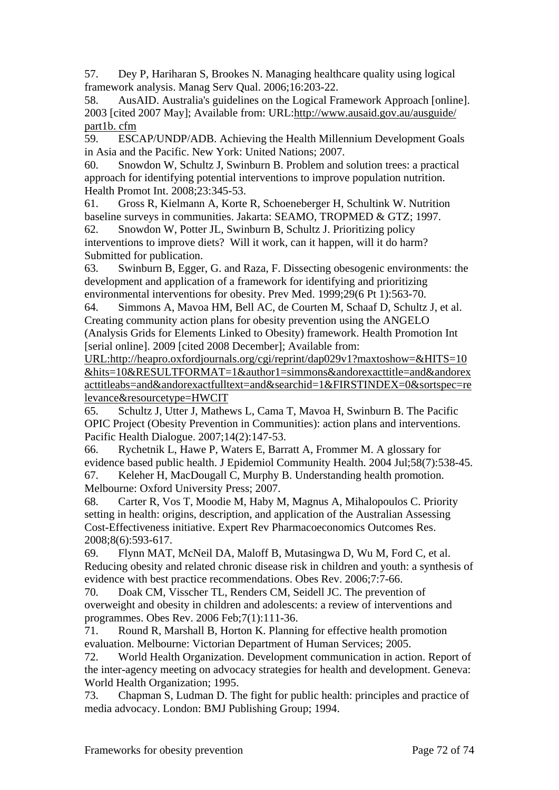57. Dey P, Hariharan S, Brookes N. Managing healthcare quality using logical framework analysis. Manag Serv Qual. 2006;16:203-22.

58. AusAID. Australia's guidelines on the Logical Framework Approach [online]. 2003 [cited 2007 May]; Available from: URL:http://www.ausaid.gov.au/ausguide/ part1b. cfm

59. ESCAP/UNDP/ADB. Achieving the Health Millennium Development Goals in Asia and the Pacific. New York: United Nations; 2007.

60. Snowdon W, Schultz J, Swinburn B. Problem and solution trees: a practical approach for identifying potential interventions to improve population nutrition. Health Promot Int. 2008;23:345-53.

61. Gross R, Kielmann A, Korte R, Schoeneberger H, Schultink W. Nutrition baseline surveys in communities. Jakarta: SEAMO, TROPMED & GTZ; 1997.

62. Snowdon W, Potter JL, Swinburn B, Schultz J. Prioritizing policy interventions to improve diets? Will it work, can it happen, will it do harm? Submitted for publication.

63. Swinburn B, Egger, G. and Raza, F. Dissecting obesogenic environments: the development and application of a framework for identifying and prioritizing environmental interventions for obesity. Prev Med. 1999;29(6 Pt 1):563-70.

64. Simmons A, Mavoa HM, Bell AC, de Courten M, Schaaf D, Schultz J, et al. Creating community action plans for obesity prevention using the ANGELO (Analysis Grids for Elements Linked to Obesity) framework. Health Promotion Int [serial online]. 2009 [cited 2008 December]: Available from:

URL:http://heapro.oxfordjournals.org/cgi/reprint/dap029v1?maxtoshow=&HITS=10 &hits=10&RESULTFORMAT=1&author1=simmons&andorexacttitle=and&andorex acttitleabs=and&andorexactfulltext=and&searchid=1&FIRSTINDEX=0&sortspec=re levance&resourcetype=HWCIT

65. Schultz J, Utter J, Mathews L, Cama T, Mavoa H, Swinburn B. The Pacific OPIC Project (Obesity Prevention in Communities): action plans and interventions. Pacific Health Dialogue. 2007;14(2):147-53.

66. Rychetnik L, Hawe P, Waters E, Barratt A, Frommer M. A glossary for evidence based public health. J Epidemiol Community Health. 2004 Jul;58(7):538-45. 67. Keleher H, MacDougall C, Murphy B. Understanding health promotion. Melbourne: Oxford University Press; 2007.

68. Carter R, Vos T, Moodie M, Haby M, Magnus A, Mihalopoulos C. Priority setting in health: origins, description, and application of the Australian Assessing Cost-Effectiveness initiative. Expert Rev Pharmacoeconomics Outcomes Res. 2008;8(6):593-617.

69. Flynn MAT, McNeil DA, Maloff B, Mutasingwa D, Wu M, Ford C, et al. Reducing obesity and related chronic disease risk in children and youth: a synthesis of evidence with best practice recommendations. Obes Rev. 2006;7:7-66.

70. Doak CM, Visscher TL, Renders CM, Seidell JC. The prevention of overweight and obesity in children and adolescents: a review of interventions and programmes. Obes Rev. 2006 Feb;7(1):111-36.

71. Round R, Marshall B, Horton K. Planning for effective health promotion evaluation. Melbourne: Victorian Department of Human Services; 2005.

72. World Health Organization. Development communication in action. Report of the inter-agency meeting on advocacy strategies for health and development. Geneva: World Health Organization; 1995.

73. Chapman S, Ludman D. The fight for public health: principles and practice of media advocacy. London: BMJ Publishing Group; 1994.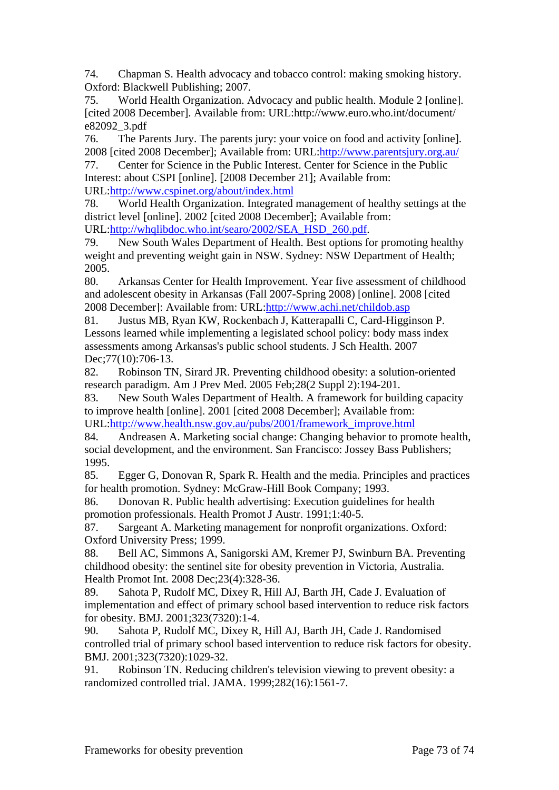74. Chapman S. Health advocacy and tobacco control: making smoking history. Oxford: Blackwell Publishing; 2007.

75. World Health Organization. Advocacy and public health. Module 2 [online]. [cited 2008 December]. Available from: URL:http://www.euro.who.int/document/ e82092\_3.pdf

76. The Parents Jury. The parents jury: your voice on food and activity [online]. 2008 [cited 2008 December]; Available from: URL:http://www.parentsjury.org.au/

77. Center for Science in the Public Interest. Center for Science in the Public Interest: about CSPI [online]. [2008 December 21]; Available from: URL:http://www.cspinet.org/about/index.html

78. World Health Organization. Integrated management of healthy settings at the district level [online]. 2002 [cited 2008 December]; Available from: URL:http://whqlibdoc.who.int/searo/2002/SEA\_HSD\_260.pdf.

79. New South Wales Department of Health. Best options for promoting healthy

weight and preventing weight gain in NSW. Sydney: NSW Department of Health; 2005.

80. Arkansas Center for Health Improvement. Year five assessment of childhood and adolescent obesity in Arkansas (Fall 2007-Spring 2008) [online]. 2008 [cited 2008 December]: Available from: URL:http://www.achi.net/childob.asp

81. Justus MB, Ryan KW, Rockenbach J, Katterapalli C, Card-Higginson P. Lessons learned while implementing a legislated school policy: body mass index assessments among Arkansas's public school students. J Sch Health. 2007 Dec; 77(10): 706-13.

82. Robinson TN, Sirard JR. Preventing childhood obesity: a solution-oriented research paradigm. Am J Prev Med. 2005 Feb;28(2 Suppl 2):194-201.

83. New South Wales Department of Health. A framework for building capacity to improve health [online]. 2001 [cited 2008 December]; Available from:

URL:http://www.health.nsw.gov.au/pubs/2001/framework\_improve.html

84. Andreasen A. Marketing social change: Changing behavior to promote health, social development, and the environment. San Francisco: Jossey Bass Publishers; 1995.

85. Egger G, Donovan R, Spark R. Health and the media. Principles and practices for health promotion. Sydney: McGraw-Hill Book Company; 1993.

86. Donovan R. Public health advertising: Execution guidelines for health promotion professionals. Health Promot J Austr. 1991;1:40-5.

87. Sargeant A. Marketing management for nonprofit organizations. Oxford: Oxford University Press; 1999.

88. Bell AC, Simmons A, Sanigorski AM, Kremer PJ, Swinburn BA. Preventing childhood obesity: the sentinel site for obesity prevention in Victoria, Australia. Health Promot Int. 2008 Dec;23(4):328-36.

89. Sahota P, Rudolf MC, Dixey R, Hill AJ, Barth JH, Cade J. Evaluation of implementation and effect of primary school based intervention to reduce risk factors for obesity. BMJ. 2001;323(7320):1-4.

90. Sahota P, Rudolf MC, Dixey R, Hill AJ, Barth JH, Cade J. Randomised controlled trial of primary school based intervention to reduce risk factors for obesity. BMJ. 2001;323(7320):1029-32.

91. Robinson TN. Reducing children's television viewing to prevent obesity: a randomized controlled trial. JAMA. 1999;282(16):1561-7.